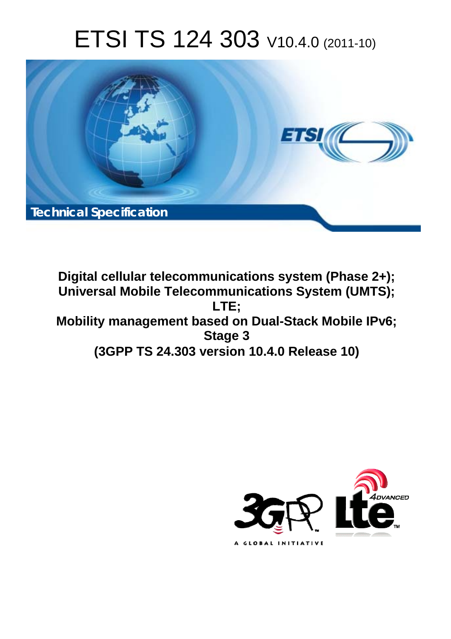# ETSI TS 124 303 V10.4.0 (2011-10)



**Digital cellular telecommunications system (Phase 2+); Universal Mobile Telecommunications System (UMTS); LTE; Mobility management based on Dual-Stack Mobile IPv6; Stage 3 (3GPP TS 24.303 version 10.4.0 Release 10)** 

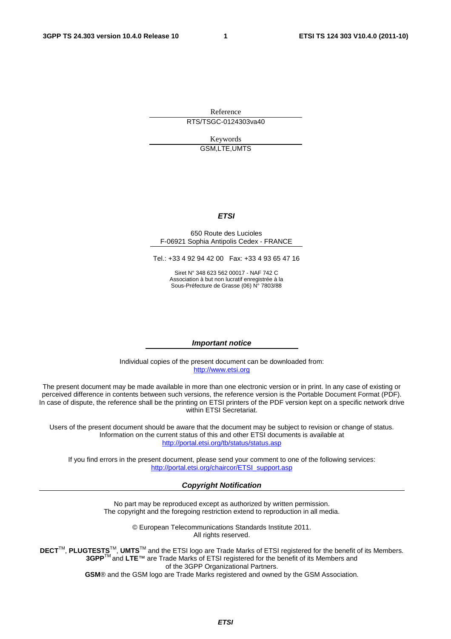Reference RTS/TSGC-0124303va40

> Keywords GSM,LTE,UMTS

#### *ETSI*

#### 650 Route des Lucioles F-06921 Sophia Antipolis Cedex - FRANCE

Tel.: +33 4 92 94 42 00 Fax: +33 4 93 65 47 16

Siret N° 348 623 562 00017 - NAF 742 C Association à but non lucratif enregistrée à la Sous-Préfecture de Grasse (06) N° 7803/88

#### *Important notice*

Individual copies of the present document can be downloaded from: [http://www.etsi.org](http://www.etsi.org/)

The present document may be made available in more than one electronic version or in print. In any case of existing or perceived difference in contents between such versions, the reference version is the Portable Document Format (PDF). In case of dispute, the reference shall be the printing on ETSI printers of the PDF version kept on a specific network drive within ETSI Secretariat.

Users of the present document should be aware that the document may be subject to revision or change of status. Information on the current status of this and other ETSI documents is available at <http://portal.etsi.org/tb/status/status.asp>

If you find errors in the present document, please send your comment to one of the following services: [http://portal.etsi.org/chaircor/ETSI\\_support.asp](http://portal.etsi.org/chaircor/ETSI_support.asp)

#### *Copyright Notification*

No part may be reproduced except as authorized by written permission. The copyright and the foregoing restriction extend to reproduction in all media.

> © European Telecommunications Standards Institute 2011. All rights reserved.

**DECT**TM, **PLUGTESTS**TM, **UMTS**TM and the ETSI logo are Trade Marks of ETSI registered for the benefit of its Members. **3GPP**TM and **LTE**™ are Trade Marks of ETSI registered for the benefit of its Members and of the 3GPP Organizational Partners.

**GSM**® and the GSM logo are Trade Marks registered and owned by the GSM Association.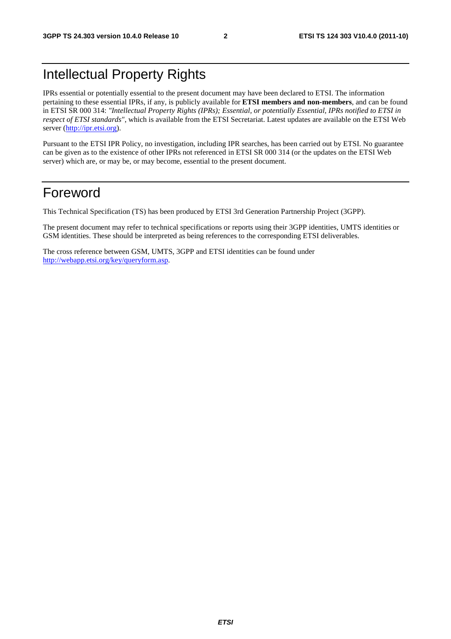## Intellectual Property Rights

IPRs essential or potentially essential to the present document may have been declared to ETSI. The information pertaining to these essential IPRs, if any, is publicly available for **ETSI members and non-members**, and can be found in ETSI SR 000 314: *"Intellectual Property Rights (IPRs); Essential, or potentially Essential, IPRs notified to ETSI in respect of ETSI standards"*, which is available from the ETSI Secretariat. Latest updates are available on the ETSI Web server ([http://ipr.etsi.org\)](http://webapp.etsi.org/IPR/home.asp).

Pursuant to the ETSI IPR Policy, no investigation, including IPR searches, has been carried out by ETSI. No guarantee can be given as to the existence of other IPRs not referenced in ETSI SR 000 314 (or the updates on the ETSI Web server) which are, or may be, or may become, essential to the present document.

### Foreword

This Technical Specification (TS) has been produced by ETSI 3rd Generation Partnership Project (3GPP).

The present document may refer to technical specifications or reports using their 3GPP identities, UMTS identities or GSM identities. These should be interpreted as being references to the corresponding ETSI deliverables.

The cross reference between GSM, UMTS, 3GPP and ETSI identities can be found under [http://webapp.etsi.org/key/queryform.asp.](http://webapp.etsi.org/key/queryform.asp)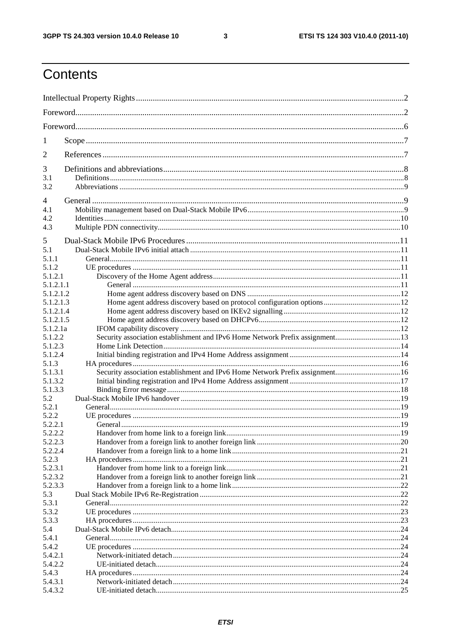$\mathbf{3}$ 

## Contents

| 1                      |                                                                               |  |
|------------------------|-------------------------------------------------------------------------------|--|
| 2                      |                                                                               |  |
| 3                      |                                                                               |  |
| 3.1                    |                                                                               |  |
| 3.2                    |                                                                               |  |
| $\overline{4}$         |                                                                               |  |
| 4.1<br>4.2             |                                                                               |  |
| 4.3                    |                                                                               |  |
| 5                      |                                                                               |  |
| 5.1                    |                                                                               |  |
| 5.1.1                  |                                                                               |  |
| 5.1.2                  |                                                                               |  |
| 5.1.2.1                |                                                                               |  |
| 5.1.2.1.1              |                                                                               |  |
| 5.1.2.1.2              |                                                                               |  |
| 5.1.2.1.3              |                                                                               |  |
| 5.1.2.1.4<br>5.1.2.1.5 |                                                                               |  |
| 5.1.2.1a               |                                                                               |  |
| 5.1.2.2                | Security association establishment and IPv6 Home Network Prefix assignment13  |  |
| 5.1.2.3                |                                                                               |  |
| 5.1.2.4                |                                                                               |  |
| 5.1.3                  |                                                                               |  |
| 5.1.3.1                | Security association establishment and IPv6 Home Network Prefix assignment 16 |  |
| 5.1.3.2                |                                                                               |  |
| 5.1.3.3                |                                                                               |  |
| 5.2<br>5.2.1           |                                                                               |  |
| 5.2.2                  |                                                                               |  |
| 5.2.2.1                |                                                                               |  |
| 5.2.2.2                |                                                                               |  |
| 5.2.2.3                |                                                                               |  |
| 5.2.2.4                |                                                                               |  |
| 5.2.3                  |                                                                               |  |
| 5.2.3.1                |                                                                               |  |
| 5.2.3.2                |                                                                               |  |
| 5.2.3.3<br>5.3         |                                                                               |  |
| 5.3.1                  |                                                                               |  |
| 5.3.2                  |                                                                               |  |
| 5.3.3                  |                                                                               |  |
| 5.4                    |                                                                               |  |
| 5.4.1                  |                                                                               |  |
| 5.4.2                  |                                                                               |  |
| 5.4.2.1                |                                                                               |  |
| 5.4.2.2                |                                                                               |  |
| 5.4.3<br>5.4.3.1       |                                                                               |  |
| 5.4.3.2                |                                                                               |  |
|                        |                                                                               |  |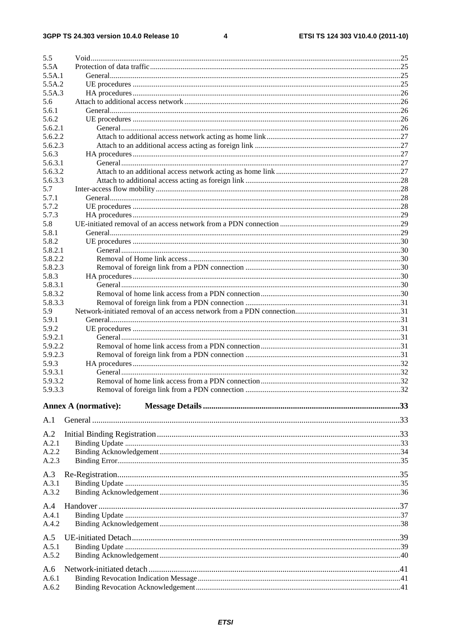$\overline{\mathbf{4}}$ 

| 5.5                |                             |  |
|--------------------|-----------------------------|--|
| 5.5A               |                             |  |
| 5.5A.1             |                             |  |
| 5.5A.2             |                             |  |
| 5.5A.3             |                             |  |
| 5.6                |                             |  |
| 5.6.1              |                             |  |
| 5.6.2              |                             |  |
| 5.6.2.1            |                             |  |
| 5.6.2.2<br>5.6.2.3 |                             |  |
| 5.6.3              |                             |  |
| 5.6.3.1            |                             |  |
| 5.6.3.2            |                             |  |
| 5.6.3.3            |                             |  |
| 5.7                |                             |  |
| 5.7.1              |                             |  |
| 5.7.2              |                             |  |
| 5.7.3              |                             |  |
| 5.8                |                             |  |
| 5.8.1              |                             |  |
| 5.8.2              |                             |  |
| 5.8.2.1            |                             |  |
| 5.8.2.2            |                             |  |
| 5.8.2.3            |                             |  |
| 5.8.3              |                             |  |
| 5.8.3.1            |                             |  |
| 5.8.3.2            |                             |  |
| 5.8.3.3            |                             |  |
| 5.9                |                             |  |
| 5.9.1              |                             |  |
| 5.9.2              |                             |  |
| 5.9.2.1            |                             |  |
| 5.9.2.2            |                             |  |
| 5.9.2.3            |                             |  |
| 5.9.3              |                             |  |
| 5.9.3.1            |                             |  |
| 5.9.3.2            |                             |  |
| 5.9.3.3            |                             |  |
|                    |                             |  |
|                    | <b>Annex A (normative):</b> |  |
| A.1                |                             |  |
|                    |                             |  |
| A.2                |                             |  |
| A.2.1              |                             |  |
| A.2.2              |                             |  |
| A.2.3              |                             |  |
| A.3                |                             |  |
| A.3.1              |                             |  |
| A.3.2              |                             |  |
|                    |                             |  |
| A.4                |                             |  |
| A.4.1              |                             |  |
| A.4.2              |                             |  |
|                    |                             |  |
| A.5                |                             |  |
| A.5.1              |                             |  |
| A.5.2              |                             |  |
| A.6                |                             |  |
| A.6.1              |                             |  |
| A.6.2              |                             |  |
|                    |                             |  |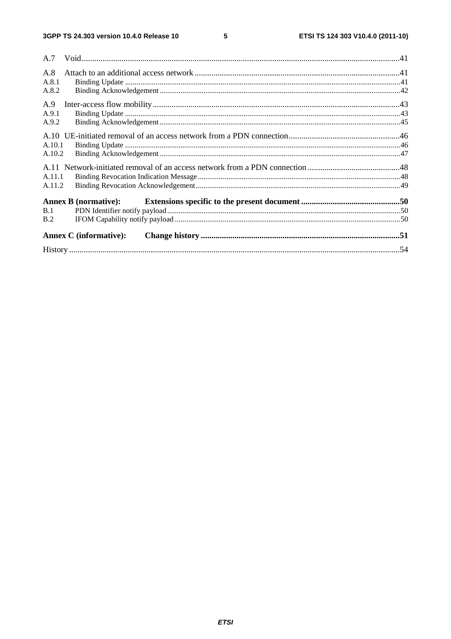| A.8<br>A.8.1<br>A.8.2         |  |
|-------------------------------|--|
|                               |  |
|                               |  |
|                               |  |
| A.9                           |  |
| A.9.1                         |  |
| A.9.2                         |  |
|                               |  |
| A.10.1                        |  |
| A.10.2                        |  |
|                               |  |
| A.11.1                        |  |
| A.11.2                        |  |
| <b>Annex B</b> (normative):   |  |
| B.1                           |  |
| B.2                           |  |
| <b>Annex C</b> (informative): |  |
|                               |  |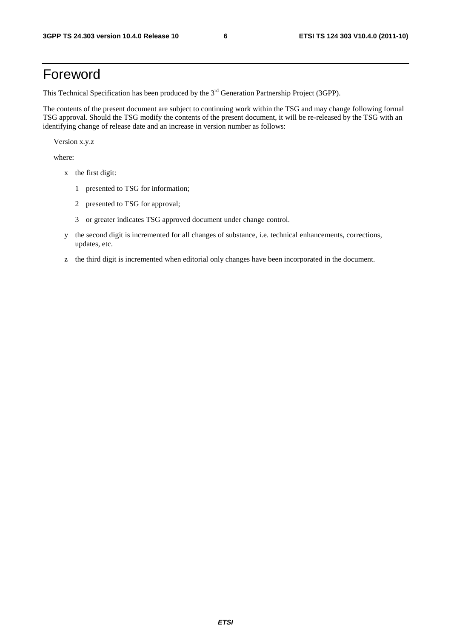### Foreword

This Technical Specification has been produced by the 3<sup>rd</sup> Generation Partnership Project (3GPP).

The contents of the present document are subject to continuing work within the TSG and may change following formal TSG approval. Should the TSG modify the contents of the present document, it will be re-released by the TSG with an identifying change of release date and an increase in version number as follows:

Version x.y.z

where:

- x the first digit:
	- 1 presented to TSG for information;
	- 2 presented to TSG for approval;
	- 3 or greater indicates TSG approved document under change control.
- y the second digit is incremented for all changes of substance, i.e. technical enhancements, corrections, updates, etc.
- z the third digit is incremented when editorial only changes have been incorporated in the document.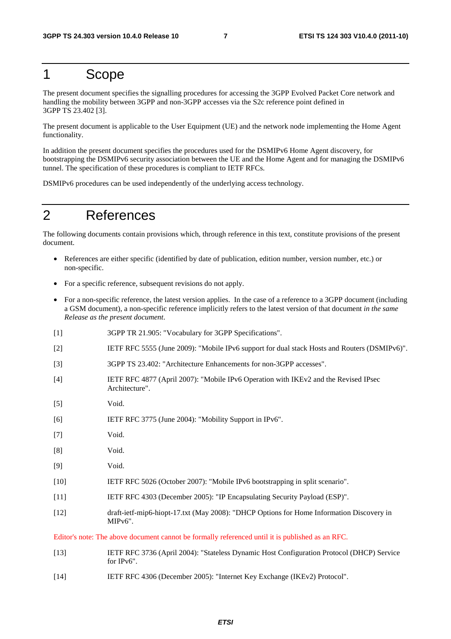### 1 Scope

The present document specifies the signalling procedures for accessing the 3GPP Evolved Packet Core network and handling the mobility between 3GPP and non-3GPP accesses via the S2c reference point defined in 3GPP TS 23.402 [3].

The present document is applicable to the User Equipment (UE) and the network node implementing the Home Agent functionality.

In addition the present document specifies the procedures used for the DSMIPv6 Home Agent discovery, for bootstrapping the DSMIPv6 security association between the UE and the Home Agent and for managing the DSMIPv6 tunnel. The specification of these procedures is compliant to IETF RFCs.

DSMIPv6 procedures can be used independently of the underlying access technology.

## 2 References

The following documents contain provisions which, through reference in this text, constitute provisions of the present document.

- References are either specific (identified by date of publication, edition number, version number, etc.) or non-specific.
- For a specific reference, subsequent revisions do not apply.
- For a non-specific reference, the latest version applies. In the case of a reference to a 3GPP document (including a GSM document), a non-specific reference implicitly refers to the latest version of that document *in the same Release as the present document*.
- [1] 3GPP TR 21.905: "Vocabulary for 3GPP Specifications".
- [2] IETF RFC 5555 (June 2009): "Mobile IPv6 support for dual stack Hosts and Routers (DSMIPv6)".
- [3] 3GPP TS 23.402: "Architecture Enhancements for non-3GPP accesses".
- [4] IETF RFC 4877 (April 2007): "Mobile IPv6 Operation with IKEv2 and the Revised IPsec Architecture".
- [5] Void.
- [6] IETF RFC 3775 (June 2004): "Mobility Support in IPv6".
- [7] Void.
- [8] Void.
- [9] Void.
- [10] IETF RFC 5026 (October 2007): "Mobile IPv6 bootstrapping in split scenario".
- [11] IETF RFC 4303 (December 2005): "IP Encapsulating Security Payload (ESP)".
- [12] draft-ietf-mip6-hiopt-17.txt (May 2008): "DHCP Options for Home Information Discovery in MIPv6".

Editor's note: The above document cannot be formally referenced until it is published as an RFC.

- [13] IETF RFC 3736 (April 2004): "Stateless Dynamic Host Configuration Protocol (DHCP) Service for IPv6".
- [14] IETF RFC 4306 (December 2005): "Internet Key Exchange (IKEv2) Protocol".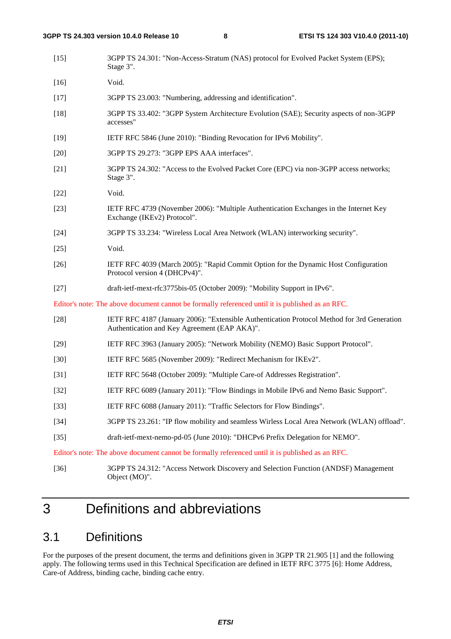| $[15]$ | 3GPP TS 24.301: "Non-Access-Stratum (NAS) protocol for Evolved Packet System (EPS);<br>Stage 3".                                            |
|--------|---------------------------------------------------------------------------------------------------------------------------------------------|
| $[16]$ | Void.                                                                                                                                       |
| $[17]$ | 3GPP TS 23.003: "Numbering, addressing and identification".                                                                                 |
| $[18]$ | 3GPP TS 33.402: "3GPP System Architecture Evolution (SAE); Security aspects of non-3GPP<br>accesses"                                        |
| $[19]$ | IETF RFC 5846 (June 2010): "Binding Revocation for IPv6 Mobility".                                                                          |
| $[20]$ | 3GPP TS 29.273: "3GPP EPS AAA interfaces".                                                                                                  |
| $[21]$ | 3GPP TS 24.302: "Access to the Evolved Packet Core (EPC) via non-3GPP access networks;<br>Stage 3".                                         |
| $[22]$ | Void.                                                                                                                                       |
| $[23]$ | IETF RFC 4739 (November 2006): "Multiple Authentication Exchanges in the Internet Key<br>Exchange (IKEv2) Protocol".                        |
| $[24]$ | 3GPP TS 33.234: "Wireless Local Area Network (WLAN) interworking security".                                                                 |
| $[25]$ | Void.                                                                                                                                       |
| $[26]$ | IETF RFC 4039 (March 2005): "Rapid Commit Option for the Dynamic Host Configuration<br>Protocol version 4 (DHCPv4)".                        |
| $[27]$ | draft-ietf-mext-rfc3775bis-05 (October 2009): "Mobility Support in IPv6".                                                                   |
|        | Editor's note: The above document cannot be formally referenced until it is published as an RFC.                                            |
| $[28]$ | IETF RFC 4187 (January 2006): "Extensible Authentication Protocol Method for 3rd Generation<br>Authentication and Key Agreement (EAP AKA)". |
| $[29]$ | IETF RFC 3963 (January 2005): "Network Mobility (NEMO) Basic Support Protocol".                                                             |
| $[30]$ | IETF RFC 5685 (November 2009): "Redirect Mechanism for IKEv2".                                                                              |
| $[31]$ | IETF RFC 5648 (October 2009): "Multiple Care-of Addresses Registration".                                                                    |
| $[32]$ | IETF RFC 6089 (January 2011): "Flow Bindings in Mobile IPv6 and Nemo Basic Support".                                                        |
| $[33]$ | IETF RFC 6088 (January 2011): "Traffic Selectors for Flow Bindings".                                                                        |
| $[34]$ | 3GPP TS 23.261: "IP flow mobility and seamless Wirless Local Area Network (WLAN) offload".                                                  |
| $[35]$ | draft-ietf-mext-nemo-pd-05 (June 2010): "DHCPv6 Prefix Delegation for NEMO".                                                                |
|        | Editor's note: The above document cannot be formally referenced until it is published as an RFC.                                            |
| $[36]$ | 3GPP TS 24.312: "Access Network Discovery and Selection Function (ANDSF) Management                                                         |

Object (MO)".

## 3 Definitions and abbreviations

### 3.1 Definitions

For the purposes of the present document, the terms and definitions given in 3GPP TR 21.905 [1] and the following apply. The following terms used in this Technical Specification are defined in IETF RFC 3775 [6]: Home Address, Care-of Address, binding cache, binding cache entry.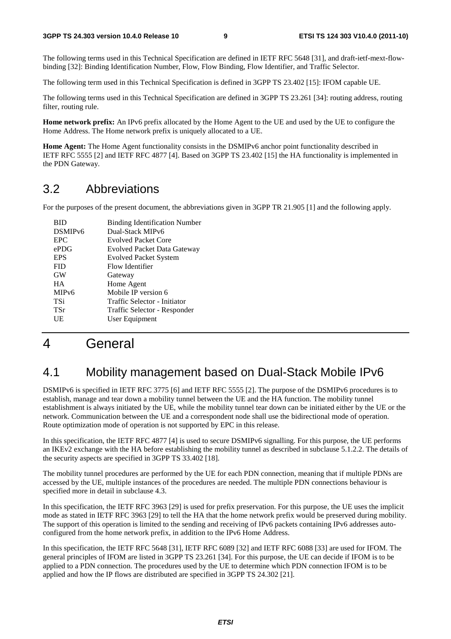The following terms used in this Technical Specification are defined in IETF RFC 5648 [31], and draft-ietf-mext-flowbinding [32]: Binding Identification Number, Flow, Flow Binding, Flow Identifier, and Traffic Selector.

The following term used in this Technical Specification is defined in 3GPP TS 23.402 [15]: IFOM capable UE.

The following terms used in this Technical Specification are defined in 3GPP TS 23.261 [34]: routing address, routing filter, routing rule.

**Home network prefix:** An IPv6 prefix allocated by the Home Agent to the UE and used by the UE to configure the Home Address. The Home network prefix is uniquely allocated to a UE.

**Home Agent:** The Home Agent functionality consists in the DSMIPv6 anchor point functionality described in IETF RFC 5555 [2] and IETF RFC 4877 [4]. Based on 3GPP TS 23.402 [15] the HA functionality is implemented in the PDN Gateway.

### 3.2 Abbreviations

For the purposes of the present document, the abbreviations given in 3GPP TR 21.905 [1] and the following apply.

| <b>BID</b>          | <b>Binding Identification Number</b> |
|---------------------|--------------------------------------|
| DSMIP <sub>v6</sub> | Dual-Stack MIPv6                     |
| <b>EPC</b>          | <b>Evolved Packet Core</b>           |
| ePDG                | Evolved Packet Data Gateway          |
| <b>EPS</b>          | <b>Evolved Packet System</b>         |
| <b>FID</b>          | Flow Identifier                      |
| <b>GW</b>           | Gateway                              |
| <b>HA</b>           | Home Agent                           |
| MIP <sub>v</sub> 6  | Mobile IP version 6                  |
| TSi                 | Traffic Selector - Initiator         |
| TSr                 | Traffic Selector - Responder         |
| UE                  | User Equipment                       |
|                     |                                      |

## 4 General

### 4.1 Mobility management based on Dual-Stack Mobile IPv6

DSMIPv6 is specified in IETF RFC 3775 [6] and IETF RFC 5555 [2]. The purpose of the DSMIPv6 procedures is to establish, manage and tear down a mobility tunnel between the UE and the HA function. The mobility tunnel establishment is always initiated by the UE, while the mobility tunnel tear down can be initiated either by the UE or the network. Communication between the UE and a correspondent node shall use the bidirectional mode of operation. Route optimization mode of operation is not supported by EPC in this release.

In this specification, the IETF RFC 4877 [4] is used to secure DSMIPv6 signalling. For this purpose, the UE performs an IKEv2 exchange with the HA before establishing the mobility tunnel as described in subclause 5.1.2.2. The details of the security aspects are specified in 3GPP TS 33.402 [18].

The mobility tunnel procedures are performed by the UE for each PDN connection, meaning that if multiple PDNs are accessed by the UE, multiple instances of the procedures are needed. The multiple PDN connections behaviour is specified more in detail in subclause 4.3.

In this specification, the IETF RFC 3963 [29] is used for prefix preservation. For this purpose, the UE uses the implicit mode as stated in IETF RFC 3963 [29] to tell the HA that the home network prefix would be preserved during mobility. The support of this operation is limited to the sending and receiving of IPv6 packets containing IPv6 addresses autoconfigured from the home network prefix, in addition to the IPv6 Home Address.

In this specification, the IETF RFC 5648 [31], IETF RFC 6089 [32] and IETF RFC 6088 [33] are used for IFOM. The general principles of IFOM are listed in 3GPP TS 23.261 [34]. For this purpose, the UE can decide if IFOM is to be applied to a PDN connection. The procedures used by the UE to determine which PDN connection IFOM is to be applied and how the IP flows are distributed are specified in 3GPP TS 24.302 [21].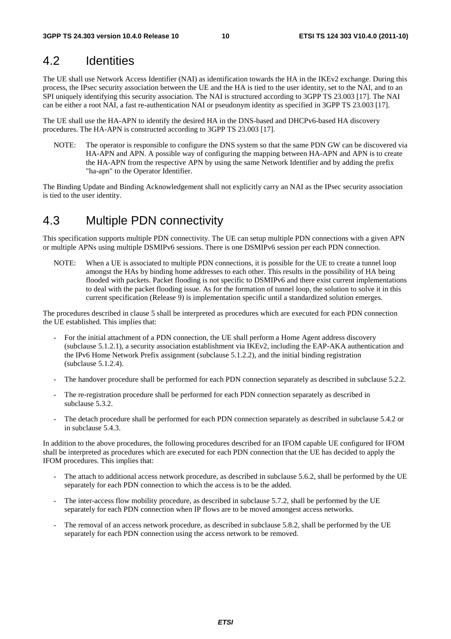### 4.2 Identities

The UE shall use Network Access Identifier (NAI) as identification towards the HA in the IKEv2 exchange. During this process, the IPsec security association between the UE and the HA is tied to the user identity, set to the NAI, and to an SPI uniquely identifying this security association. The NAI is structured according to 3GPP TS 23.003 [17]. The NAI can be either a root NAI, a fast re-authentication NAI or pseudonym identity as specified in 3GPP TS 23.003 [17].

The UE shall use the HA-APN to identify the desired HA in the DNS-based and DHCPv6-based HA discovery procedures. The HA-APN is constructed according to 3GPP TS 23.003 [17].

NOTE: The operator is responsible to configure the DNS system so that the same PDN GW can be discovered via HA-APN and APN. A possible way of configuring the mapping between HA-APN and APN is to create the HA-APN from the respective APN by using the same Network Identifier and by adding the prefix "ha-apn" to the Operator Identifier.

The Binding Update and Binding Acknowledgement shall not explicitly carry an NAI as the IPsec security association is tied to the user identity.

### 4.3 Multiple PDN connectivity

This specification supports multiple PDN connectivity. The UE can setup multiple PDN connections with a given APN or multiple APNs using multiple DSMIPv6 sessions. There is one DSMIPv6 session per each PDN connection.

NOTE: When a UE is associated to multiple PDN connections, it is possible for the UE to create a tunnel loop amongst the HAs by binding home addresses to each other. This results in the possibility of HA being flooded with packets. Packet flooding is not specific to DSMIPv6 and there exist current implementations to deal with the packet flooding issue. As for the formation of tunnel loop, the solution to solve it in this current specification (Release 9) is implementation specific until a standardized solution emerges.

The procedures described in clause 5 shall be interpreted as procedures which are executed for each PDN connection the UE established. This implies that:

- For the initial attachment of a PDN connection, the UE shall perform a Home Agent address discovery (subclause 5.1.2.1), a security association establishment via IKEv2, including the EAP-AKA authentication and the IPv6 Home Network Prefix assignment (subclause 5.1.2.2), and the initial binding registration (subclause 5.1.2.4).
- The handover procedure shall be performed for each PDN connection separately as described in subclause 5.2.2.
- The re-registration procedure shall be performed for each PDN connection separately as described in subclause 5.3.2.
- The detach procedure shall be performed for each PDN connection separately as described in subclause 5.4.2 or in subclause 5.4.3.

In addition to the above procedures, the following procedures described for an IFOM capable UE configured for IFOM shall be interpreted as procedures which are executed for each PDN connection that the UE has decided to apply the IFOM procedures. This implies that:

- The attach to additional access network procedure, as described in subclause 5.6.2, shall be performed by the UE separately for each PDN connection to which the access is to be the added.
- The inter-access flow mobility procedure, as described in subclause 5.7.2, shall be performed by the UE separately for each PDN connection when IP flows are to be moved amongest access networks.
- The removal of an access network procedure, as described in subclause 5.8.2, shall be performed by the UE separately for each PDN connection using the access network to be removed.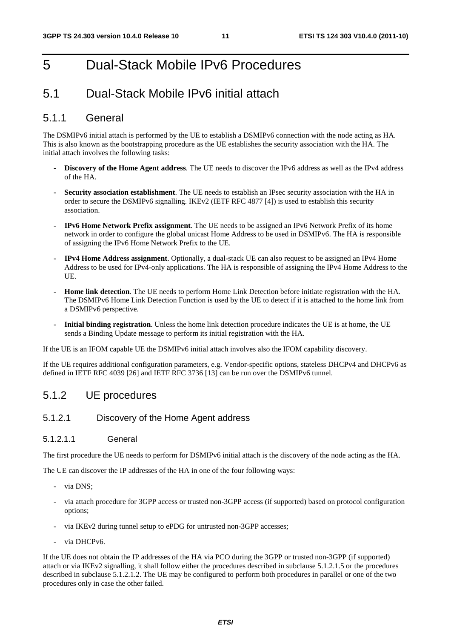## 5 Dual-Stack Mobile IPv6 Procedures

### 5.1 Dual-Stack Mobile IPv6 initial attach

#### 5.1.1 General

The DSMIPv6 initial attach is performed by the UE to establish a DSMIPv6 connection with the node acting as HA. This is also known as the bootstrapping procedure as the UE establishes the security association with the HA. The initial attach involves the following tasks:

- **Discovery of the Home Agent address**. The UE needs to discover the IPv6 address as well as the IPv4 address of the HA.
- **Security association establishment**. The UE needs to establish an IPsec security association with the HA in order to secure the DSMIPv6 signalling. IKEv2 (IETF RFC 4877 [4]) is used to establish this security association.
- **IPv6 Home Network Prefix assignment**. The UE needs to be assigned an IPv6 Network Prefix of its home network in order to configure the global unicast Home Address to be used in DSMIPv6. The HA is responsible of assigning the IPv6 Home Network Prefix to the UE.
- **IPv4 Home Address assignment**. Optionally, a dual-stack UE can also request to be assigned an IPv4 Home Address to be used for IPv4-only applications. The HA is responsible of assigning the IPv4 Home Address to the UE.
- **Home link detection**. The UE needs to perform Home Link Detection before initiate registration with the HA. The DSMIPv6 Home Link Detection Function is used by the UE to detect if it is attached to the home link from a DSMIPv6 perspective.
- **Initial binding registration**. Unless the home link detection procedure indicates the UE is at home, the UE sends a Binding Update message to perform its initial registration with the HA.

If the UE is an IFOM capable UE the DSMIPv6 initial attach involves also the IFOM capability discovery.

If the UE requires additional configuration parameters, e.g. Vendor-specific options, stateless DHCPv4 and DHCPv6 as defined in IETF RFC 4039 [26] and IETF RFC 3736 [13] can be run over the DSMIPv6 tunnel.

#### 5.1.2 UE procedures

#### 5.1.2.1 Discovery of the Home Agent address

#### 5.1.2.1.1 General

The first procedure the UE needs to perform for DSMIPv6 initial attach is the discovery of the node acting as the HA.

The UE can discover the IP addresses of the HA in one of the four following ways:

- via DNS;
- via attach procedure for 3GPP access or trusted non-3GPP access (if supported) based on protocol configuration options;
- via IKEv2 during tunnel setup to ePDG for untrusted non-3GPP accesses;
- via DHCPv6.

If the UE does not obtain the IP addresses of the HA via PCO during the 3GPP or trusted non-3GPP (if supported) attach or via IKEv2 signalling, it shall follow either the procedures described in subclause 5.1.2.1.5 or the procedures described in subclause 5.1.2.1.2. The UE may be configured to perform both procedures in parallel or one of the two procedures only in case the other failed.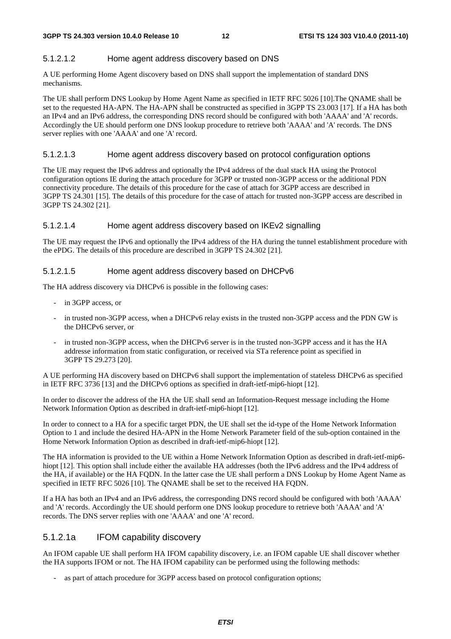#### 5.1.2.1.2 Home agent address discovery based on DNS

A UE performing Home Agent discovery based on DNS shall support the implementation of standard DNS mechanisms.

The UE shall perform DNS Lookup by Home Agent Name as specified in IETF RFC 5026 [10].The QNAME shall be set to the requested HA-APN. The HA-APN shall be constructed as specified in 3GPP TS 23.003 [17]. If a HA has both an IPv4 and an IPv6 address, the corresponding DNS record should be configured with both 'AAAA' and 'A' records. Accordingly the UE should perform one DNS lookup procedure to retrieve both 'AAAA' and 'A' records. The DNS server replies with one 'AAAA' and one 'A' record.

#### 5.1.2.1.3 Home agent address discovery based on protocol configuration options

The UE may request the IPv6 address and optionally the IPv4 address of the dual stack HA using the Protocol configuration options IE during the attach procedure for 3GPP or trusted non-3GPP access or the additional PDN connectivity procedure. The details of this procedure for the case of attach for 3GPP access are described in 3GPP TS 24.301 [15]. The details of this procedure for the case of attach for trusted non-3GPP access are described in 3GPP TS 24.302 [21].

#### 5.1.2.1.4 Home agent address discovery based on IKEv2 signalling

The UE may request the IPv6 and optionally the IPv4 address of the HA during the tunnel establishment procedure with the ePDG. The details of this procedure are described in 3GPP TS 24.302 [21].

#### 5.1.2.1.5 Home agent address discovery based on DHCPv6

The HA address discovery via DHCPv6 is possible in the following cases:

- in 3GPP access, or
- in trusted non-3GPP access, when a DHCPv6 relay exists in the trusted non-3GPP access and the PDN GW is the DHCPv6 server, or
- in trusted non-3GPP access, when the DHCPv6 server is in the trusted non-3GPP access and it has the HA addresse information from static configuration, or received via STa reference point as specified in 3GPP TS 29.273 [20].

A UE performing HA discovery based on DHCPv6 shall support the implementation of stateless DHCPv6 as specified in IETF RFC 3736 [13] and the DHCPv6 options as specified in draft-ietf-mip6-hiopt [12].

In order to discover the address of the HA the UE shall send an Information-Request message including the Home Network Information Option as described in draft-ietf-mip6-hiopt [12].

In order to connect to a HA for a specific target PDN, the UE shall set the id-type of the Home Network Information Option to 1 and include the desired HA-APN in the Home Network Parameter field of the sub-option contained in the Home Network Information Option as described in draft-ietf-mip6-hiopt [12].

The HA information is provided to the UE within a Home Network Information Option as described in draft-ietf-mip6 hiopt [12]. This option shall include either the available HA addresses (both the IPv6 address and the IPv4 address of the HA, if available) or the HA FQDN. In the latter case the UE shall perform a DNS Lookup by Home Agent Name as specified in IETF RFC 5026 [10]. The QNAME shall be set to the received HA FQDN.

If a HA has both an IPv4 and an IPv6 address, the corresponding DNS record should be configured with both 'AAAA' and 'A' records. Accordingly the UE should perform one DNS lookup procedure to retrieve both 'AAAA' and 'A' records. The DNS server replies with one 'AAAA' and one 'A' record.

#### 5.1.2.1a IFOM capability discovery

An IFOM capable UE shall perform HA IFOM capability discovery, i.e. an IFOM capable UE shall discover whether the HA supports IFOM or not. The HA IFOM capability can be performed using the following methods:

as part of attach procedure for 3GPP access based on protocol configuration options;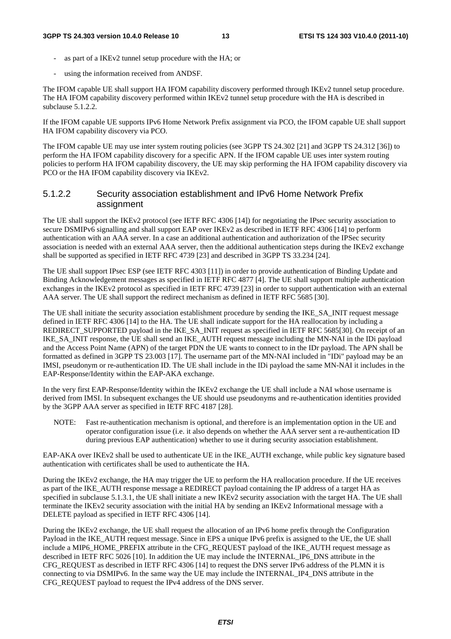- as part of a IKEv2 tunnel setup procedure with the HA; or
- using the information received from ANDSF.

The IFOM capable UE shall support HA IFOM capability discovery performed through IKEv2 tunnel setup procedure. The HA IFOM capability discovery performed within IKEv2 tunnel setup procedure with the HA is described in subclause 5.1.2.2.

If the IFOM capable UE supports IPv6 Home Network Prefix assignment via PCO, the IFOM capable UE shall support HA IFOM capability discovery via PCO.

The IFOM capable UE may use inter system routing policies (see 3GPP TS 24.302 [21] and 3GPP TS 24.312 [36]) to perform the HA IFOM capability discovery for a specific APN. If the IFOM capable UE uses inter system routing policies to perform HA IFOM capability discovery, the UE may skip performing the HA IFOM capability discovery via PCO or the HA IFOM capability discovery via IKEv2.

#### 5.1.2.2 Security association establishment and IPv6 Home Network Prefix assignment

The UE shall support the IKEv2 protocol (see IETF RFC 4306 [14]) for negotiating the IPsec security association to secure DSMIPv6 signalling and shall support EAP over IKEv2 as described in IETF RFC 4306 [14] to perform authentication with an AAA server. In a case an additional authentication and authorization of the IPSec security association is needed with an external AAA server, then the additional authentication steps during the IKEv2 exchange shall be supported as specified in IETF RFC 4739 [23] and described in 3GPP TS 33.234 [24].

The UE shall support IPsec ESP (see IETF RFC 4303 [11]) in order to provide authentication of Binding Update and Binding Acknowledgement messages as specified in IETF RFC 4877 [4]. The UE shall support multiple authentication exchanges in the IKEv2 protocol as specified in IETF RFC 4739 [23] in order to support authentication with an external AAA server. The UE shall support the redirect mechanism as defined in IETF RFC 5685 [30].

The UE shall initiate the security association establishment procedure by sending the IKE\_SA\_INIT request message defined in IETF RFC 4306 [14] to the HA. The UE shall indicate support for the HA reallocation by including a REDIRECT\_SUPPORTED payload in the IKE\_SA\_INIT request as specified in IETF RFC 5685[30]. On receipt of an IKE\_SA\_INIT response, the UE shall send an IKE\_AUTH request message including the MN-NAI in the IDi payload and the Access Point Name (APN) of the target PDN the UE wants to connect to in the IDr payload. The APN shall be formatted as defined in 3GPP TS 23.003 [17]. The username part of the MN-NAI included in "IDi" payload may be an IMSI, pseudonym or re-authentication ID. The UE shall include in the IDi payload the same MN-NAI it includes in the EAP-Response/Identity within the EAP-AKA exchange.

In the very first EAP-Response/Identity within the IKEv2 exchange the UE shall include a NAI whose username is derived from IMSI. In subsequent exchanges the UE should use pseudonyms and re-authentication identities provided by the 3GPP AAA server as specified in IETF RFC 4187 [28].

NOTE: Fast re-authentication mechanism is optional, and therefore is an implementation option in the UE and operator configuration issue (i.e. it also depends on whether the AAA server sent a re-authentication ID during previous EAP authentication) whether to use it during security association establishment.

EAP-AKA over IKEv2 shall be used to authenticate UE in the IKE\_AUTH exchange, while public key signature based authentication with certificates shall be used to authenticate the HA.

During the IKEv2 exchange, the HA may trigger the UE to perform the HA reallocation procedure. If the UE receives as part of the IKE\_AUTH response message a REDIRECT payload containing the IP address of a target HA as specified in subclause 5.1.3.1, the UE shall initiate a new IKEv2 security association with the target HA. The UE shall terminate the IKEv2 security association with the initial HA by sending an IKEv2 Informational message with a DELETE payload as specified in IETF RFC 4306 [14].

During the IKEv2 exchange, the UE shall request the allocation of an IPv6 home prefix through the Configuration Payload in the IKE\_AUTH request message. Since in EPS a unique IPv6 prefix is assigned to the UE, the UE shall include a MIP6\_HOME\_PREFIX attribute in the CFG\_REQUEST payload of the IKE\_AUTH request message as described in IETF RFC 5026 [10]. In addition the UE may include the INTERNAL\_IP6\_DNS attribute in the CFG\_REQUEST as described in IETF RFC 4306 [14] to request the DNS server IPv6 address of the PLMN it is connecting to via DSMIPv6. In the same way the UE may include the INTERNAL\_IP4\_DNS attribute in the CFG\_REQUEST payload to request the IPv4 address of the DNS server.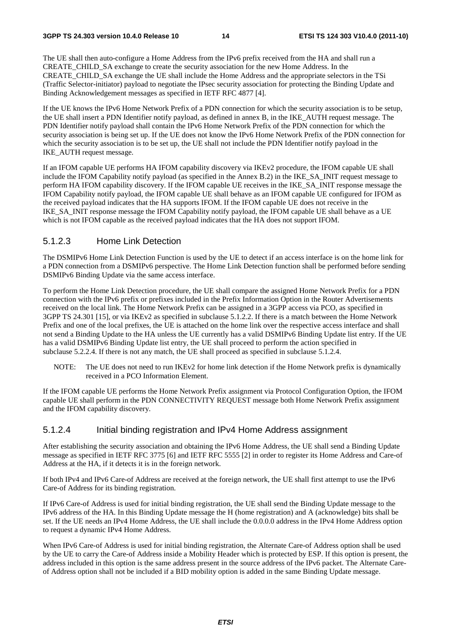The UE shall then auto-configure a Home Address from the IPv6 prefix received from the HA and shall run a CREATE\_CHILD\_SA exchange to create the security association for the new Home Address. In the CREATE\_CHILD\_SA exchange the UE shall include the Home Address and the appropriate selectors in the TSi (Traffic Selector-initiator) payload to negotiate the IPsec security association for protecting the Binding Update and Binding Acknowledgement messages as specified in IETF RFC 4877 [4].

If the UE knows the IPv6 Home Network Prefix of a PDN connection for which the security association is to be setup, the UE shall insert a PDN Identifier notify payload, as defined in annex B, in the IKE\_AUTH request message. The PDN Identifier notify payload shall contain the IPv6 Home Network Prefix of the PDN connection for which the security association is being set up. If the UE does not know the IPv6 Home Network Prefix of the PDN connection for which the security association is to be set up, the UE shall not include the PDN Identifier notify payload in the IKE\_AUTH request message.

If an IFOM capable UE performs HA IFOM capability discovery via IKEv2 procedure, the IFOM capable UE shall include the IFOM Capability notify payload (as specified in the Annex B.2) in the IKE\_SA\_INIT request message to perform HA IFOM capability discovery. If the IFOM capable UE receives in the IKE\_SA\_INIT response message the IFOM Capability notify payload, the IFOM capable UE shall behave as an IFOM capable UE configured for IFOM as the received payload indicates that the HA supports IFOM. If the IFOM capable UE does not receive in the IKE\_SA\_INIT response message the IFOM Capability notify payload, the IFOM capable UE shall behave as a UE which is not IFOM capable as the received payload indicates that the HA does not support IFOM.

#### 5.1.2.3 Home Link Detection

The DSMIPv6 Home Link Detection Function is used by the UE to detect if an access interface is on the home link for a PDN connection from a DSMIPv6 perspective. The Home Link Detection function shall be performed before sending DSMIPv6 Binding Update via the same access interface.

To perform the Home Link Detection procedure, the UE shall compare the assigned Home Network Prefix for a PDN connection with the IPv6 prefix or prefixes included in the Prefix Information Option in the Router Advertisements received on the local link. The Home Network Prefix can be assigned in a 3GPP access via PCO, as specified in 3GPP TS 24.301 [15], or via IKEv2 as specified in subclause 5.1.2.2. If there is a match between the Home Network Prefix and one of the local prefixes, the UE is attached on the home link over the respective access interface and shall not send a Binding Update to the HA unless the UE currently has a valid DSMIPv6 Binding Update list entry. If the UE has a valid DSMIPv6 Binding Update list entry, the UE shall proceed to perform the action specified in subclause 5.2.2.4. If there is not any match, the UE shall proceed as specified in subclause 5.1.2.4.

NOTE: The UE does not need to run IKEv2 for home link detection if the Home Network prefix is dynamically received in a PCO Information Element.

If the IFOM capable UE performs the Home Network Prefix assignment via Protocol Configuration Option, the IFOM capable UE shall perform in the PDN CONNECTIVITY REQUEST message both Home Network Prefix assignment and the IFOM capability discovery.

#### 5.1.2.4 Initial binding registration and IPv4 Home Address assignment

After establishing the security association and obtaining the IPv6 Home Address, the UE shall send a Binding Update message as specified in IETF RFC 3775 [6] and IETF RFC 5555 [2] in order to register its Home Address and Care-of Address at the HA, if it detects it is in the foreign network.

If both IPv4 and IPv6 Care-of Address are received at the foreign network, the UE shall first attempt to use the IPv6 Care-of Address for its binding registration.

If IPv6 Care-of Address is used for initial binding registration, the UE shall send the Binding Update message to the IPv6 address of the HA. In this Binding Update message the H (home registration) and A (acknowledge) bits shall be set. If the UE needs an IPv4 Home Address, the UE shall include the 0.0.0.0 address in the IPv4 Home Address option to request a dynamic IPv4 Home Address.

When IPv6 Care-of Address is used for initial binding registration, the Alternate Care-of Address option shall be used by the UE to carry the Care-of Address inside a Mobility Header which is protected by ESP. If this option is present, the address included in this option is the same address present in the source address of the IPv6 packet. The Alternate Careof Address option shall not be included if a BID mobility option is added in the same Binding Update message.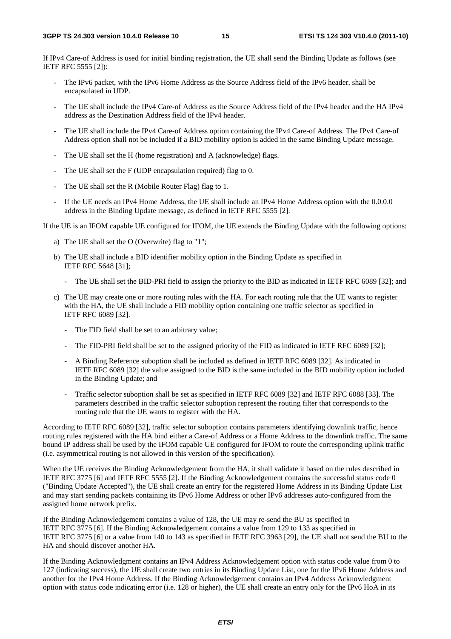If IPv4 Care-of Address is used for initial binding registration, the UE shall send the Binding Update as follows (see IETF RFC 5555 [2]):

- The IPv6 packet, with the IPv6 Home Address as the Source Address field of the IPv6 header, shall be encapsulated in UDP.
- The UE shall include the IPv4 Care-of Address as the Source Address field of the IPv4 header and the HA IPv4 address as the Destination Address field of the IPv4 header.
- The UE shall include the IPv4 Care-of Address option containing the IPv4 Care-of Address. The IPv4 Care-of Address option shall not be included if a BID mobility option is added in the same Binding Update message.
- The UE shall set the H (home registration) and A (acknowledge) flags.
- The UE shall set the F (UDP encapsulation required) flag to 0.
- The UE shall set the R (Mobile Router Flag) flag to 1.
- If the UE needs an IPv4 Home Address, the UE shall include an IPv4 Home Address option with the 0.0.0.0 address in the Binding Update message, as defined in IETF RFC 5555 [2].

If the UE is an IFOM capable UE configured for IFOM, the UE extends the Binding Update with the following options:

- a) The UE shall set the O (Overwrite) flag to "1";
- b) The UE shall include a BID identifier mobility option in the Binding Update as specified in IETF RFC 5648 [31];
	- The UE shall set the BID-PRI field to assign the priority to the BID as indicated in IETF RFC 6089 [32]; and
- c) The UE may create one or more routing rules with the HA. For each routing rule that the UE wants to register with the HA, the UE shall include a FID mobility option containing one traffic selector as specified in IETF RFC 6089 [32].
	- The FID field shall be set to an arbitrary value;
	- The FID-PRI field shall be set to the assigned priority of the FID as indicated in IETF RFC 6089 [32];
	- A Binding Reference suboption shall be included as defined in IETF RFC 6089 [32]. As indicated in IETF RFC 6089 [32] the value assigned to the BID is the same included in the BID mobility option included in the Binding Update; and
	- Traffic selector suboption shall be set as specified in IETF RFC 6089 [32] and IETF RFC 6088 [33]. The parameters described in the traffic selector suboption represent the routing filter that corresponds to the routing rule that the UE wants to register with the HA.

According to IETF RFC 6089 [32], traffic selector suboption contains parameters identifying downlink traffic, hence routing rules registered with the HA bind either a Care-of Address or a Home Address to the downlink traffic. The same bound IP address shall be used by the IFOM capable UE configured for IFOM to route the corresponding uplink traffic (i.e. asymmetrical routing is not allowed in this version of the specification).

When the UE receives the Binding Acknowledgement from the HA, it shall validate it based on the rules described in IETF RFC 3775 [6] and IETF RFC 5555 [2]. If the Binding Acknowledgement contains the successful status code 0 ("Binding Update Accepted"), the UE shall create an entry for the registered Home Address in its Binding Update List and may start sending packets containing its IPv6 Home Address or other IPv6 addresses auto-configured from the assigned home network prefix.

If the Binding Acknowledgement contains a value of 128, the UE may re-send the BU as specified in IETF RFC 3775 [6]. If the Binding Acknowledgement contains a value from 129 to 133 as specified in IETF RFC 3775 [6] or a value from 140 to 143 as specified in IETF RFC 3963 [29], the UE shall not send the BU to the HA and should discover another HA.

If the Binding Acknowledgment contains an IPv4 Address Acknowledgement option with status code value from 0 to 127 (indicating success), the UE shall create two entries in its Binding Update List, one for the IPv6 Home Address and another for the IPv4 Home Address. If the Binding Acknowledgement contains an IPv4 Address Acknowledgment option with status code indicating error (i.e. 128 or higher), the UE shall create an entry only for the IPv6 HoA in its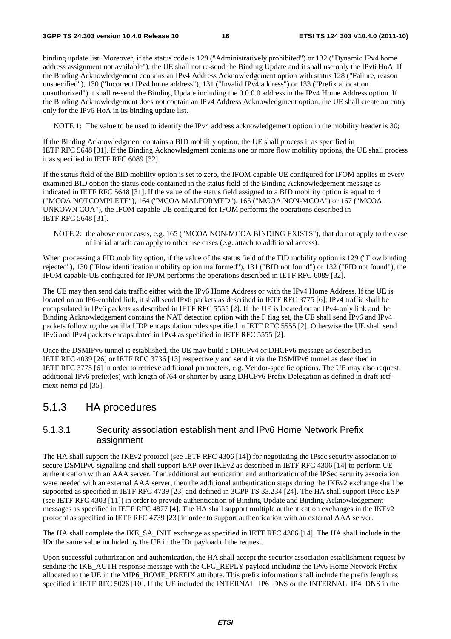binding update list. Moreover, if the status code is 129 ("Administratively prohibited") or 132 ("Dynamic IPv4 home address assignment not available"), the UE shall not re-send the Binding Update and it shall use only the IPv6 HoA. If the Binding Acknowledgement contains an IPv4 Address Acknowledgement option with status 128 ("Failure, reason unspecified"), 130 ("Incorrect IPv4 home address"), 131 ("Invalid IPv4 address") or 133 ("Prefix allocation unauthorized") it shall re-send the Binding Update including the 0.0.0.0 address in the IPv4 Home Address option. If the Binding Acknowledgement does not contain an IPv4 Address Acknowledgment option, the UE shall create an entry only for the IPv6 HoA in its binding update list.

NOTE 1: The value to be used to identify the IPv4 address acknowledgement option in the mobility header is 30;

If the Binding Acknowledgment contains a BID mobility option, the UE shall process it as specified in IETF RFC 5648 [31]. If the Binding Acknowledgment contains one or more flow mobility options, the UE shall process it as specified in IETF RFC 6089 [32].

If the status field of the BID mobility option is set to zero, the IFOM capable UE configured for IFOM applies to every examined BID option the status code contained in the status field of the Binding Acknowledgement message as indicated in IETF RFC 5648 [31]. If the value of the status field assigned to a BID mobility option is equal to 4 ("MCOA NOTCOMPLETE"), 164 ("MCOA MALFORMED"), 165 ("MCOA NON-MCOA") or 167 ("MCOA UNKOWN COA"), the IFOM capable UE configured for IFOM performs the operations described in IETF RFC 5648 [31].

NOTE 2: the above error cases, e.g. 165 ("MCOA NON-MCOA BINDING EXISTS"), that do not apply to the case of initial attach can apply to other use cases (e.g. attach to additional access).

When processing a FID mobility option, if the value of the status field of the FID mobility option is 129 ("Flow binding") rejected"), 130 ("Flow identification mobility option malformed"), 131 ("BID not found") or 132 ("FID not found"), the IFOM capable UE configured for IFOM performs the operations described in IETF RFC 6089 [32].

The UE may then send data traffic either with the IPv6 Home Address or with the IPv4 Home Address. If the UE is located on an IP6-enabled link, it shall send IPv6 packets as described in IETF RFC 3775 [6]; IPv4 traffic shall be encapsulated in IPv6 packets as described in IETF RFC 5555 [2]. If the UE is located on an IPv4-only link and the Binding Acknowledgement contains the NAT detection option with the F flag set, the UE shall send IPv6 and IPv4 packets following the vanilla UDP encapsulation rules specified in IETF RFC 5555 [2]. Otherwise the UE shall send IPv6 and IPv4 packets encapsulated in IPv4 as specified in IETF RFC 5555 [2].

Once the DSMIPv6 tunnel is established, the UE may build a DHCPv4 or DHCPv6 message as described in IETF RFC 4039 [26] or IETF RFC 3736 [13] respectively and send it via the DSMIPv6 tunnel as described in IETF RFC 3775 [6] in order to retrieve additional parameters, e.g. Vendor-specific options. The UE may also request additional IPv6 prefix(es) with length of /64 or shorter by using DHCPv6 Prefix Delegation as defined in draft-ietfmext-nemo-pd [35].

#### 5.1.3 HA procedures

#### 5.1.3.1 Security association establishment and IPv6 Home Network Prefix assignment

The HA shall support the IKEv2 protocol (see IETF RFC 4306 [14]) for negotiating the IPsec security association to secure DSMIPv6 signalling and shall support EAP over IKEv2 as described in IETF RFC 4306 [14] to perform UE authentication with an AAA server. If an additional authentication and authorization of the IPSec security association were needed with an external AAA server, then the additional authentication steps during the IKEv2 exchange shall be supported as specified in IETF RFC 4739 [23] and defined in 3GPP TS 33.234 [24]. The HA shall support IPsec ESP (see IETF RFC 4303 [11]) in order to provide authentication of Binding Update and Binding Acknowledgement messages as specified in IETF RFC 4877 [4]. The HA shall support multiple authentication exchanges in the IKEv2 protocol as specified in IETF RFC 4739 [23] in order to support authentication with an external AAA server.

The HA shall complete the IKE\_SA\_INIT exchange as specified in IETF RFC 4306 [14]. The HA shall include in the IDr the same value included by the UE in the IDr payload of the request.

Upon successful authorization and authentication, the HA shall accept the security association establishment request by sending the IKE\_AUTH response message with the CFG\_REPLY payload including the IPv6 Home Network Prefix allocated to the UE in the MIP6\_HOME\_PREFIX attribute. This prefix information shall include the prefix length as specified in IETF RFC 5026 [10]. If the UE included the INTERNAL IP6 DNS or the INTERNAL IP4 DNS in the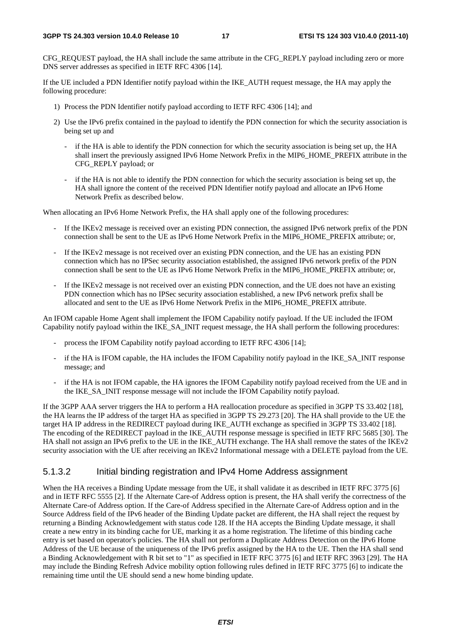CFG\_REQUEST payload, the HA shall include the same attribute in the CFG\_REPLY payload including zero or more DNS server addresses as specified in IETF RFC 4306 [14].

If the UE included a PDN Identifier notify payload within the IKE\_AUTH request message, the HA may apply the following procedure:

- 1) Process the PDN Identifier notify payload according to IETF RFC 4306 [14]; and
- 2) Use the IPv6 prefix contained in the payload to identify the PDN connection for which the security association is being set up and
	- if the HA is able to identify the PDN connection for which the security association is being set up, the HA shall insert the previously assigned IPv6 Home Network Prefix in the MIP6\_HOME\_PREFIX attribute in the CFG\_REPLY payload; or
	- if the HA is not able to identify the PDN connection for which the security association is being set up, the HA shall ignore the content of the received PDN Identifier notify payload and allocate an IPv6 Home Network Prefix as described below.

When allocating an IPv6 Home Network Prefix, the HA shall apply one of the following procedures:

- If the IKEv2 message is received over an existing PDN connection, the assigned IPv6 network prefix of the PDN connection shall be sent to the UE as IPv6 Home Network Prefix in the MIP6\_HOME\_PREFIX attribute; or,
- If the IKEv2 message is not received over an existing PDN connection, and the UE has an existing PDN connection which has no IPSec security association established, the assigned IPv6 network prefix of the PDN connection shall be sent to the UE as IPv6 Home Network Prefix in the MIP6\_HOME\_PREFIX attribute; or,
- If the IKEv2 message is not received over an existing PDN connection, and the UE does not have an existing PDN connection which has no IPSec security association established, a new IPv6 network prefix shall be allocated and sent to the UE as IPv6 Home Network Prefix in the MIP6\_HOME\_PREFIX attribute.

An IFOM capable Home Agent shall implement the IFOM Capability notify payload. If the UE included the IFOM Capability notify payload within the IKE\_SA\_INIT request message, the HA shall perform the following procedures:

- process the IFOM Capability notify payload according to IETF RFC 4306 [14];
- if the HA is IFOM capable, the HA includes the IFOM Capability notify payload in the IKE\_SA\_INIT response message; and
- if the HA is not IFOM capable, the HA ignores the IFOM Capability notify payload received from the UE and in the IKE\_SA\_INIT response message will not include the IFOM Capability notify payload.

If the 3GPP AAA server triggers the HA to perform a HA reallocation procedure as specified in 3GPP TS 33.402 [18], the HA learns the IP address of the target HA as specified in 3GPP TS 29.273 [20]. The HA shall provide to the UE the target HA IP address in the REDIRECT payload during IKE\_AUTH exchange as specified in 3GPP TS 33.402 [18]. The encoding of the REDIRECT payload in the IKE\_AUTH response message is specified in IETF RFC 5685 [30]. The HA shall not assign an IPv6 prefix to the UE in the IKE\_AUTH exchange. The HA shall remove the states of the IKEv2 security association with the UE after receiving an IKEv2 Informational message with a DELETE payload from the UE.

#### 5.1.3.2 Initial binding registration and IPv4 Home Address assignment

When the HA receives a Binding Update message from the UE, it shall validate it as described in IETF RFC 3775 [6] and in IETF RFC 5555 [2]. If the Alternate Care-of Address option is present, the HA shall verify the correctness of the Alternate Care-of Address option. If the Care-of Address specified in the Alternate Care-of Address option and in the Source Address field of the IPv6 header of the Binding Update packet are different, the HA shall reject the request by returning a Binding Acknowledgement with status code 128. If the HA accepts the Binding Update message, it shall create a new entry in its binding cache for UE, marking it as a home registration. The lifetime of this binding cache entry is set based on operator's policies. The HA shall not perform a Duplicate Address Detection on the IPv6 Home Address of the UE because of the uniqueness of the IPv6 prefix assigned by the HA to the UE. Then the HA shall send a Binding Acknowledgement with R bit set to "1" as specified in IETF RFC 3775 [6] and IETF RFC 3963 [29]. The HA may include the Binding Refresh Advice mobility option following rules defined in IETF RFC 3775 [6] to indicate the remaining time until the UE should send a new home binding update.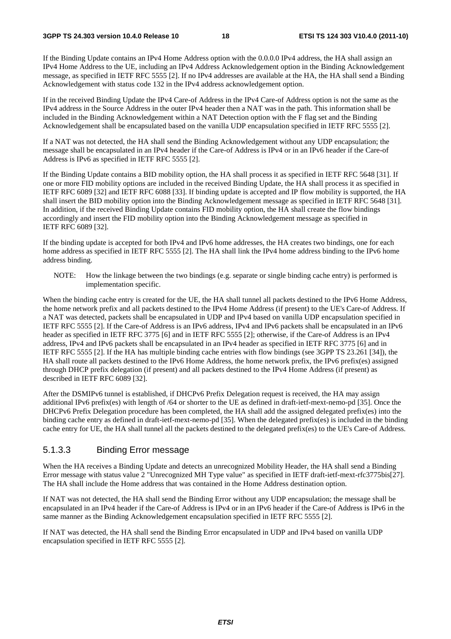If the Binding Update contains an IPv4 Home Address option with the 0.0.0.0 IPv4 address, the HA shall assign an IPv4 Home Address to the UE, including an IPv4 Address Acknowledgement option in the Binding Acknowledgement message, as specified in IETF RFC 5555 [2]. If no IPv4 addresses are available at the HA, the HA shall send a Binding Acknowledgement with status code 132 in the IPv4 address acknowledgement option.

If in the received Binding Update the IPv4 Care-of Address in the IPv4 Care-of Address option is not the same as the IPv4 address in the Source Address in the outer IPv4 header then a NAT was in the path. This information shall be included in the Binding Acknowledgement within a NAT Detection option with the F flag set and the Binding Acknowledgement shall be encapsulated based on the vanilla UDP encapsulation specified in IETF RFC 5555 [2].

If a NAT was not detected, the HA shall send the Binding Acknowledgement without any UDP encapsulation; the message shall be encapsulated in an IPv4 header if the Care-of Address is IPv4 or in an IPv6 header if the Care-of Address is IPv6 as specified in IETF RFC 5555 [2].

If the Binding Update contains a BID mobility option, the HA shall process it as specified in IETF RFC 5648 [31]. If one or more FID mobility options are included in the received Binding Update, the HA shall process it as specified in IETF RFC 6089 [32] and IETF RFC 6088 [33]. If binding update is accepted and IP flow mobility is supported, the HA shall insert the BID mobility option into the Binding Acknowledgement message as specified in IETF RFC 5648 [31]. In addition, if the received Binding Update contains FID mobility option, the HA shall create the flow bindings accordingly and insert the FID mobility option into the Binding Acknowledgement message as specified in IETF RFC 6089 [32].

If the binding update is accepted for both IPv4 and IPv6 home addresses, the HA creates two bindings, one for each home address as specified in IETF RFC 5555 [2]. The HA shall link the IPv4 home address binding to the IPv6 home address binding.

NOTE: How the linkage between the two bindings (e.g. separate or single binding cache entry) is performed is implementation specific.

When the binding cache entry is created for the UE, the HA shall tunnel all packets destined to the IPv6 Home Address, the home network prefix and all packets destined to the IPv4 Home Address (if present) to the UE's Care-of Address. If a NAT was detected, packets shall be encapsulated in UDP and IPv4 based on vanilla UDP encapsulation specified in IETF RFC 5555 [2]. If the Care-of Address is an IPv6 address, IPv4 and IPv6 packets shall be encapsulated in an IPv6 header as specified in IETF RFC 3775 [6] and in IETF RFC 5555 [2]; otherwise, if the Care-of Address is an IPv4 address, IPv4 and IPv6 packets shall be encapsulated in an IPv4 header as specified in IETF RFC 3775 [6] and in IETF RFC 5555 [2]. If the HA has multiple binding cache entries with flow bindings (see 3GPP TS 23.261 [34]), the HA shall route all packets destined to the IPv6 Home Address, the home network prefix, the IPv6 prefix(es) assigned through DHCP prefix delegation (if present) and all packets destined to the IPv4 Home Address (if present) as described in IETF RFC 6089 [32].

After the DSMIPv6 tunnel is established, if DHCPv6 Prefix Delegation request is received, the HA may assign additional IPv6 prefix(es) with length of /64 or shorter to the UE as defined in draft-ietf-mext-nemo-pd [35]. Once the DHCPv6 Prefix Delegation procedure has been completed, the HA shall add the assigned delegated prefix(es) into the binding cache entry as defined in draft-ietf-mext-nemo-pd [35]. When the delegated prefix(es) is included in the binding cache entry for UE, the HA shall tunnel all the packets destined to the delegated prefix(es) to the UE's Care-of Address.

#### 5.1.3.3 Binding Error message

When the HA receives a Binding Update and detects an unrecognized Mobility Header, the HA shall send a Binding Error message with status value 2 "Unrecognized MH Type value" as specified in IETF draft-ietf-mext-rfc3775bis[27]. The HA shall include the Home address that was contained in the Home Address destination option.

If NAT was not detected, the HA shall send the Binding Error without any UDP encapsulation; the message shall be encapsulated in an IPv4 header if the Care-of Address is IPv4 or in an IPv6 header if the Care-of Address is IPv6 in the same manner as the Binding Acknowledgement encapsulation specified in IETF RFC 5555 [2].

If NAT was detected, the HA shall send the Binding Error encapsulated in UDP and IPv4 based on vanilla UDP encapsulation specified in IETF RFC 5555 [2].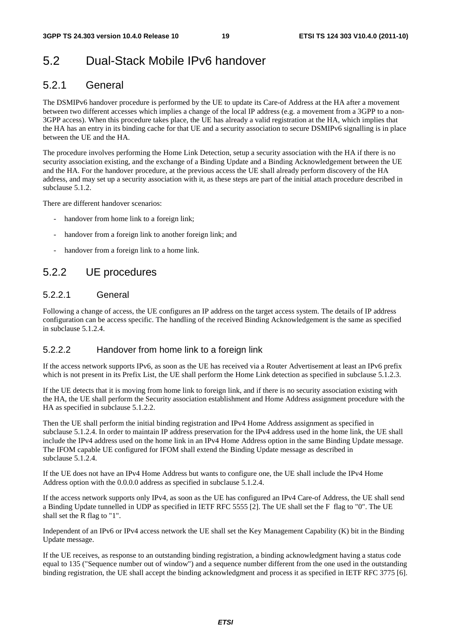### 5.2 Dual-Stack Mobile IPv6 handover

#### 5.2.1 General

The DSMIPv6 handover procedure is performed by the UE to update its Care-of Address at the HA after a movement between two different accesses which implies a change of the local IP address (e.g. a movement from a 3GPP to a non-3GPP access). When this procedure takes place, the UE has already a valid registration at the HA, which implies that the HA has an entry in its binding cache for that UE and a security association to secure DSMIPv6 signalling is in place between the UE and the HA.

The procedure involves performing the Home Link Detection, setup a security association with the HA if there is no security association existing, and the exchange of a Binding Update and a Binding Acknowledgement between the UE and the HA. For the handover procedure, at the previous access the UE shall already perform discovery of the HA address, and may set up a security association with it, as these steps are part of the initial attach procedure described in subclause 5.1.2.

There are different handover scenarios:

- handover from home link to a foreign link;
- handover from a foreign link to another foreign link; and
- handover from a foreign link to a home link.

### 5.2.2 UE procedures

#### 5.2.2.1 General

Following a change of access, the UE configures an IP address on the target access system. The details of IP address configuration can be access specific. The handling of the received Binding Acknowledgement is the same as specified in subclause 5.1.2.4.

#### 5.2.2.2 Handover from home link to a foreign link

If the access network supports IPv6, as soon as the UE has received via a Router Advertisement at least an IPv6 prefix which is not present in its Prefix List, the UE shall perform the Home Link detection as specified in subclause 5.1.2.3.

If the UE detects that it is moving from home link to foreign link, and if there is no security association existing with the HA, the UE shall perform the Security association establishment and Home Address assignment procedure with the HA as specified in subclause 5.1.2.2.

Then the UE shall perform the initial binding registration and IPv4 Home Address assignment as specified in subclause 5.1.2.4. In order to maintain IP address preservation for the IPv4 address used in the home link, the UE shall include the IPv4 address used on the home link in an IPv4 Home Address option in the same Binding Update message. The IFOM capable UE configured for IFOM shall extend the Binding Update message as described in subclause 5.1.2.4.

If the UE does not have an IPv4 Home Address but wants to configure one, the UE shall include the IPv4 Home Address option with the 0.0.0.0 address as specified in subclause 5.1.2.4.

If the access network supports only IPv4, as soon as the UE has configured an IPv4 Care-of Address, the UE shall send a Binding Update tunnelled in UDP as specified in IETF RFC 5555 [2]. The UE shall set the F flag to "0". The UE shall set the R flag to "1".

Independent of an IPv6 or IPv4 access network the UE shall set the Key Management Capability (K) bit in the Binding Update message.

If the UE receives, as response to an outstanding binding registration, a binding acknowledgment having a status code equal to 135 ("Sequence number out of window") and a sequence number different from the one used in the outstanding binding registration, the UE shall accept the binding acknowledgment and process it as specified in IETF RFC 3775 [6].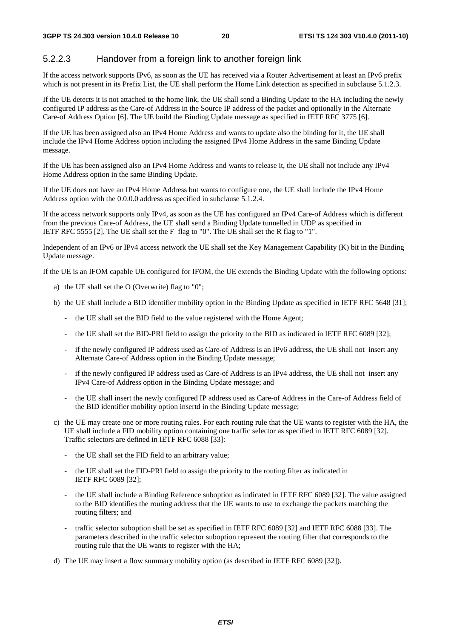#### 5.2.2.3 Handover from a foreign link to another foreign link

If the access network supports IPv6, as soon as the UE has received via a Router Advertisement at least an IPv6 prefix which is not present in its Prefix List, the UE shall perform the Home Link detection as specified in subclause 5.1.2.3.

If the UE detects it is not attached to the home link, the UE shall send a Binding Update to the HA including the newly configured IP address as the Care-of Address in the Source IP address of the packet and optionally in the Alternate Care-of Address Option [6]. The UE build the Binding Update message as specified in IETF RFC 3775 [6].

If the UE has been assigned also an IPv4 Home Address and wants to update also the binding for it, the UE shall include the IPv4 Home Address option including the assigned IPv4 Home Address in the same Binding Update message.

If the UE has been assigned also an IPv4 Home Address and wants to release it, the UE shall not include any IPv4 Home Address option in the same Binding Update.

If the UE does not have an IPv4 Home Address but wants to configure one, the UE shall include the IPv4 Home Address option with the 0.0.0.0 address as specified in subclause 5.1.2.4.

If the access network supports only IPv4, as soon as the UE has configured an IPv4 Care-of Address which is different from the previous Care-of Address, the UE shall send a Binding Update tunnelled in UDP as specified in IETF RFC 5555 [2]. The UE shall set the F flag to "0". The UE shall set the R flag to "1".

Independent of an IPv6 or IPv4 access network the UE shall set the Key Management Capability (K) bit in the Binding Update message.

If the UE is an IFOM capable UE configured for IFOM, the UE extends the Binding Update with the following options:

- a) the UE shall set the O (Overwrite) flag to "0";
- b) the UE shall include a BID identifier mobility option in the Binding Update as specified in IETF RFC 5648 [31];
	- the UE shall set the BID field to the value registered with the Home Agent;
	- the UE shall set the BID-PRI field to assign the priority to the BID as indicated in IETF RFC 6089 [32];
	- if the newly configured IP address used as Care-of Address is an IPv6 address, the UE shall not insert any Alternate Care-of Address option in the Binding Update message;
	- if the newly configured IP address used as Care-of Address is an IPv4 address, the UE shall not insert any IPv4 Care-of Address option in the Binding Update message; and
	- the UE shall insert the newly configured IP address used as Care-of Address in the Care-of Address field of the BID identifier mobility option insertd in the Binding Update message;
- c) the UE may create one or more routing rules. For each routing rule that the UE wants to register with the HA, the UE shall include a FID mobility option containing one traffic selector as specified in IETF RFC 6089 [32]. Traffic selectors are defined in IETF RFC 6088 [33]:
	- the UE shall set the FID field to an arbitrary value;
	- the UE shall set the FID-PRI field to assign the priority to the routing filter as indicated in IETF RFC 6089 [32];
	- the UE shall include a Binding Reference suboption as indicated in IETF RFC 6089 [32]. The value assigned to the BID identifies the routing address that the UE wants to use to exchange the packets matching the routing filters; and
	- traffic selector suboption shall be set as specified in IETF RFC 6089 [32] and IETF RFC 6088 [33]. The parameters described in the traffic selector suboption represent the routing filter that corresponds to the routing rule that the UE wants to register with the HA;
- d) The UE may insert a flow summary mobility option (as described in IETF RFC 6089 [32]).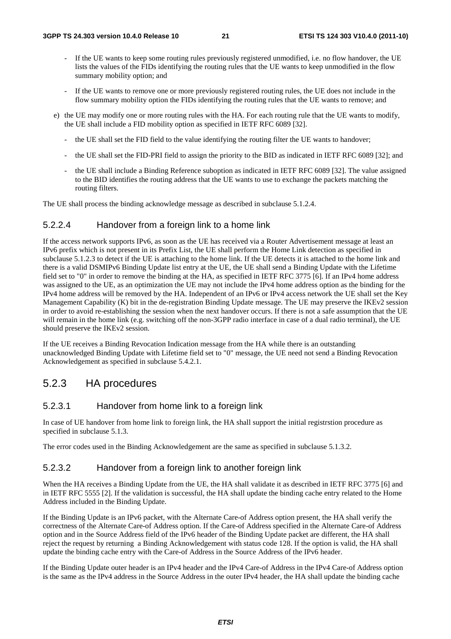- If the UE wants to keep some routing rules previously registered unmodified, i.e. no flow handover, the UE lists the values of the FIDs identifying the routing rules that the UE wants to keep unmodified in the flow summary mobility option; and
- If the UE wants to remove one or more previously registered routing rules, the UE does not include in the flow summary mobility option the FIDs identifying the routing rules that the UE wants to remove; and
- e) the UE may modify one or more routing rules with the HA. For each routing rule that the UE wants to modify, the UE shall include a FID mobility option as specified in IETF RFC 6089 [32].
	- the UE shall set the FID field to the value identifying the routing filter the UE wants to handover;
	- the UE shall set the FID-PRI field to assign the priority to the BID as indicated in IETF RFC 6089 [32]; and
	- the UE shall include a Binding Reference suboption as indicated in IETF RFC 6089 [32]. The value assigned to the BID identifies the routing address that the UE wants to use to exchange the packets matching the routing filters.

The UE shall process the binding acknowledge message as described in subclause 5.1.2.4.

#### 5.2.2.4 Handover from a foreign link to a home link

If the access network supports IPv6, as soon as the UE has received via a Router Advertisement message at least an IPv6 prefix which is not present in its Prefix List, the UE shall perform the Home Link detection as specified in subclause 5.1.2.3 to detect if the UE is attaching to the home link. If the UE detects it is attached to the home link and there is a valid DSMIPv6 Binding Update list entry at the UE, the UE shall send a Binding Update with the Lifetime field set to "0" in order to remove the binding at the HA, as specified in IETF RFC 3775 [6]. If an IPv4 home address was assigned to the UE, as an optimization the UE may not include the IPv4 home address option as the binding for the IPv4 home address will be removed by the HA. Independent of an IPv6 or IPv4 access network the UE shall set the Key Management Capability (K) bit in the de-registration Binding Update message. The UE may preserve the IKEv2 session in order to avoid re-establishing the session when the next handover occurs. If there is not a safe assumption that the UE will remain in the home link (e.g. switching off the non-3GPP radio interface in case of a dual radio terminal), the UE should preserve the IKEv2 session.

If the UE receives a Binding Revocation Indication message from the HA while there is an outstanding unacknowledged Binding Update with Lifetime field set to "0" message, the UE need not send a Binding Revocation Acknowledgement as specified in subclause 5.4.2.1.

#### 5.2.3 HA procedures

#### 5.2.3.1 Handover from home link to a foreign link

In case of UE handover from home link to foreign link, the HA shall support the initial registrstion procedure as specified in subclause 5.1.3.

The error codes used in the Binding Acknowledgement are the same as specified in subclause 5.1.3.2.

#### 5.2.3.2 Handover from a foreign link to another foreign link

When the HA receives a Binding Update from the UE, the HA shall validate it as described in IETF RFC 3775 [6] and in IETF RFC 5555 [2]. If the validation is successful, the HA shall update the binding cache entry related to the Home Address included in the Binding Update.

If the Binding Update is an IPv6 packet, with the Alternate Care-of Address option present, the HA shall verify the correctness of the Alternate Care-of Address option. If the Care-of Address specified in the Alternate Care-of Address option and in the Source Address field of the IPv6 header of the Binding Update packet are different, the HA shall reject the request by returning a Binding Acknowledgement with status code 128. If the option is valid, the HA shall update the binding cache entry with the Care-of Address in the Source Address of the IPv6 header.

If the Binding Update outer header is an IPv4 header and the IPv4 Care-of Address in the IPv4 Care-of Address option is the same as the IPv4 address in the Source Address in the outer IPv4 header, the HA shall update the binding cache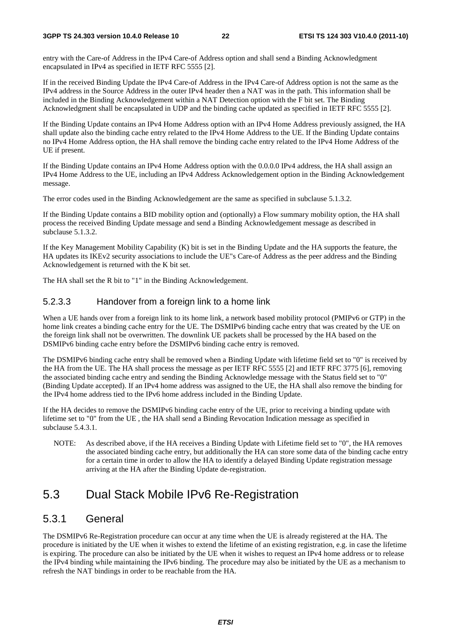entry with the Care-of Address in the IPv4 Care-of Address option and shall send a Binding Acknowledgment encapsulated in IPv4 as specified in IETF RFC 5555 [2].

If in the received Binding Update the IPv4 Care-of Address in the IPv4 Care-of Address option is not the same as the IPv4 address in the Source Address in the outer IPv4 header then a NAT was in the path. This information shall be included in the Binding Acknowledgement within a NAT Detection option with the F bit set. The Binding Acknowledgment shall be encapsulated in UDP and the binding cache updated as specified in IETF RFC 5555 [2].

If the Binding Update contains an IPv4 Home Address option with an IPv4 Home Address previously assigned, the HA shall update also the binding cache entry related to the IPv4 Home Address to the UE. If the Binding Update contains no IPv4 Home Address option, the HA shall remove the binding cache entry related to the IPv4 Home Address of the UE if present.

If the Binding Update contains an IPv4 Home Address option with the 0.0.0.0 IPv4 address, the HA shall assign an IPv4 Home Address to the UE, including an IPv4 Address Acknowledgement option in the Binding Acknowledgement message.

The error codes used in the Binding Acknowledgement are the same as specified in subclause 5.1.3.2.

If the Binding Update contains a BID mobility option and (optionally) a Flow summary mobility option, the HA shall process the received Binding Update message and send a Binding Acknowledgement message as described in subclause 5.1.3.2.

If the Key Management Mobility Capability (K) bit is set in the Binding Update and the HA supports the feature, the HA updates its IKEv2 security associations to include the UE"s Care-of Address as the peer address and the Binding Acknowledgement is returned with the K bit set.

The HA shall set the R bit to "1" in the Binding Acknowledgement.

#### 5.2.3.3 Handover from a foreign link to a home link

When a UE hands over from a foreign link to its home link, a network based mobility protocol (PMIPv6 or GTP) in the home link creates a binding cache entry for the UE. The DSMIPv6 binding cache entry that was created by the UE on the foreign link shall not be overwritten. The downlink UE packets shall be processed by the HA based on the DSMIPv6 binding cache entry before the DSMIPv6 binding cache entry is removed.

The DSMIPv6 binding cache entry shall be removed when a Binding Update with lifetime field set to "0" is received by the HA from the UE. The HA shall process the message as per IETF RFC 5555 [2] and IETF RFC 3775 [6], removing the associated binding cache entry and sending the Binding Acknowledge message with the Status field set to "0" (Binding Update accepted). If an IPv4 home address was assigned to the UE, the HA shall also remove the binding for the IPv4 home address tied to the IPv6 home address included in the Binding Update.

If the HA decides to remove the DSMIPv6 binding cache entry of the UE, prior to receiving a binding update with lifetime set to "0" from the UE , the HA shall send a Binding Revocation Indication message as specified in subclause 5.4.3.1.

NOTE: As described above, if the HA receives a Binding Update with Lifetime field set to "0", the HA removes the associated binding cache entry, but additionally the HA can store some data of the binding cache entry for a certain time in order to allow the HA to identify a delayed Binding Update registration message arriving at the HA after the Binding Update de-registration.

### 5.3 Dual Stack Mobile IPv6 Re-Registration

#### 5.3.1 General

The DSMIPv6 Re-Registration procedure can occur at any time when the UE is already registered at the HA. The procedure is initiated by the UE when it wishes to extend the lifetime of an existing registration, e.g. in case the lifetime is expiring. The procedure can also be initiated by the UE when it wishes to request an IPv4 home address or to release the IPv4 binding while maintaining the IPv6 binding. The procedure may also be initiated by the UE as a mechanism to refresh the NAT bindings in order to be reachable from the HA.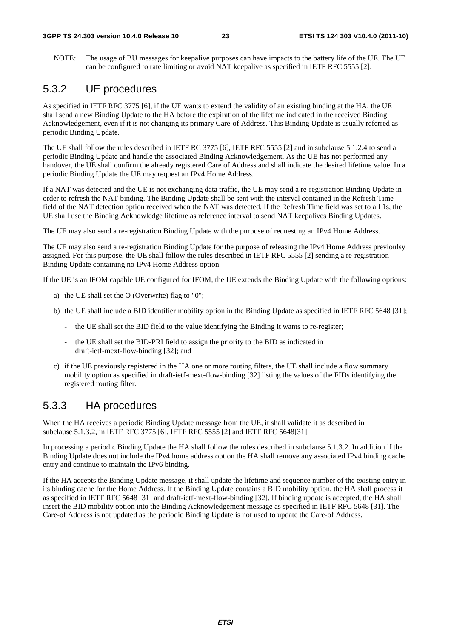NOTE: The usage of BU messages for keepalive purposes can have impacts to the battery life of the UE. The UE can be configured to rate limiting or avoid NAT keepalive as specified in IETF RFC 5555 [2].

#### 5.3.2 UE procedures

As specified in IETF RFC 3775 [6], if the UE wants to extend the validity of an existing binding at the HA, the UE shall send a new Binding Update to the HA before the expiration of the lifetime indicated in the received Binding Acknowledgement, even if it is not changing its primary Care-of Address. This Binding Update is usually referred as periodic Binding Update.

The UE shall follow the rules described in IETF RC 3775 [6], IETF RFC 5555 [2] and in subclause 5.1.2.4 to send a periodic Binding Update and handle the associated Binding Acknowledgement. As the UE has not performed any handover, the UE shall confirm the already registered Care of Address and shall indicate the desired lifetime value. In a periodic Binding Update the UE may request an IPv4 Home Address.

If a NAT was detected and the UE is not exchanging data traffic, the UE may send a re-registration Binding Update in order to refresh the NAT binding. The Binding Update shall be sent with the interval contained in the Refresh Time field of the NAT detection option received when the NAT was detected. If the Refresh Time field was set to all 1s, the UE shall use the Binding Acknowledge lifetime as reference interval to send NAT keepalives Binding Updates.

The UE may also send a re-registration Binding Update with the purpose of requesting an IPv4 Home Address.

The UE may also send a re-registration Binding Update for the purpose of releasing the IPv4 Home Address previoulsy assigned. For this purpose, the UE shall follow the rules described in IETF RFC 5555 [2] sending a re-registration Binding Update containing no IPv4 Home Address option.

If the UE is an IFOM capable UE configured for IFOM, the UE extends the Binding Update with the following options:

- a) the UE shall set the O (Overwrite) flag to "0";
- b) the UE shall include a BID identifier mobility option in the Binding Update as specified in IETF RFC 5648 [31];
	- the UE shall set the BID field to the value identifying the Binding it wants to re-register;
	- the UE shall set the BID-PRI field to assign the priority to the BID as indicated in draft-ietf-mext-flow-binding [32]; and
- c) if the UE previously registered in the HA one or more routing filters, the UE shall include a flow summary mobility option as specified in draft-ietf-mext-flow-binding [32] listing the values of the FIDs identifying the registered routing filter.

### 5.3.3 HA procedures

When the HA receives a periodic Binding Update message from the UE, it shall validate it as described in subclause 5.1.3.2, in IETF RFC 3775 [6], IETF RFC 5555 [2] and IETF RFC 5648[31].

In processing a periodic Binding Update the HA shall follow the rules described in subclause 5.1.3.2. In addition if the Binding Update does not include the IPv4 home address option the HA shall remove any associated IPv4 binding cache entry and continue to maintain the IPv6 binding.

If the HA accepts the Binding Update message, it shall update the lifetime and sequence number of the existing entry in its binding cache for the Home Address. If the Binding Update contains a BID mobility option, the HA shall process it as specified in IETF RFC 5648 [31] and draft-ietf-mext-flow-binding [32]. If binding update is accepted, the HA shall insert the BID mobility option into the Binding Acknowledgement message as specified in IETF RFC 5648 [31]. The Care-of Address is not updated as the periodic Binding Update is not used to update the Care-of Address.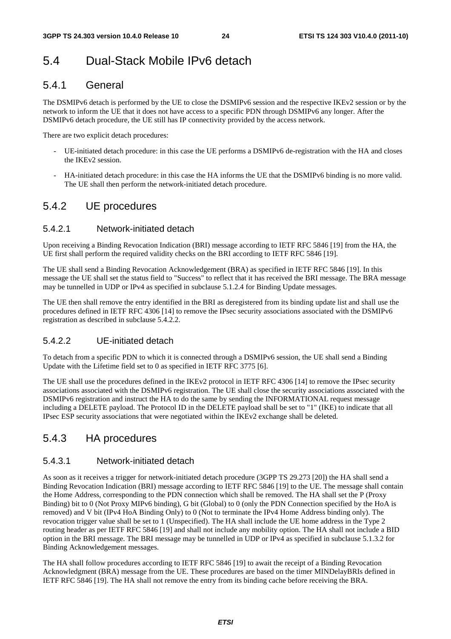## 5.4 Dual-Stack Mobile IPv6 detach

### 5.4.1 General

The DSMIPv6 detach is performed by the UE to close the DSMIPv6 session and the respective IKEv2 session or by the network to inform the UE that it does not have access to a specific PDN through DSMIPv6 any longer. After the DSMIPv6 detach procedure, the UE still has IP connectivity provided by the access network.

There are two explicit detach procedures:

- UE-initiated detach procedure: in this case the UE performs a DSMIPv6 de-registration with the HA and closes the IKEv2 session.
- HA-initiated detach procedure: in this case the HA informs the UE that the DSMIPv6 binding is no more valid. The UE shall then perform the network-initiated detach procedure.

### 5.4.2 UE procedures

#### 5.4.2.1 Network-initiated detach

Upon receiving a Binding Revocation Indication (BRI) message according to IETF RFC 5846 [19] from the HA, the UE first shall perform the required validity checks on the BRI according to IETF RFC 5846 [19].

The UE shall send a Binding Revocation Acknowledgement (BRA) as specified in IETF RFC 5846 [19]. In this message the UE shall set the status field to "Success" to reflect that it has received the BRI message. The BRA message may be tunnelled in UDP or IPv4 as specified in subclause 5.1.2.4 for Binding Update messages.

The UE then shall remove the entry identified in the BRI as deregistered from its binding update list and shall use the procedures defined in IETF RFC 4306 [14] to remove the IPsec security associations associated with the DSMIPv6 registration as described in subclause 5.4.2.2.

#### 5.4.2.2 UE-initiated detach

To detach from a specific PDN to which it is connected through a DSMIPv6 session, the UE shall send a Binding Update with the Lifetime field set to 0 as specified in IETF RFC 3775 [6].

The UE shall use the procedures defined in the IKEv2 protocol in IETF RFC 4306 [14] to remove the IPsec security associations associated with the DSMIPv6 registration. The UE shall close the security associations associated with the DSMIPv6 registration and instruct the HA to do the same by sending the INFORMATIONAL request message including a DELETE payload. The Protocol ID in the DELETE payload shall be set to "1" (IKE) to indicate that all IPsec ESP security associations that were negotiated within the IKEv2 exchange shall be deleted.

### 5.4.3 HA procedures

#### 5.4.3.1 Network-initiated detach

As soon as it receives a trigger for network-initiated detach procedure (3GPP TS 29.273 [20]) the HA shall send a Binding Revocation Indication (BRI) message according to IETF RFC 5846 [19] to the UE. The message shall contain the Home Address, corresponding to the PDN connection which shall be removed. The HA shall set the P (Proxy Binding) bit to 0 (Not Proxy MIPv6 binding), G bit (Global) to 0 (only the PDN Connection specified by the HoA is removed) and V bit (IPv4 HoA Binding Only) to 0 (Not to terminate the IPv4 Home Address binding only). The revocation trigger value shall be set to 1 (Unspecified). The HA shall include the UE home address in the Type 2 routing header as per IETF RFC 5846 [19] and shall not include any mobility option. The HA shall not include a BID option in the BRI message. The BRI message may be tunnelled in UDP or IPv4 as specified in subclause 5.1.3.2 for Binding Acknowledgement messages.

The HA shall follow procedures according to IETF RFC 5846 [19] to await the receipt of a Binding Revocation Acknowledgment (BRA) message from the UE. These procedures are based on the timer MINDelayBRIs defined in IETF RFC 5846 [19]. The HA shall not remove the entry from its binding cache before receiving the BRA.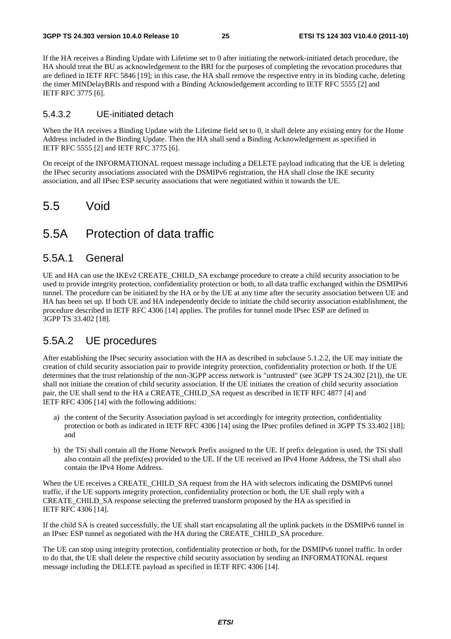If the HA receives a Binding Update with Lifetime set to 0 after initiating the network-initiated detach procedure, the HA should treat the BU as acknowledgement to the BRI for the purposes of completing the revocation procedures that are defined in IETF RFC 5846 [19]; in this case, the HA shall remove the respective entry in its binding cache, deleting the timer MINDelayBRIs and respond with a Binding Acknowledgement according to IETF RFC 5555 [2] and IETF RFC 3775 [6].

#### 5.4.3.2 UE-initiated detach

When the HA receives a Binding Update with the Lifetime field set to 0, it shall delete any existing entry for the Home Address included in the Binding Update. Then the HA shall send a Binding Acknowledgement as specified in IETF RFC 5555 [2] and IETF RFC 3775 [6].

On receipt of the INFORMATIONAL request message including a DELETE payload indicating that the UE is deleting the IPsec security associations associated with the DSMIPv6 registration, the HA shall close the IKE security association, and all IPsec ESP security associations that were negotiated within it towards the UE.

### 5.5 Void

### 5.5A Protection of data traffic

#### 5.5A.1 General

UE and HA can use the IKEv2 CREATE\_CHILD\_SA exchange procedure to create a child security association to be used to provide integrity protection, confidentiality protection or both, to all data traffic exchanged within the DSMIPv6 tunnel. The procedure can be initiated by the HA or by the UE at any time after the security association between UE and HA has been set up. If both UE and HA independently decide to initiate the child security association establishment, the procedure described in IETF RFC 4306 [14] applies. The profiles for tunnel mode IPsec ESP are defined in 3GPP TS 33.402 [18].

#### 5.5A.2 UE procedures

After establishing the IPsec security association with the HA as described in subclause 5.1.2.2, the UE may initiate the creation of child security association pair to provide integrity protection, confidentiality protection or both. If the UE determines that the trust relationship of the non-3GPP access network is "untrusted" (see 3GPP TS 24.302 [21]), the UE shall not initiate the creation of child security association. If the UE initiates the creation of child security association pair, the UE shall send to the HA a CREATE\_CHILD\_SA request as described in IETF RFC 4877 [4] and IETF RFC 4306 [14] with the following additions:

- a) the content of the Security Association payload is set accordingly for integrity protection, confidentiality protection or both as indicated in IETF RFC 4306 [14] using the IPsec profiles defined in 3GPP TS 33.402 [18]; and
- b) the TSi shall contain all the Home Network Prefix assigned to the UE. If prefix delegation is used, the TSi shall also contain all the prefix(es) provided to the UE. If the UE received an IPv4 Home Address, the TSi shall also contain the IPv4 Home Address.

When the UE receives a CREATE\_CHILD\_SA request from the HA with selectors indicating the DSMIPv6 tunnel traffic, if the UE supports integrity protection, confidentiality protection or both, the UE shall reply with a CREATE\_CHILD\_SA response selecting the preferred transform proposed by the HA as specified in IETF RFC 4306 [14].

If the child SA is created successfully, the UE shall start encapsulating all the uplink packets in the DSMIPv6 tunnel in an IPsec ESP tunnel as negotiated with the HA during the CREATE\_CHILD\_SA procedure.

The UE can stop using integrity protection, confidentiality protection or both, for the DSMIPv6 tunnel traffic. In order to do that, the UE shall delete the respective child security association by sending an INFORMATIONAL request message including the DELETE payload as specified in IETF RFC 4306 [14].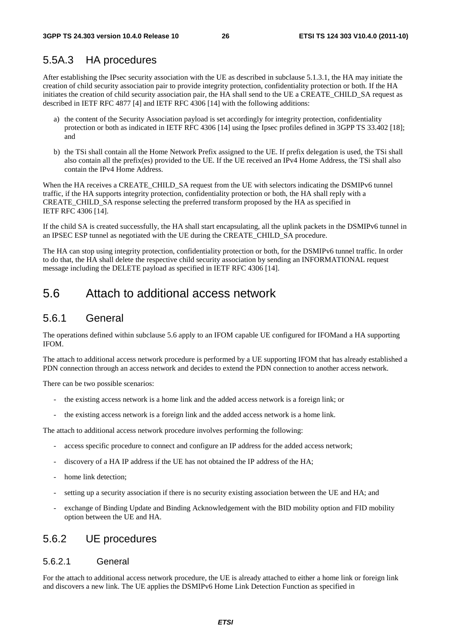### 5.5A.3 HA procedures

After establishing the IPsec security association with the UE as described in subclause 5.1.3.1, the HA may initiate the creation of child security association pair to provide integrity protection, confidentiality protection or both. If the HA initiates the creation of child security association pair, the HA shall send to the UE a CREATE\_CHILD\_SA request as described in IETF RFC 4877 [4] and IETF RFC 4306 [14] with the following additions:

- a) the content of the Security Association payload is set accordingly for integrity protection, confidentiality protection or both as indicated in IETF RFC 4306 [14] using the Ipsec profiles defined in 3GPP TS 33.402 [18]; and
- b) the TSi shall contain all the Home Network Prefix assigned to the UE. If prefix delegation is used, the TSi shall also contain all the prefix(es) provided to the UE. If the UE received an IPv4 Home Address, the TSi shall also contain the IPv4 Home Address.

When the HA receives a CREATE\_CHILD\_SA request from the UE with selectors indicating the DSMIPv6 tunnel traffic, if the HA supports integrity protection, confidentiality protection or both, the HA shall reply with a CREATE\_CHILD\_SA response selecting the preferred transform proposed by the HA as specified in IETF RFC 4306 [14].

If the child SA is created successfully, the HA shall start encapsulating, all the uplink packets in the DSMIPv6 tunnel in an IPSEC ESP tunnel as negotiated with the UE during the CREATE\_CHILD\_SA procedure.

The HA can stop using integrity protection, confidentiality protection or both, for the DSMIPv6 tunnel traffic. In order to do that, the HA shall delete the respective child security association by sending an INFORMATIONAL request message including the DELETE payload as specified in IETF RFC 4306 [14].

### 5.6 Attach to additional access network

### 5.6.1 General

The operations defined within subclause 5.6 apply to an IFOM capable UE configured for IFOMand a HA supporting IFOM.

The attach to additional access network procedure is performed by a UE supporting IFOM that has already established a PDN connection through an access network and decides to extend the PDN connection to another access network.

There can be two possible scenarios:

- the existing access network is a home link and the added access network is a foreign link; or
- the existing access network is a foreign link and the added access network is a home link.

The attach to additional access network procedure involves performing the following:

- access specific procedure to connect and configure an IP address for the added access network;
- discovery of a HA IP address if the UE has not obtained the IP address of the HA;
- home link detection;
- setting up a security association if there is no security existing association between the UE and HA; and
- exchange of Binding Update and Binding Acknowledgement with the BID mobility option and FID mobility option between the UE and HA.

### 5.6.2 UE procedures

#### 5.6.2.1 General

For the attach to additional access network procedure, the UE is already attached to either a home link or foreign link and discovers a new link. The UE applies the DSMIPv6 Home Link Detection Function as specified in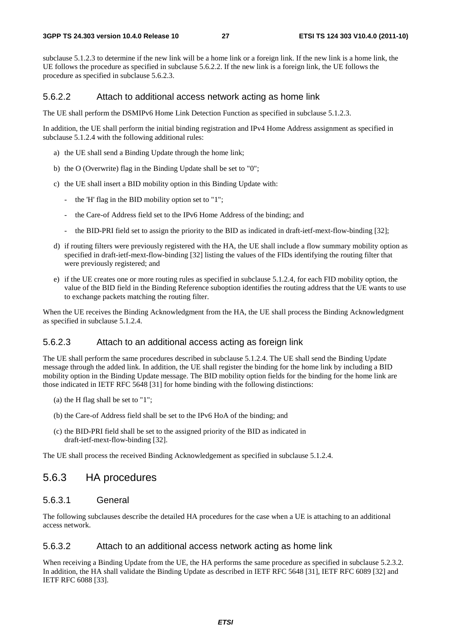subclause 5.1.2.3 to determine if the new link will be a home link or a foreign link. If the new link is a home link, the UE follows the procedure as specified in subclause 5.6.2.2. If the new link is a foreign link, the UE follows the procedure as specified in subclause 5.6.2.3.

#### 5.6.2.2 Attach to additional access network acting as home link

The UE shall perform the DSMIPv6 Home Link Detection Function as specified in subclause 5.1.2.3.

In addition, the UE shall perform the initial binding registration and IPv4 Home Address assignment as specified in subclause 5.1.2.4 with the following additional rules:

- a) the UE shall send a Binding Update through the home link;
- b) the O (Overwrite) flag in the Binding Update shall be set to "0";
- c) the UE shall insert a BID mobility option in this Binding Update with:
	- the 'H' flag in the BID mobility option set to "1";
	- the Care-of Address field set to the IPv6 Home Address of the binding; and
	- the BID-PRI field set to assign the priority to the BID as indicated in draft-ietf-mext-flow-binding [32];
- d) if routing filters were previously registered with the HA, the UE shall include a flow summary mobility option as specified in draft-ietf-mext-flow-binding [32] listing the values of the FIDs identifying the routing filter that were previously registered; and
- e) if the UE creates one or more routing rules as specified in subclause 5.1.2.4, for each FID mobility option, the value of the BID field in the Binding Reference suboption identifies the routing address that the UE wants to use to exchange packets matching the routing filter.

When the UE receives the Binding Acknowledgment from the HA, the UE shall process the Binding Acknowledgment as specified in subclause 5.1.2.4.

#### 5.6.2.3 Attach to an additional access acting as foreign link

The UE shall perform the same procedures described in subclause 5.1.2.4. The UE shall send the Binding Update message through the added link. In addition, the UE shall register the binding for the home link by including a BID mobility option in the Binding Update message. The BID mobility option fields for the binding for the home link are those indicated in IETF RFC 5648 [31] for home binding with the following distinctions:

- (a) the H flag shall be set to "1";
- (b) the Care-of Address field shall be set to the IPv6 HoA of the binding; and
- (c) the BID-PRI field shall be set to the assigned priority of the BID as indicated in draft-ietf-mext-flow-binding [32].

The UE shall process the received Binding Acknowledgement as specified in subclause 5.1.2.4.

#### 5.6.3 HA procedures

#### 5.6.3.1 General

The following subclauses describe the detailed HA procedures for the case when a UE is attaching to an additional access network.

#### 5.6.3.2 Attach to an additional access network acting as home link

When receiving a Binding Update from the UE, the HA performs the same procedure as specified in subclause 5.2.3.2. In addition, the HA shall validate the Binding Update as described in IETF RFC 5648 [31], IETF RFC 6089 [32] and IETF RFC 6088 [33].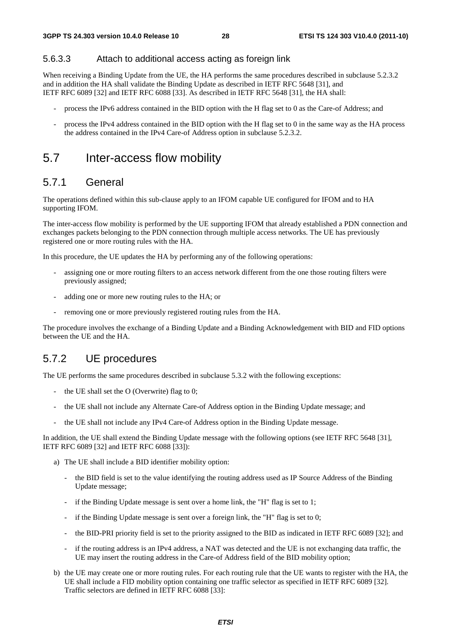#### 5.6.3.3 Attach to additional access acting as foreign link

When receiving a Binding Update from the UE, the HA performs the same procedures described in subclause 5.2.3.2 and in addition the HA shall validate the Binding Update as described in IETF RFC 5648 [31], and IETF RFC 6089 [32] and IETF RFC 6088 [33]. As described in IETF RFC 5648 [31], the HA shall:

- process the IPv6 address contained in the BID option with the H flag set to 0 as the Care-of Address; and
- process the IPv4 address contained in the BID option with the H flag set to 0 in the same way as the HA process the address contained in the IPv4 Care-of Address option in subclause 5.2.3.2.

### 5.7 Inter-access flow mobility

### 5.7.1 General

The operations defined within this sub-clause apply to an IFOM capable UE configured for IFOM and to HA supporting IFOM.

The inter-access flow mobility is performed by the UE supporting IFOM that already established a PDN connection and exchanges packets belonging to the PDN connection through multiple access networks. The UE has previously registered one or more routing rules with the HA.

In this procedure, the UE updates the HA by performing any of the following operations:

- assigning one or more routing filters to an access network different from the one those routing filters were previously assigned;
- adding one or more new routing rules to the HA; or
- removing one or more previously registered routing rules from the HA.

The procedure involves the exchange of a Binding Update and a Binding Acknowledgement with BID and FID options between the UE and the HA.

### 5.7.2 UE procedures

The UE performs the same procedures described in subclause 5.3.2 with the following exceptions:

- the UE shall set the O (Overwrite) flag to 0;
- the UE shall not include any Alternate Care-of Address option in the Binding Update message; and
- the UE shall not include any IPv4 Care-of Address option in the Binding Update message.

In addition, the UE shall extend the Binding Update message with the following options (see IETF RFC 5648 [31], IETF RFC 6089 [32] and IETF RFC 6088 [33]):

- a) The UE shall include a BID identifier mobility option:
	- the BID field is set to the value identifying the routing address used as IP Source Address of the Binding Update message;
	- if the Binding Update message is sent over a home link, the "H" flag is set to 1;
	- if the Binding Update message is sent over a foreign link, the "H" flag is set to  $0$ ;
	- the BID-PRI priority field is set to the priority assigned to the BID as indicated in IETF RFC 6089 [32]; and
	- if the routing address is an IPv4 address, a NAT was detected and the UE is not exchanging data traffic, the UE may insert the routing address in the Care-of Address field of the BID mobility option;
- b) the UE may create one or more routing rules. For each routing rule that the UE wants to register with the HA, the UE shall include a FID mobility option containing one traffic selector as specified in IETF RFC 6089 [32]. Traffic selectors are defined in IETF RFC 6088 [33]: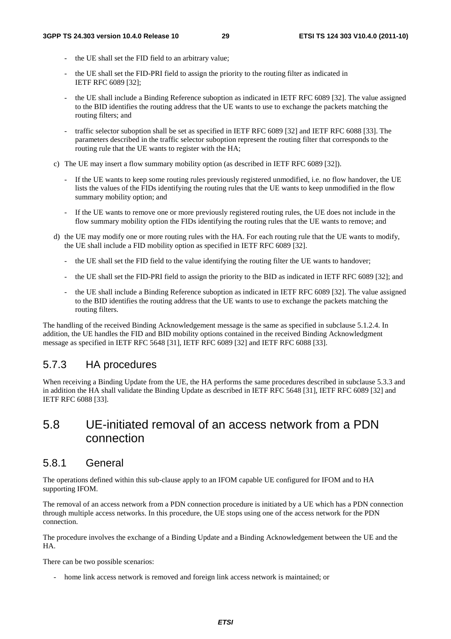- the UE shall set the FID field to an arbitrary value;
- the UE shall set the FID-PRI field to assign the priority to the routing filter as indicated in IETF RFC 6089 [32];
- the UE shall include a Binding Reference suboption as indicated in IETF RFC 6089 [32]. The value assigned to the BID identifies the routing address that the UE wants to use to exchange the packets matching the routing filters; and
- traffic selector suboption shall be set as specified in IETF RFC 6089 [32] and IETF RFC 6088 [33]. The parameters described in the traffic selector suboption represent the routing filter that corresponds to the routing rule that the UE wants to register with the HA;
- c) The UE may insert a flow summary mobility option (as described in IETF RFC 6089 [32]).
	- If the UE wants to keep some routing rules previously registered unmodified, i.e. no flow handover, the UE lists the values of the FIDs identifying the routing rules that the UE wants to keep unmodified in the flow summary mobility option; and
	- If the UE wants to remove one or more previously registered routing rules, the UE does not include in the flow summary mobility option the FIDs identifying the routing rules that the UE wants to remove; and
- d) the UE may modify one or more routing rules with the HA. For each routing rule that the UE wants to modify, the UE shall include a FID mobility option as specified in IETF RFC 6089 [32].
	- the UE shall set the FID field to the value identifying the routing filter the UE wants to handover;
	- the UE shall set the FID-PRI field to assign the priority to the BID as indicated in IETF RFC 6089 [32]; and
	- the UE shall include a Binding Reference suboption as indicated in IETF RFC 6089 [32]. The value assigned to the BID identifies the routing address that the UE wants to use to exchange the packets matching the routing filters.

The handling of the received Binding Acknowledgement message is the same as specified in subclause 5.1.2.4. In addition, the UE handles the FID and BID mobility options contained in the received Binding Acknowledgment message as specified in IETF RFC 5648 [31], IETF RFC 6089 [32] and IETF RFC 6088 [33].

### 5.7.3 HA procedures

When receiving a Binding Update from the UE, the HA performs the same procedures described in subclause 5.3.3 and in addition the HA shall validate the Binding Update as described in IETF RFC 5648 [31], IETF RFC 6089 [32] and IETF RFC 6088 [33].

### 5.8 UE-initiated removal of an access network from a PDN connection

### 5.8.1 General

The operations defined within this sub-clause apply to an IFOM capable UE configured for IFOM and to HA supporting IFOM.

The removal of an access network from a PDN connection procedure is initiated by a UE which has a PDN connection through multiple access networks. In this procedure, the UE stops using one of the access network for the PDN connection.

The procedure involves the exchange of a Binding Update and a Binding Acknowledgement between the UE and the  $HA$ 

There can be two possible scenarios:

home link access network is removed and foreign link access network is maintained; or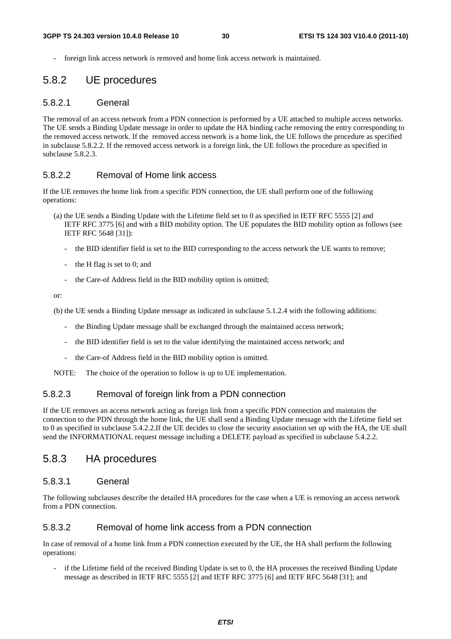- foreign link access network is removed and home link access network is maintained.

#### 5.8.2 UE procedures

#### 5.8.2.1 General

The removal of an access network from a PDN connection is performed by a UE attached to multiple access networks. The UE sends a Binding Update message in order to update the HA binding cache removing the entry corresponding to the removed access network. If the removed access network is a home link, the UE follows the procedure as specified in subclause 5.8.2.2. If the removed access network is a foreign link, the UE follows the procedure as specified in subclause 5.8.2.3.

#### 5.8.2.2 Removal of Home link access

If the UE removes the home link from a specific PDN connection, the UE shall perform one of the following operations:

- (a) the UE sends a Binding Update with the Lifetime field set to 0 as specified in IETF RFC 5555 [2] and IETF RFC 3775 [6] and with a BID mobility option. The UE populates the BID mobility option as follows (see IETF RFC 5648 [31]):
	- the BID identifier field is set to the BID corresponding to the access network the UE wants to remove;
	- the H flag is set to 0; and
	- the Care-of Address field in the BID mobility option is omitted;

or:

(b) the UE sends a Binding Update message as indicated in subclause 5.1.2.4 with the following additions:

- the Binding Update message shall be exchanged through the maintained access network;
- the BID identifier field is set to the value identifying the maintained access network; and
- the Care-of Address field in the BID mobility option is omitted.

NOTE: The choice of the operation to follow is up to UE implementation.

#### 5.8.2.3 Removal of foreign link from a PDN connection

If the UE removes an access network acting as foreign link from a specific PDN connection and maintains the connection to the PDN through the home link, the UE shall send a Binding Update message with the Lifetime field set to 0 as specified in subclause 5.4.2.2.If the UE decides to close the security association set up with the HA, the UE shall send the INFORMATIONAL request message including a DELETE payload as specified in subclause 5.4.2.2.

#### 5.8.3 HA procedures

#### 5.8.3.1 General

The following subclauses describe the detailed HA procedures for the case when a UE is removing an access network from a PDN connection.

#### 5.8.3.2 Removal of home link access from a PDN connection

In case of removal of a home link from a PDN connection executed by the UE, the HA shall perform the following operations:

if the Lifetime field of the received Binding Update is set to 0, the HA processes the received Binding Update message as described in IETF RFC 5555 [2] and IETF RFC 3775 [6] and IETF RFC 5648 [31]; and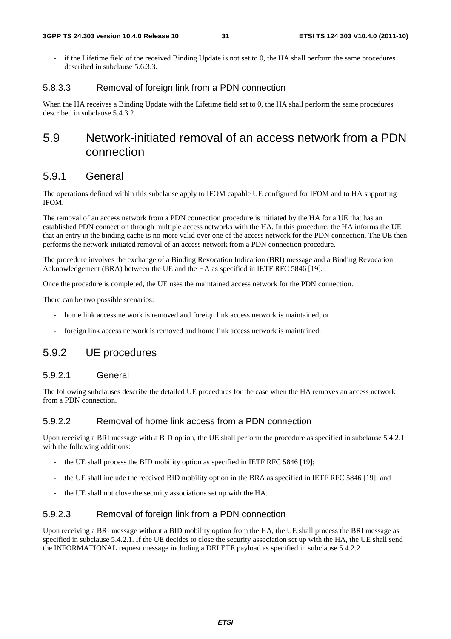if the Lifetime field of the received Binding Update is not set to 0, the HA shall perform the same procedures described in subclause 5.6.3.3.

#### 5.8.3.3 Removal of foreign link from a PDN connection

When the HA receives a Binding Update with the Lifetime field set to 0, the HA shall perform the same procedures described in subclause 5.4.3.2.

### 5.9 Network-initiated removal of an access network from a PDN connection

### 5.9.1 General

The operations defined within this subclause apply to IFOM capable UE configured for IFOM and to HA supporting IFOM.

The removal of an access network from a PDN connection procedure is initiated by the HA for a UE that has an established PDN connection through multiple access networks with the HA. In this procedure, the HA informs the UE that an entry in the binding cache is no more valid over one of the access network for the PDN connection. The UE then performs the network-initiated removal of an access network from a PDN connection procedure.

The procedure involves the exchange of a Binding Revocation Indication (BRI) message and a Binding Revocation Acknowledgement (BRA) between the UE and the HA as specified in IETF RFC 5846 [19].

Once the procedure is completed, the UE uses the maintained access network for the PDN connection.

There can be two possible scenarios:

- home link access network is removed and foreign link access network is maintained; or
- foreign link access network is removed and home link access network is maintained.

### 5.9.2 UE procedures

#### 5.9.2.1 General

The following subclauses describe the detailed UE procedures for the case when the HA removes an access network from a PDN connection.

#### 5.9.2.2 Removal of home link access from a PDN connection

Upon receiving a BRI message with a BID option, the UE shall perform the procedure as specified in subclause 5.4.2.1 with the following additions:

- the UE shall process the BID mobility option as specified in IETF RFC 5846 [19];
- the UE shall include the received BID mobility option in the BRA as specified in IETF RFC 5846 [19]; and
- the UE shall not close the security associations set up with the HA.

#### 5.9.2.3 Removal of foreign link from a PDN connection

Upon receiving a BRI message without a BID mobility option from the HA, the UE shall process the BRI message as specified in subclause 5.4.2.1. If the UE decides to close the security association set up with the HA, the UE shall send the INFORMATIONAL request message including a DELETE payload as specified in subclause 5.4.2.2.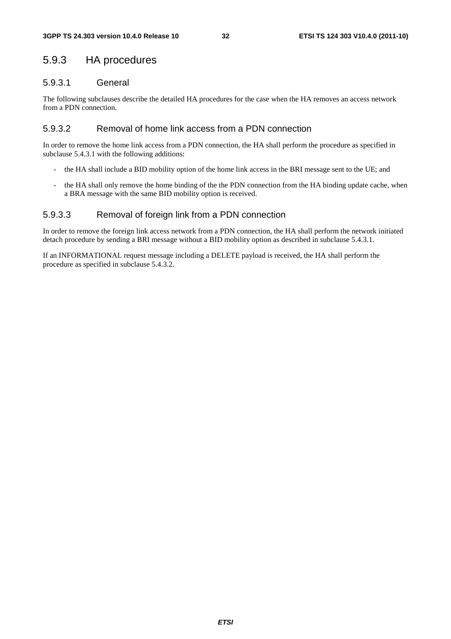### 5.9.3 HA procedures

#### 5.9.3.1 General

The following subclauses describe the detailed HA procedures for the case when the HA removes an access network from a PDN connection.

#### 5.9.3.2 Removal of home link access from a PDN connection

In order to remove the home link access from a PDN connection, the HA shall perform the procedure as specified in subclause 5.4.3.1 with the following additions:

- the HA shall include a BID mobility option of the home link access in the BRI message sent to the UE; and
- the HA shall only remove the home binding of the the PDN connection from the HA binding update cache, when a BRA message with the same BID mobility option is received.

#### 5.9.3.3 Removal of foreign link from a PDN connection

In order to remove the foreign link access network from a PDN connection, the HA shall perform the network initiated detach procedure by sending a BRI message without a BID mobility option as described in subclause 5.4.3.1.

If an INFORMATIONAL request message including a DELETE payload is received, the HA shall perform the procedure as specified in subclause 5.4.3.2.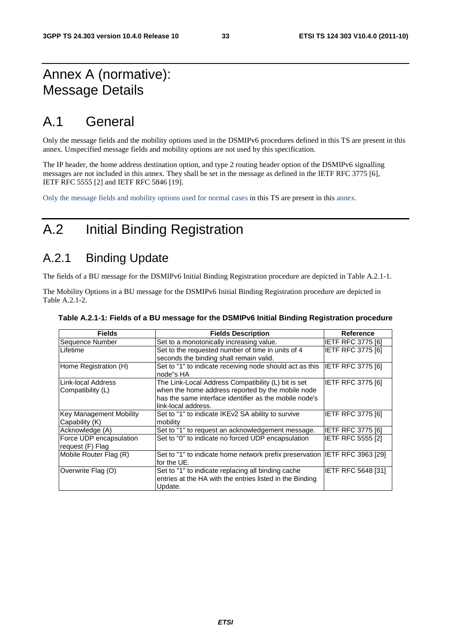## Annex A (normative): Message Details

## A.1 General

Only the message fields and the mobility options used in the DSMIPv6 procedures defined in this TS are present in this annex. Unspecified message fields and mobility options are not used by this specification.

The IP header, the home address destination option, and type 2 routing header option of the DSMIPv6 signalling messages are not included in this annex. They shall be set in the message as defined in the IETF RFC 3775 [6], IETF RFC 5555 [2] and IETF RFC 5846 [19].

Only the message fields and mobility options used for normal cases in this TS are present in this annex.

## A.2 Initial Binding Registration

### A.2.1 Binding Update

The fields of a BU message for the DSMIPv6 Initial Binding Registration procedure are depicted in Table A.2.1-1.

The Mobility Options in a BU message for the DSMIPv6 Initial Binding Registration procedure are depicted in Table A.2.1-2.

| <b>Fields</b>                               | <b>Fields Description</b>                                                                                                                                                                 | Reference                |
|---------------------------------------------|-------------------------------------------------------------------------------------------------------------------------------------------------------------------------------------------|--------------------------|
| Sequence Number                             | Set to a monotonically increasing value.                                                                                                                                                  | <b>IETF RFC 3775 [6]</b> |
| <b>Lifetime</b>                             | Set to the requested number of time in units of 4<br>seconds the binding shall remain valid.                                                                                              | IETF RFC 3775 [6]        |
| Home Registration (H)                       | Set to "1" to indicate receiving node should act as this<br>node"s HA                                                                                                                     | <b>IETF RFC 3775 [6]</b> |
| Link-local Address<br>Compatibility (L)     | The Link-Local Address Compatibility (L) bit is set<br>when the home address reported by the mobile node<br>has the same interface identifier as the mobile node's<br>link-local address. | IETF RFC 3775 [6]        |
| Key Management Mobility<br>Capability (K)   | Set to "1" to indicate IKEv2 SA ability to survive<br>mobility                                                                                                                            | IETF RFC 3775 [6]        |
| Acknowledge (A)                             | Set to "1" to request an acknowledgement message.                                                                                                                                         | IETF RFC 3775 [6]        |
| Force UDP encapsulation<br>request (F) Flag | Set to "0" to indicate no forced UDP encapsulation                                                                                                                                        | <b>IETF RFC 5555 [2]</b> |
| Mobile Router Flag (R)                      | Set to "1" to indicate home network prefix preservation IETF RFC 3963 [29]<br>for the UE.                                                                                                 |                          |
| Overwrite Flag (O)                          | Set to "1" to indicate replacing all binding cache<br>entries at the HA with the entries listed in the Binding<br>Update.                                                                 | IETF RFC 5648 [31]       |

**Table A.2.1-1: Fields of a BU message for the DSMIPv6 Initial Binding Registration procedure**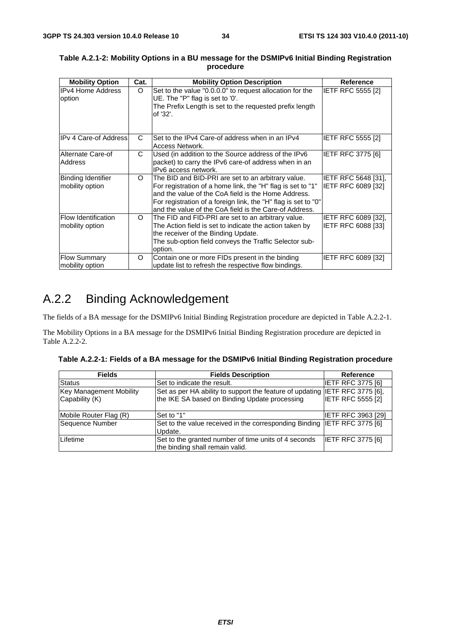| <b>Mobility Option</b>                        | Cat. | <b>Mobility Option Description</b>                                                                                                                                                                                                                                                                    | <b>Reference</b>                                        |
|-----------------------------------------------|------|-------------------------------------------------------------------------------------------------------------------------------------------------------------------------------------------------------------------------------------------------------------------------------------------------------|---------------------------------------------------------|
| <b>IPv4 Home Address</b><br>option            | O    | Set to the value "0.0.0.0" to request allocation for the<br>UE. The "P" flag is set to '0'.<br>The Prefix Length is set to the requested prefix length<br>of '32'.                                                                                                                                    | <b>IETF RFC 5555 [2]</b>                                |
| <b>IPv 4 Care-of Address</b>                  | C    | Set to the IPv4 Care-of address when in an IPv4<br>Access Network.                                                                                                                                                                                                                                    | <b>IETF RFC 5555 [2]</b>                                |
| Alternate Care-of<br><b>Address</b>           | C    | Used (in addition to the Source address of the IPv6<br>packet) to carry the IPv6 care-of address when in an<br>IPv6 access network.                                                                                                                                                                   | IETF RFC 3775 [6]                                       |
| Binding Identifier<br>mobility option         | O    | The BID and BID-PRI are set to an arbitrary value.<br>For registration of a home link, the "H" flag is set to "1"<br>and the value of the CoA field is the Home Address.<br>For registration of a foreign link, the "H" flag is set to "0"<br>land the value of the CoA field is the Care-of Address. | <b>IETF RFC 5648 [31].</b><br> IETF RFC 6089 [32]       |
| <b>Flow Identification</b><br>mobility option | O    | The FID and FID-PRI are set to an arbitrary value.<br>The Action field is set to indicate the action taken by<br>the receiver of the Binding Update.<br>The sub-option field conveys the Traffic Selector sub-<br>option.                                                                             | <b>IETF RFC 6089 [32].</b><br><b>IETF RFC 6088 [33]</b> |
| <b>Flow Summary</b><br>mobility option        | O    | Contain one or more FIDs present in the binding<br>update list to refresh the respective flow bindings.                                                                                                                                                                                               | <b>IETF RFC 6089 [32]</b>                               |

#### **Table A.2.1-2: Mobility Options in a BU message for the DSMIPv6 Initial Binding Registration procedure**

## A.2.2 Binding Acknowledgement

The fields of a BA message for the DSMIPv6 Initial Binding Registration procedure are depicted in Table A.2.2-1.

The Mobility Options in a BA message for the DSMIPv6 Initial Binding Registration procedure are depicted in Table A.2.2-2.

|  | Table A.2.2-1: Fields of a BA message for the DSMIPv6 Initial Binding Registration procedure |  |
|--|----------------------------------------------------------------------------------------------|--|
|  |                                                                                              |  |

| <b>Fields</b>                                    | <b>Fields Description</b>                                                                                                    | Reference                |
|--------------------------------------------------|------------------------------------------------------------------------------------------------------------------------------|--------------------------|
| <b>Status</b>                                    | Set to indicate the result.                                                                                                  | IETF RFC 3775 [6]        |
| <b>Key Management Mobility</b><br>Capability (K) | Set as per HA ability to support the feature of updating IETF RFC 3775 [6],<br>the IKE SA based on Binding Update processing | <b>IETF RFC 5555 [2]</b> |
| Mobile Router Flag (R)                           | Set to "1"                                                                                                                   | IETF RFC 3963 [29]       |
| Sequence Number                                  | Set to the value received in the corresponding Binding IETF RFC 3775 [6]<br>Update.                                          |                          |
| Lifetime                                         | Set to the granted number of time units of 4 seconds<br>the binding shall remain valid.                                      | <b>IETF RFC 3775 [6]</b> |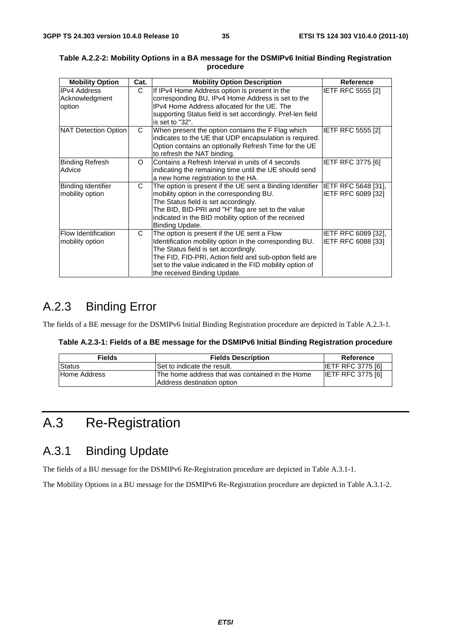| <b>Mobility Option</b>                          | Cat. | <b>Mobility Option Description</b>                                                                                                                                                                                                                                                                    | Reference                                 |
|-------------------------------------------------|------|-------------------------------------------------------------------------------------------------------------------------------------------------------------------------------------------------------------------------------------------------------------------------------------------------------|-------------------------------------------|
| <b>IPv4 Address</b><br>Acknowledgment<br>option | C    | If IPv4 Home Address option is present in the<br>corresponding BU, IPv4 Home Address is set to the<br>IPv4 Home Address allocated for the UE. The<br>supporting Status field is set accordingly. Pref-len field<br>is set to "32".                                                                    | <b>IETF RFC 5555 [2]</b>                  |
| NAT Detection Option                            | C    | When present the option contains the F Flag which<br>indicates to the UE that UDP encapsulation is required.<br>Option contains an optionally Refresh Time for the UE<br>to refresh the NAT binding.                                                                                                  | <b>IETF RFC 5555 [2]</b>                  |
| Binding Refresh<br>Advice                       | Ω    | Contains a Refresh Interval in units of 4 seconds<br>indicating the remaining time until the UE should send<br>a new home registration to the HA.                                                                                                                                                     | <b>IETF RFC 3775 [6]</b>                  |
| Binding Identifier<br>mobility option           | C    | The option is present if the UE sent a Binding Identifier $ IETF$ RFC 5648 [31],<br>mobility option in the corresponding BU.<br>The Status field is set accordingly.<br>The BID, BID-PRI and "H" flag are set to the value<br>indicated in the BID mobility option of the received<br>Binding Update. | IETF RFC 6089 [32]                        |
| <b>Flow Identification</b><br>mobility option   | C    | The option is present if the UE sent a Flow<br>Identification mobility option in the corresponding BU.<br>The Status field is set accordingly.<br>The FID, FID-PRI, Action field and sub-option field are<br>set to the value indicated in the FID mobility option of<br>the received Binding Update. | IETF RFC 6089 [32],<br>IETF RFC 6088 [33] |

#### **Table A.2.2-2: Mobility Options in a BA message for the DSMIPv6 Initial Binding Registration procedure**

### A.2.3 Binding Error

The fields of a BE message for the DSMIPv6 Initial Binding Registration procedure are depicted in Table A.2.3-1.

| Table A.2.3-1: Fields of a BE message for the DSMIPv6 Initial Binding Registration procedure |  |  |
|----------------------------------------------------------------------------------------------|--|--|
|----------------------------------------------------------------------------------------------|--|--|

| <b>Fields</b> | <b>Fields Description</b>                                                      | Reference                |
|---------------|--------------------------------------------------------------------------------|--------------------------|
| <b>Status</b> | Set to indicate the result.                                                    | <b>IETF RFC 3775 [6]</b> |
| Home Address  | IThe home address that was contained in the Home<br>Address destination option | <b>IETF RFC 3775 [6]</b> |

## A.3 Re-Registration

### A.3.1 Binding Update

The fields of a BU message for the DSMIPv6 Re-Registration procedure are depicted in Table A.3.1-1.

The Mobility Options in a BU message for the DSMIPv6 Re-Registration procedure are depicted in Table A.3.1-2.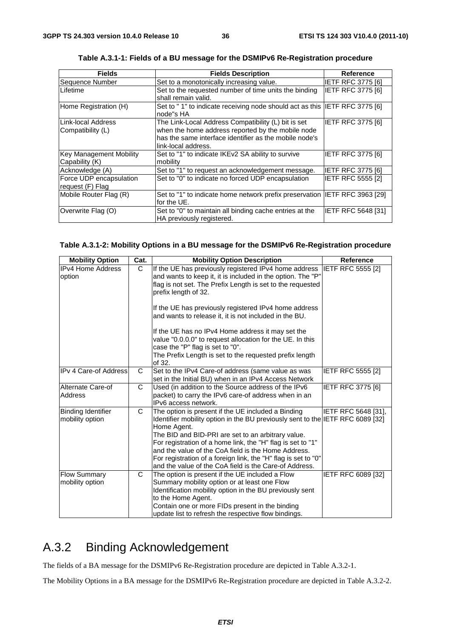| <b>Fields</b>           | <b>Fields Description</b>                                                  | <b>Reference</b>         |
|-------------------------|----------------------------------------------------------------------------|--------------------------|
| Sequence Number         | Set to a monotonically increasing value.                                   | IETF RFC 3775 [6]        |
| Lifetime                | Set to the requested number of time units the binding                      | IETF RFC 3775 [6]        |
|                         | shall remain valid.                                                        |                          |
| Home Registration (H)   | Set to "1" to indicate receiving node should act as this IETF RFC 3775 [6] |                          |
|                         | node"s HA                                                                  |                          |
| Link-local Address      | The Link-Local Address Compatibility (L) bit is set                        | <b>IETF RFC 3775 [6]</b> |
| Compatibility (L)       | when the home address reported by the mobile node                          |                          |
|                         | has the same interface identifier as the mobile node's                     |                          |
|                         | link-local address.                                                        |                          |
| Key Management Mobility | Set to "1" to indicate IKEv2 SA ability to survive                         | IETF RFC 3775 [6]        |
| Capability (K)          | mobility                                                                   |                          |
| Acknowledge (A)         | Set to "1" to request an acknowledgement message.                          | IETF RFC 3775 [6]        |
| Force UDP encapsulation | Set to "0" to indicate no forced UDP encapsulation                         | <b>IETF RFC 5555 [2]</b> |
| request (F) Flag        |                                                                            |                          |
| Mobile Router Flag (R)  | Set to "1" to indicate home network prefix preservation IETF RFC 3963 [29] |                          |
|                         | for the UE.                                                                |                          |
| Overwrite Flag (O)      | Set to "0" to maintain all binding cache entries at the                    | IETF RFC 5648 [31]       |
|                         | HA previously registered.                                                  |                          |

**Table A.3.1-1: Fields of a BU message for the DSMIPv6 Re-Registration procedure** 

#### **Table A.3.1-2: Mobility Options in a BU message for the DSMIPv6 Re-Registration procedure**

| <b>Mobility Option</b>                       | Cat. | <b>Mobility Option Description</b>                                                                                                                                                                                                                                                                                                                                                                                                                          | <b>Reference</b>         |
|----------------------------------------------|------|-------------------------------------------------------------------------------------------------------------------------------------------------------------------------------------------------------------------------------------------------------------------------------------------------------------------------------------------------------------------------------------------------------------------------------------------------------------|--------------------------|
| <b>IPv4 Home Address</b><br>option           | C.   | If the UE has previously registered IPv4 home address<br>and wants to keep it, it is included in the option. The "P"<br>flag is not set. The Prefix Length is set to the requested<br>prefix length of 32.                                                                                                                                                                                                                                                  | <b>IETF RFC 5555 [2]</b> |
|                                              |      | If the UE has previously registered IPv4 home address<br>and wants to release it, it is not included in the BU.                                                                                                                                                                                                                                                                                                                                             |                          |
|                                              |      | If the UE has no IPv4 Home address it may set the<br>value "0.0.0.0" to request allocation for the UE. In this<br>case the "P" flag is set to "0".                                                                                                                                                                                                                                                                                                          |                          |
|                                              |      | The Prefix Length is set to the requested prefix length<br>of 32.                                                                                                                                                                                                                                                                                                                                                                                           |                          |
| <b>IPv 4 Care-of Address</b>                 | C    | Set to the IPv4 Care-of address (same value as was<br>set in the Initial BU) when in an IPv4 Access Network                                                                                                                                                                                                                                                                                                                                                 | <b>IETF RFC 5555 [2]</b> |
| Alternate Care-of<br>Address                 | C    | Used (in addition to the Source address of the IPv6<br>packet) to carry the IPv6 care-of address when in an<br>IPv6 access network.                                                                                                                                                                                                                                                                                                                         | IETF RFC 3775 [6]        |
| <b>Binding Identifier</b><br>mobility option | C    | The option is present if the UE included a Binding<br>Identifier mobility option in the BU previously sent to the IETF RFC 6089 [32]<br>Home Agent.<br>The BID and BID-PRI are set to an arbitrary value.<br>For registration of a home link, the "H" flag is set to "1"<br>and the value of the CoA field is the Home Address.<br>For registration of a foreign link, the "H" flag is set to "0"<br>and the value of the CoA field is the Care-of Address. | IETF RFC 5648 [31],      |
| <b>Flow Summary</b><br>mobility option       | C    | The option is present if the UE included a Flow<br>Summary mobility option or at least one Flow<br>Identification mobility option in the BU previously sent<br>to the Home Agent.<br>Contain one or more FIDs present in the binding<br>update list to refresh the respective flow bindings.                                                                                                                                                                | IETF RFC 6089 [32]       |

### A.3.2 Binding Acknowledgement

The fields of a BA message for the DSMIPv6 Re-Registration procedure are depicted in Table A.3.2-1.

The Mobility Options in a BA message for the DSMIPv6 Re-Registration procedure are depicted in Table A.3.2-2.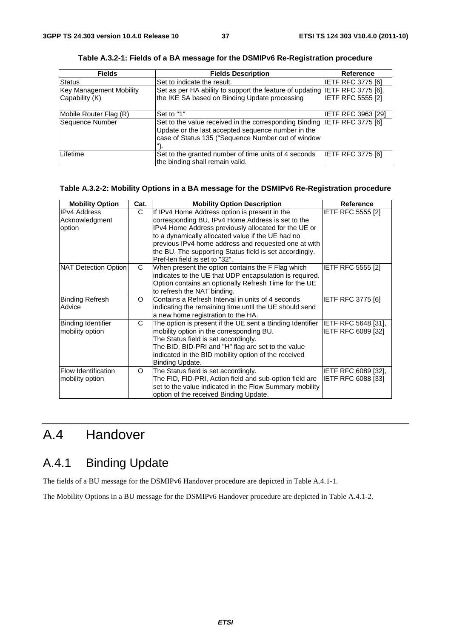| <b>Fields</b>           | <b>Fields Description</b>                                                                                                                                                            | <b>Reference</b>          |
|-------------------------|--------------------------------------------------------------------------------------------------------------------------------------------------------------------------------------|---------------------------|
| Status                  | Set to indicate the result.                                                                                                                                                          | <b>IETF RFC 3775 [6]</b>  |
| Key Management Mobility | Set as per HA ability to support the feature of updating IETF RFC 3775 [6],                                                                                                          |                           |
| Capability (K)          | the IKE SA based on Binding Update processing                                                                                                                                        | IETF RFC 5555 [2]         |
| Mobile Router Flag (R)  | Set to "1"                                                                                                                                                                           | <b>IETF RFC 3963 [29]</b> |
| Sequence Number         | Set to the value received in the corresponding Binding IETF RFC 3775 [6]<br>Update or the last accepted sequence number in the<br>case of Status 135 ("Sequence Number out of window |                           |
| Lifetime                | Set to the granted number of time units of 4 seconds<br>the binding shall remain valid.                                                                                              | <b>IETF RFC 3775 [6]</b>  |

**Table A.3.2-1: Fields of a BA message for the DSMIPv6 Re-Registration procedure** 

#### **Table A.3.2-2: Mobility Options in a BA message for the DSMIPv6 Re-Registration procedure**

| <b>Mobility Option</b>                          | Cat.     | <b>Mobility Option Description</b>                                                                                                                                                                                                                                                                                                                                   | <b>Reference</b>                                        |
|-------------------------------------------------|----------|----------------------------------------------------------------------------------------------------------------------------------------------------------------------------------------------------------------------------------------------------------------------------------------------------------------------------------------------------------------------|---------------------------------------------------------|
| <b>IPv4 Address</b><br>Acknowledgment<br>option | C        | If IPv4 Home Address option is present in the<br>corresponding BU, IPv4 Home Address is set to the<br>IPv4 Home Address previously allocated for the UE or<br>to a dynamically allocated value if the UE had no<br>previous IPv4 home address and requested one at with<br>the BU. The supporting Status field is set accordingly.<br>Pref-len field is set to "32". | <b>IETF RFC 5555 [2]</b>                                |
| NAT Detection Option                            | C        | When present the option contains the F Flag which<br>indicates to the UE that UDP encapsulation is required.<br>Option contains an optionally Refresh Time for the UE<br>to refresh the NAT binding.                                                                                                                                                                 | <b>IETF RFC 5555 [2]</b>                                |
| <b>Binding Refresh</b><br>Advice                | $\Omega$ | Contains a Refresh Interval in units of 4 seconds<br>indicating the remaining time until the UE should send<br>a new home registration to the HA.                                                                                                                                                                                                                    | <b>IETF RFC 3775 [6]</b>                                |
| <b>Binding Identifier</b><br>mobility option    | C        | The option is present if the UE sent a Binding Identifier  IETF RFC 5648 [31],<br>mobility option in the corresponding BU.<br>The Status field is set accordingly.<br>The BID, BID-PRI and "H" flag are set to the value<br>indicated in the BID mobility option of the received<br>Binding Update.                                                                  | IETF RFC 6089 [32]                                      |
| Flow Identification<br>mobility option          | O        | The Status field is set accordingly.<br>The FID, FID-PRI, Action field and sub-option field are<br>set to the value indicated in the Flow Summary mobility<br>option of the received Binding Update.                                                                                                                                                                 | <b>IETF RFC 6089 [32].</b><br><b>IETF RFC 6088 [33]</b> |

## A.4 Handover

## A.4.1 Binding Update

The fields of a BU message for the DSMIPv6 Handover procedure are depicted in Table A.4.1-1.

The Mobility Options in a BU message for the DSMIPv6 Handover procedure are depicted in Table A.4.1-2.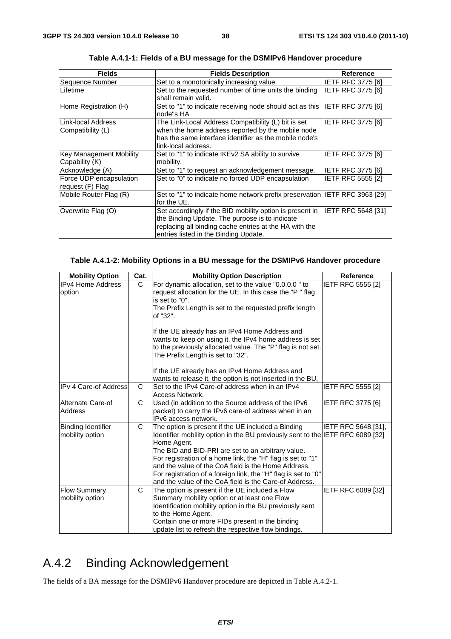| <b>Fields</b>                                    | <b>Fields Description</b>                                                                                                                                                                                     | Reference                |
|--------------------------------------------------|---------------------------------------------------------------------------------------------------------------------------------------------------------------------------------------------------------------|--------------------------|
| Sequence Number                                  | Set to a monotonically increasing value.                                                                                                                                                                      | <b>IETF RFC 3775 [6]</b> |
| ILifetime                                        | Set to the requested number of time units the binding<br>shall remain valid.                                                                                                                                  | <b>IETF RFC 3775 [6]</b> |
| Home Registration (H)                            | Set to "1" to indicate receiving node should act as this  IETF RFC 3775 [6]<br>node"s HA                                                                                                                      |                          |
| Link-local Address<br>Compatibility (L)          | The Link-Local Address Compatibility (L) bit is set<br>when the home address reported by the mobile node<br>has the same interface identifier as the mobile node's<br>link-local address.                     | <b>IETF RFC 3775 [6]</b> |
| <b>Key Management Mobility</b><br>Capability (K) | Set to "1" to indicate IKEv2 SA ability to survive<br>mobility.                                                                                                                                               | <b>IETF RFC 3775 [6]</b> |
| Acknowledge (A)                                  | Set to "1" to request an acknowledgement message.                                                                                                                                                             | IETF RFC 3775 [6]        |
| Force UDP encapsulation<br>request (F) Flag      | Set to "0" to indicate no forced UDP encapsulation                                                                                                                                                            | <b>IETF RFC 5555 [2]</b> |
| Mobile Router Flag (R)                           | Set to "1" to indicate home network prefix preservation IETF RFC 3963 [29]<br>for the UE.                                                                                                                     |                          |
| Overwrite Flag (O)                               | Set accordingly if the BID mobility option is present in<br>the Binding Update. The purpose is to indicate<br>replacing all binding cache entries at the HA with the<br>entries listed in the Binding Update. | IETF RFC 5648 [31]       |

**Table A.4.1-1: Fields of a BU message for the DSMIPv6 Handover procedure** 

#### **Table A.4.1-2: Mobility Options in a BU message for the DSMIPv6 Handover procedure**

| <b>Mobility Option</b>                       | Cat. | <b>Mobility Option Description</b>                                                                                                                                                                                                                                                                                                                                                                                                                          | <b>Reference</b>         |
|----------------------------------------------|------|-------------------------------------------------------------------------------------------------------------------------------------------------------------------------------------------------------------------------------------------------------------------------------------------------------------------------------------------------------------------------------------------------------------------------------------------------------------|--------------------------|
| IPv4 Home Address<br>option                  | C    | For dynamic allocation, set to the value "0.0.0.0" to<br>request allocation for the UE. In this case the "P" flag<br>is set to "0".<br>The Prefix Length is set to the requested prefix length<br>of "32".<br>If the UE already has an IPv4 Home Address and                                                                                                                                                                                                | IETF RFC 5555 [2]        |
|                                              |      | wants to keep on using it, the IPv4 home address is set<br>to the previously allocated value. The "P" flag is not set.<br>The Prefix Length is set to "32".<br>If the UE already has an IPv4 Home Address and<br>wants to release it, the option is not inserted in the BU,                                                                                                                                                                                 |                          |
| <b>IPv 4 Care-of Address</b>                 | C    | Set to the IPv4 Care-of address when in an IPv4<br>Access Network.                                                                                                                                                                                                                                                                                                                                                                                          | IETF RFC 5555 [2]        |
| Alternate Care-of<br><b>Address</b>          | C    | Used (in addition to the Source address of the IPv6<br>packet) to carry the IPv6 care-of address when in an<br>IPv6 access network.                                                                                                                                                                                                                                                                                                                         | <b>IETF RFC 3775 [6]</b> |
| <b>Binding Identifier</b><br>mobility option | C    | The option is present if the UE included a Binding<br>Identifier mobility option in the BU previously sent to the IETF RFC 6089 [32]<br>Home Agent.<br>The BID and BID-PRI are set to an arbitrary value.<br>For registration of a home link, the "H" flag is set to "1"<br>and the value of the CoA field is the Home Address.<br>For registration of a foreign link, the "H" flag is set to "0"<br>and the value of the CoA field is the Care-of Address. | IETF RFC 5648 [31].      |
| <b>Flow Summary</b><br>mobility option       | C    | The option is present if the UE included a Flow<br>Summary mobility option or at least one Flow<br>Identification mobility option in the BU previously sent<br>to the Home Agent.<br>Contain one or more FIDs present in the binding<br>update list to refresh the respective flow bindings.                                                                                                                                                                | IETF RFC 6089 [32]       |

## A.4.2 Binding Acknowledgement

The fields of a BA message for the DSMIPv6 Handover procedure are depicted in Table A.4.2-1.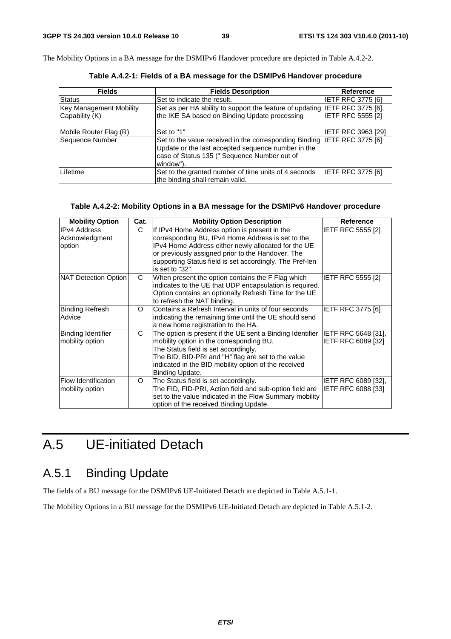The Mobility Options in a BA message for the DSMIPv6 Handover procedure are depicted in Table A.4.2-2.

| <b>Fields</b>                  | <b>Fields Description</b>                                                                                                                                                                   | <b>Reference</b>         |
|--------------------------------|---------------------------------------------------------------------------------------------------------------------------------------------------------------------------------------------|--------------------------|
| Status                         | Set to indicate the result.                                                                                                                                                                 | <b>IETF RFC 3775 [6]</b> |
| <b>Key Management Mobility</b> | Set as per HA ability to support the feature of updating IETF RFC 3775 [6],                                                                                                                 |                          |
| Capability (K)                 | the IKE SA based on Binding Update processing                                                                                                                                               | <b>IETF RFC 5555 [2]</b> |
| Mobile Router Flag (R)         | Set to "1"                                                                                                                                                                                  | IETF RFC 3963 [29]       |
| Sequence Number                | Set to the value received in the corresponding Binding IETF RFC 3775 [6]<br>Update or the last accepted sequence number in the<br>case of Status 135 (" Sequence Number out of<br>window"). |                          |
| Lifetime                       | Set to the granted number of time units of 4 seconds<br>the binding shall remain valid.                                                                                                     | <b>IETF RFC 3775 [6]</b> |

**Table A.4.2-1: Fields of a BA message for the DSMIPv6 Handover procedure** 

#### **Table A.4.2-2: Mobility Options in a BA message for the DSMIPv6 Handover procedure**

| <b>Mobility Option</b>     | Cat.     | <b>Mobility Option Description</b>                        | <b>Reference</b>         |
|----------------------------|----------|-----------------------------------------------------------|--------------------------|
| <b>IPv4 Address</b>        | C        | If IPv4 Home Address option is present in the             | <b>IETF RFC 5555 [2]</b> |
| Acknowledgment             |          | corresponding BU, IPv4 Home Address is set to the         |                          |
| option                     |          | IPv4 Home Address either newly allocated for the UE       |                          |
|                            |          | or previously assigned prior to the Handover. The         |                          |
|                            |          | supporting Status field is set accordingly. The Pref-len  |                          |
|                            |          | is set to "32".                                           |                          |
| NAT Detection Option       | C        | When present the option contains the F Flag which         | IETF RFC 5555 [2]        |
|                            |          | indicates to the UE that UDP encapsulation is required.   |                          |
|                            |          | Option contains an optionally Refresh Time for the UE     |                          |
|                            |          | to refresh the NAT binding.                               |                          |
| Binding Refresh            | $\Omega$ | Contains a Refresh Interval in units of four seconds      | <b>IETF RFC 3775 [6]</b> |
| Advice                     |          | indicating the remaining time until the UE should send    |                          |
|                            |          | a new home registration to the HA.                        |                          |
| Binding Identifier         | C        | The option is present if the UE sent a Binding Identifier | IETF RFC 5648 [31],      |
| mobility option            |          | mobility option in the corresponding BU.                  | IETF RFC 6089 [32]       |
|                            |          | The Status field is set accordingly.                      |                          |
|                            |          | The BID, BID-PRI and "H" flag are set to the value        |                          |
|                            |          | indicated in the BID mobility option of the received      |                          |
|                            |          | Binding Update.                                           |                          |
| <b>Flow Identification</b> | $\circ$  | The Status field is set accordingly.                      | IETF RFC 6089 [32],      |
| mobility option            |          | The FID, FID-PRI, Action field and sub-option field are   | IETF RFC 6088 [33]       |
|                            |          | set to the value indicated in the Flow Summary mobility   |                          |
|                            |          | option of the received Binding Update.                    |                          |

## A.5 UE-initiated Detach

## A.5.1 Binding Update

The fields of a BU message for the DSMIPv6 UE-Initiated Detach are depicted in Table A.5.1-1.

The Mobility Options in a BU message for the DSMIPv6 UE-Initiated Detach are depicted in Table A.5.1-2.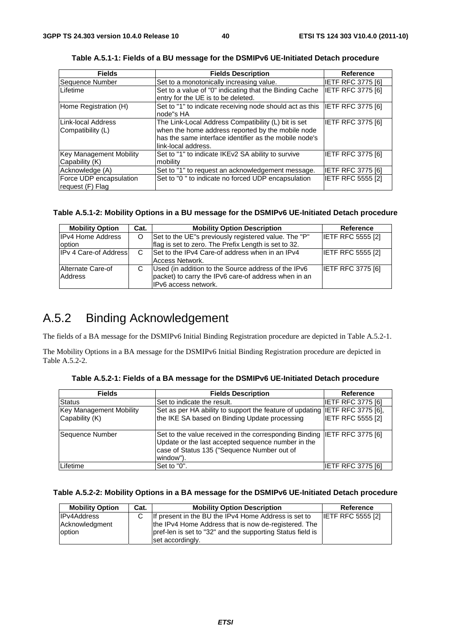| <b>Fields</b>                               | <b>Fields Description</b>                                                                                                                                                                 | Reference                |
|---------------------------------------------|-------------------------------------------------------------------------------------------------------------------------------------------------------------------------------------------|--------------------------|
| Sequence Number                             | Set to a monotonically increasing value.                                                                                                                                                  | IETF RFC 3775 [6]        |
| Lifetime                                    | Set to a value of "0" indicating that the Binding Cache<br>entry for the UE is to be deleted.                                                                                             | <b>IETF RFC 3775 [6]</b> |
| Home Registration (H)                       | Set to "1" to indicate receiving node should act as this IETF RFC 3775 [6]<br>node"s HA                                                                                                   |                          |
| Link-local Address<br>Compatibility (L)     | The Link-Local Address Compatibility (L) bit is set<br>when the home address reported by the mobile node<br>has the same interface identifier as the mobile node's<br>link-local address. | IETF RFC 3775 [6]        |
| Key Management Mobility<br>Capability (K)   | Set to "1" to indicate IKEv2 SA ability to survive<br>mobility                                                                                                                            | IETF RFC 3775 [6]        |
| Acknowledge (A)                             | Set to "1" to request an acknowledgement message.                                                                                                                                         | <b>IETF RFC 3775 [6]</b> |
| Force UDP encapsulation<br>request (F) Flag | Set to "0" to indicate no forced UDP encapsulation                                                                                                                                        | <b>IETF RFC 5555 [2]</b> |

**Table A.5.1-1: Fields of a BU message for the DSMIPv6 UE-Initiated Detach procedure** 

#### **Table A.5.1-2: Mobility Options in a BU message for the DSMIPv6 UE-Initiated Detach procedure**

| <b>Mobility Option</b>       | Cat. | <b>Mobility Option Description</b>                                                                          | Reference                |
|------------------------------|------|-------------------------------------------------------------------------------------------------------------|--------------------------|
| <b>IPv4 Home Address</b>     | O    | Set to the UE"s previously registered value. The "P"                                                        | <b>IETF RFC 5555 [2]</b> |
| option                       |      | flag is set to zero. The Prefix Length is set to 32.                                                        |                          |
| <b>IPv 4 Care-of Address</b> | C    | Set to the IPv4 Care-of address when in an IPv4                                                             | <b>IETF RFC 5555 [2]</b> |
|                              |      | Access Network.                                                                                             |                          |
| Alternate Care-of<br>Address | C    | Used (in addition to the Source address of the IPv6<br>packet) to carry the IPv6 care-of address when in an | <b>IETF RFC 3775 [6]</b> |
|                              |      | IPv6 access network.                                                                                        |                          |

### A.5.2 Binding Acknowledgement

The fields of a BA message for the DSMIPv6 Initial Binding Registration procedure are depicted in Table A.5.2-1.

The Mobility Options in a BA message for the DSMIPv6 Initial Binding Registration procedure are depicted in Table A.5.2-2.

| <b>Fields</b>                  | <b>Fields Description</b>                                                                                                                                                                  | Reference                |
|--------------------------------|--------------------------------------------------------------------------------------------------------------------------------------------------------------------------------------------|--------------------------|
| Status                         | Set to indicate the result.                                                                                                                                                                | IETF RFC 3775 [6]        |
| <b>Key Management Mobility</b> | Set as per HA ability to support the feature of updating IETF RFC 3775 [6],                                                                                                                |                          |
| Capability (K)                 | the IKE SA based on Binding Update processing                                                                                                                                              | <b>IETF RFC 5555 [2]</b> |
| Sequence Number                | Set to the value received in the corresponding Binding IETF RFC 3775 [6]<br>Update or the last accepted sequence number in the<br>case of Status 135 ("Sequence Number out of<br>window"). |                          |
| Lifetime                       | Set to "0".                                                                                                                                                                                | <b>IETF RFC 3775 [6]</b> |

**Table A.5.2-1: Fields of a BA message for the DSMIPv6 UE-Initiated Detach procedure** 

#### **Table A.5.2-2: Mobility Options in a BA message for the DSMIPv6 UE-Initiated Detach procedure**

| <b>Mobility Option</b> | Cat. | <b>Mobility Option Description</b>                         | Reference                |
|------------------------|------|------------------------------------------------------------|--------------------------|
| <b>IPv4Address</b>     | C.   | If present in the BU the IPv4 Home Address is set to       | <b>IETF RFC 5555 [2]</b> |
| Acknowledgment         |      | the IPv4 Home Address that is now de-registered. The       |                          |
| option                 |      | pref-len is set to "32" and the supporting Status field is |                          |
|                        |      | set accordingly.                                           |                          |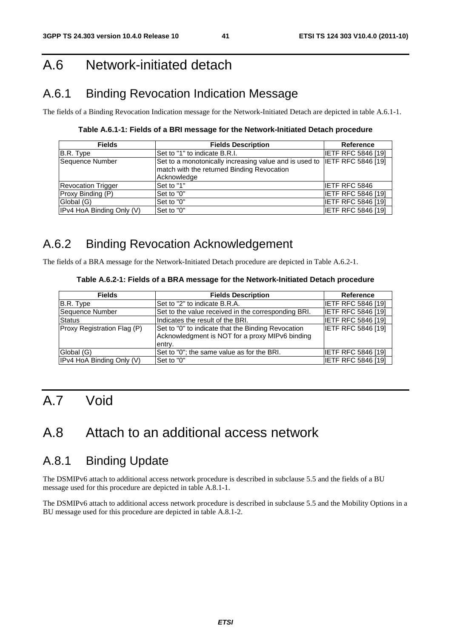## A.6 Network-initiated detach

## A.6.1 Binding Revocation Indication Message

The fields of a Binding Revocation Indication message for the Network-Initiated Detach are depicted in table A.6.1-1.

**Table A.6.1-1: Fields of a BRI message for the Network-Initiated Detach procedure** 

| <b>Fields</b>             | <b>Fields Description</b>                                                                                                              | Reference                 |
|---------------------------|----------------------------------------------------------------------------------------------------------------------------------------|---------------------------|
| B.R. Type                 | Set to "1" to indicate B.R.I.                                                                                                          | <b>IETF RFC 5846 [19]</b> |
| Sequence Number           | Set to a monotonically increasing value and is used to IETF RFC 5846 [19]<br>match with the returned Binding Revocation<br>Acknowledge |                           |
| <b>Revocation Trigger</b> | Set to "1"                                                                                                                             | <b>IIETF RFC 5846</b>     |
| Proxy Binding (P)         | Set to "0"                                                                                                                             | <b>IETF RFC 5846 [19]</b> |
| Global (G)                | Set to "0"                                                                                                                             | <b>IETF RFC 5846 [19]</b> |
| IPv4 HoA Binding Only (V) | Set to "0"                                                                                                                             | <b>IETF RFC 5846 [19]</b> |

### A.6.2 Binding Revocation Acknowledgement

The fields of a BRA message for the Network-Initiated Detach procedure are depicted in Table A.6.2-1.

#### **Table A.6.2-1: Fields of a BRA message for the Network-Initiated Detach procedure**

| <b>Fields</b>               | <b>Fields Description</b>                                                                                       | <b>Reference</b>          |
|-----------------------------|-----------------------------------------------------------------------------------------------------------------|---------------------------|
| B.R. Type                   | Set to "2" to indicate B.R.A.                                                                                   | <b>IETF RFC 5846 [19]</b> |
| <b>Sequence Number</b>      | Set to the value received in the corresponding BRI.                                                             | <b>IETF RFC 5846 [19]</b> |
| <b>Status</b>               | Indicates the result of the BRI.                                                                                | IETF RFC 5846 [19]        |
| Proxy Registration Flag (P) | Set to "0" to indicate that the Binding Revocation<br>Acknowledgment is NOT for a proxy MIPv6 binding<br>entry. | <b>IETF RFC 5846 [19]</b> |
| Global (G)                  | Set to "0"; the same value as for the BRI.                                                                      | <b>IETF RFC 5846 [19]</b> |
| IPv4 HoA Binding Only (V)   | Set to "0"                                                                                                      | <b>IETF RFC 5846 [19]</b> |

## A.7 Void

## A.8 Attach to an additional access network

### A.8.1 Binding Update

The DSMIPv6 attach to additional access network procedure is described in subclause 5.5 and the fields of a BU message used for this procedure are depicted in table A.8.1-1.

The DSMIPv6 attach to additional access network procedure is described in subclause 5.5 and the Mobility Options in a BU message used for this procedure are depicted in table A.8.1-2.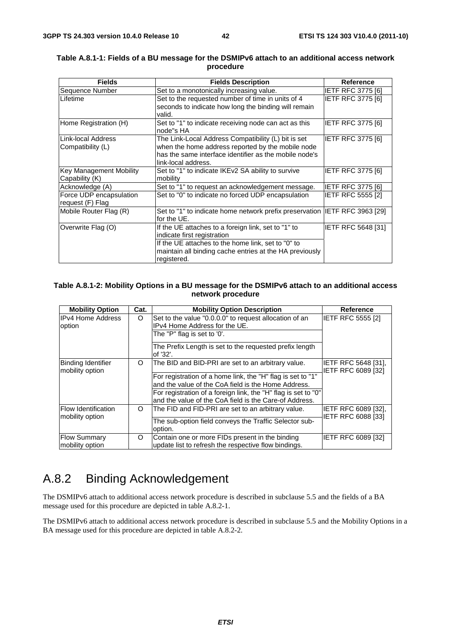| <b>Fields</b>                  | <b>Fields Description</b>                                                   | <b>Reference</b>          |
|--------------------------------|-----------------------------------------------------------------------------|---------------------------|
| Sequence Number                | Set to a monotonically increasing value.                                    | <b>IETF RFC 3775 [6]</b>  |
| ILifetime                      | Set to the requested number of time in units of 4                           | IETF RFC 3775 [6]         |
|                                | seconds to indicate how long the binding will remain                        |                           |
|                                | valid.                                                                      |                           |
| Home Registration (H)          | Set to "1" to indicate receiving node can act as this                       | <b>IETF RFC 3775 [6]</b>  |
|                                | node"s HA                                                                   |                           |
| Link-local Address             | The Link-Local Address Compatibility (L) bit is set                         | <b>IETF RFC 3775 [6]</b>  |
| Compatibility (L)              | when the home address reported by the mobile node                           |                           |
|                                | has the same interface identifier as the mobile node's                      |                           |
|                                | link-local address.                                                         |                           |
| <b>Key Management Mobility</b> | Set to "1" to indicate IKEv2 SA ability to survive                          | <b>IETF RFC 3775 [6]</b>  |
| Capability (K)                 | mobility                                                                    |                           |
| Acknowledge (A)                | Set to "1" to request an acknowledgement message.                           | <b>IETF RFC 3775 [6]</b>  |
| Force UDP encapsulation        | Set to "0" to indicate no forced UDP encapsulation                          | <b>IETF RFC 5555 [2]</b>  |
| request (F) Flag               |                                                                             |                           |
| Mobile Router Flag (R)         | Set to "1" to indicate home network prefix preservation IIETF RFC 3963 [29] |                           |
|                                | for the UE.                                                                 |                           |
| Overwrite Flag (O)             | If the UE attaches to a foreign link, set to "1" to                         | <b>IETF RFC 5648 [31]</b> |
|                                | indicate first registration                                                 |                           |
|                                | If the UE attaches to the home link, set to "0" to                          |                           |
|                                | maintain all binding cache entries at the HA previously                     |                           |
|                                | registered.                                                                 |                           |

#### **Table A.8.1-1: Fields of a BU message for the DSMIPv6 attach to an additional access network procedure**

#### **Table A.8.1-2: Mobility Options in a BU message for the DSMIPv6 attach to an additional access network procedure**

| <b>Mobility Option</b>                        | Cat.     | <b>Mobility Option Description</b>                                                                                       | Reference                                               |
|-----------------------------------------------|----------|--------------------------------------------------------------------------------------------------------------------------|---------------------------------------------------------|
| IIPv4 Home Address<br>option                  | O        | Set to the value "0.0.0.0" to request allocation of an<br>IPv4 Home Address for the UE.                                  | <b>IETF RFC 5555 [2]</b>                                |
|                                               |          | The "P" flag is set to '0'.                                                                                              |                                                         |
|                                               |          | The Prefix Length is set to the requested prefix length<br>of '32'.                                                      |                                                         |
| <b>Binding Identifier</b><br>mobility option  | O        | The BID and BID-PRI are set to an arbitrary value.                                                                       | <b>IETF RFC 5648 [31],</b><br><b>IETF RFC 6089 [32]</b> |
|                                               |          | For registration of a home link, the "H" flag is set to "1"                                                              |                                                         |
|                                               |          | and the value of the CoA field is the Home Address.                                                                      |                                                         |
|                                               |          | For registration of a foreign link, the "H" flag is set to "0"<br>and the value of the CoA field is the Care-of Address. |                                                         |
| <b>Flow Identification</b><br>mobility option | $\Omega$ | The FID and FID-PRI are set to an arbitrary value.                                                                       | IETF RFC 6089 [32],<br>IETF RFC 6088 [33]               |
|                                               |          | The sub-option field conveys the Traffic Selector sub-<br>option.                                                        |                                                         |
| <b>Flow Summary</b><br>mobility option        | O        | Contain one or more FIDs present in the binding<br>update list to refresh the respective flow bindings.                  | <b>IETF RFC 6089 [32]</b>                               |

## A.8.2 Binding Acknowledgement

The DSMIPv6 attach to additional access network procedure is described in subclause 5.5 and the fields of a BA message used for this procedure are depicted in table A.8.2-1.

The DSMIPv6 attach to additional access network procedure is described in subclause 5.5 and the Mobility Options in a BA message used for this procedure are depicted in table A.8.2-2.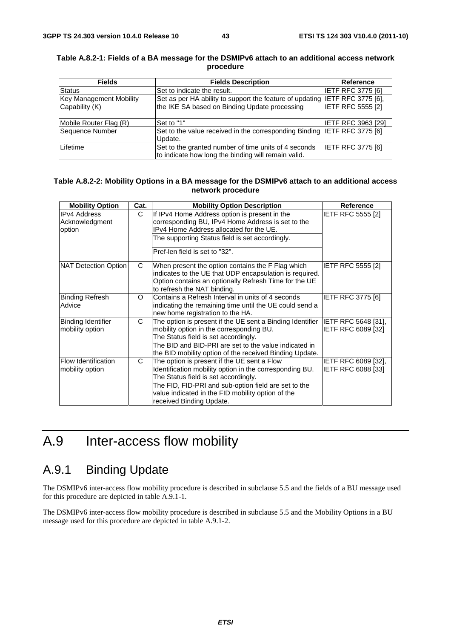| <b>Fields</b>                  | <b>Fields Description</b>                                                   | <b>Reference</b>          |
|--------------------------------|-----------------------------------------------------------------------------|---------------------------|
| <b>Status</b>                  | Set to indicate the result.                                                 | IETF RFC 3775 [6]         |
| <b>Key Management Mobility</b> | Set as per HA ability to support the feature of updating IETF RFC 3775 [6], |                           |
| Capability (K)                 | the IKE SA based on Binding Update processing                               | <b>IETF RFC 5555 [2]</b>  |
|                                |                                                                             |                           |
| Mobile Router Flag (R)         | Set to "1"                                                                  | <b>IETF RFC 3963 [29]</b> |
| Sequence Number                | Set to the value received in the corresponding Binding IETF RFC 3775 [6]    |                           |
|                                | Update.                                                                     |                           |
| Lifetime                       | Set to the granted number of time units of 4 seconds                        | <b>IETF RFC 3775 [6]</b>  |
|                                | to indicate how long the binding will remain valid.                         |                           |

#### **Table A.8.2-1: Fields of a BA message for the DSMIPv6 attach to an additional access network procedure**

#### **Table A.8.2-2: Mobility Options in a BA message for the DSMIPv6 attach to an additional access network procedure**

| <b>Mobility Option</b>                          | Cat. | <b>Mobility Option Description</b>                                                                                                                                                                                                                                                      | Reference                                        |
|-------------------------------------------------|------|-----------------------------------------------------------------------------------------------------------------------------------------------------------------------------------------------------------------------------------------------------------------------------------------|--------------------------------------------------|
| <b>IPv4 Address</b><br>Acknowledgment<br>option | C    | If IPv4 Home Address option is present in the<br>corresponding BU, IPv4 Home Address is set to the<br>IPv4 Home Address allocated for the UE.<br>The supporting Status field is set accordingly.<br>Pref-len field is set to "32".                                                      | <b>IETF RFC 5555 [2]</b>                         |
| NAT Detection Option                            | C    | When present the option contains the F Flag which<br>indicates to the UE that UDP encapsulation is required.<br>Option contains an optionally Refresh Time for the UE<br>to refresh the NAT binding.                                                                                    | <b>IETF RFC 5555 [2]</b>                         |
| <b>Binding Refresh</b><br>Advice                | O    | Contains a Refresh Interval in units of 4 seconds<br>indicating the remaining time until the UE could send a<br>new home registration to the HA.                                                                                                                                        | <b>IETF RFC 3775 [6]</b>                         |
| Binding Identifier<br>mobility option           | C.   | The option is present if the UE sent a Binding Identifier IETF RFC 5648 [31],<br>mobility option in the corresponding BU.<br>The Status field is set accordingly.<br>The BID and BID-PRI are set to the value indicated in<br>the BID mobility option of the received Binding Update.   | IETF RFC 6089 [32]                               |
| <b>Flow Identification</b><br>mobility option   | C    | The option is present if the UE sent a Flow<br>Identification mobility option in the corresponding BU.<br>The Status field is set accordingly.<br>The FID, FID-PRI and sub-option field are set to the<br>value indicated in the FID mobility option of the<br>received Binding Update. | <b>IETF RFC 6089 [32].</b><br>IETF RFC 6088 [33] |

## A.9 Inter-access flow mobility

### A.9.1 Binding Update

The DSMIPv6 inter-access flow mobility procedure is described in subclause 5.5 and the fields of a BU message used for this procedure are depicted in table A.9.1-1.

The DSMIPv6 inter-access flow mobility procedure is described in subclause 5.5 and the Mobility Options in a BU message used for this procedure are depicted in table A.9.1-2.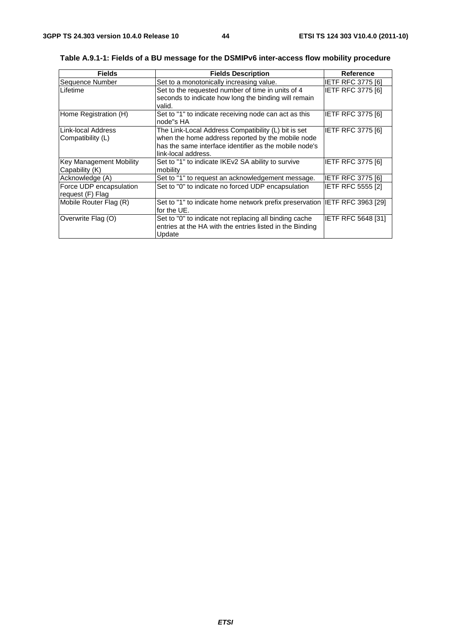| <b>Fields</b>                                    | <b>Fields Description</b>                                                                                                                                                                 | <b>Reference</b>          |
|--------------------------------------------------|-------------------------------------------------------------------------------------------------------------------------------------------------------------------------------------------|---------------------------|
| Sequence Number                                  | Set to a monotonically increasing value.                                                                                                                                                  | <b>IETF RFC 3775 [6]</b>  |
| Lifetime                                         | Set to the requested number of time in units of 4<br>seconds to indicate how long the binding will remain<br>valid.                                                                       | <b>IETF RFC 3775 [6]</b>  |
| Home Registration (H)                            | Set to "1" to indicate receiving node can act as this<br>node"s HA                                                                                                                        | IETF RFC 3775 [6]         |
| Link-local Address<br>Compatibility (L)          | The Link-Local Address Compatibility (L) bit is set<br>when the home address reported by the mobile node<br>has the same interface identifier as the mobile node's<br>link-local address. | <b>IETF RFC 3775 [6]</b>  |
| <b>Key Management Mobility</b><br>Capability (K) | Set to "1" to indicate IKEv2 SA ability to survive<br>mobility                                                                                                                            | <b>IETF RFC 3775 [6]</b>  |
| Acknowledge (A)                                  | Set to "1" to request an acknowledgement message.                                                                                                                                         | IETF RFC 3775 [6]         |
| Force UDP encapsulation<br>request (F) Flag      | Set to "0" to indicate no forced UDP encapsulation                                                                                                                                        | <b>IETF RFC 5555 [2]</b>  |
| Mobile Router Flag (R)                           | Set to "1" to indicate home network prefix preservation IETF RFC 3963 [29]<br>for the UE.                                                                                                 |                           |
| Overwrite Flag (O)                               | Set to "0" to indicate not replacing all binding cache<br>entries at the HA with the entries listed in the Binding<br>Update                                                              | <b>IETF RFC 5648 [31]</b> |

**Table A.9.1-1: Fields of a BU message for the DSMIPv6 inter-access flow mobility procedure**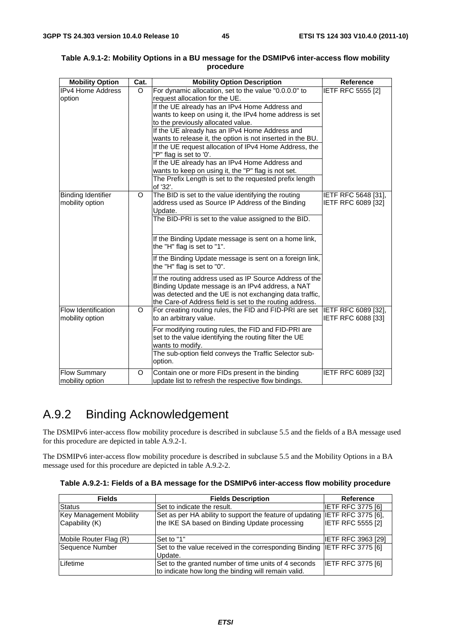| <b>Mobility Option</b>                        | Cat. | <b>Mobility Option Description</b>                                                                                                                                                                                                 | <b>Reference</b>                          |
|-----------------------------------------------|------|------------------------------------------------------------------------------------------------------------------------------------------------------------------------------------------------------------------------------------|-------------------------------------------|
| <b>IPv4 Home Address</b>                      | O    | For dynamic allocation, set to the value "0.0.0.0" to                                                                                                                                                                              | <b>IETF RFC 5555 [2]</b>                  |
| option                                        |      | request allocation for the UE.                                                                                                                                                                                                     |                                           |
|                                               |      | If the UE already has an IPv4 Home Address and                                                                                                                                                                                     |                                           |
|                                               |      | wants to keep on using it, the IPv4 home address is set                                                                                                                                                                            |                                           |
|                                               |      | to the previously allocated value.                                                                                                                                                                                                 |                                           |
|                                               |      | If the UE already has an IPv4 Home Address and                                                                                                                                                                                     |                                           |
|                                               |      | wants to release it, the option is not inserted in the BU.                                                                                                                                                                         |                                           |
|                                               |      | If the UE request allocation of IPv4 Home Address, the                                                                                                                                                                             |                                           |
|                                               |      | "P" flag is set to '0'.                                                                                                                                                                                                            |                                           |
|                                               |      | If the UE already has an IPv4 Home Address and                                                                                                                                                                                     |                                           |
|                                               |      | wants to keep on using it, the "P" flag is not set.                                                                                                                                                                                |                                           |
|                                               |      | The Prefix Length is set to the requested prefix length<br>of '32'.                                                                                                                                                                |                                           |
| <b>Binding Identifier</b>                     | O    | The BID is set to the value identifying the routing                                                                                                                                                                                | IETF RFC 5648 [31],                       |
| mobility option                               |      | address used as Source IP Address of the Binding                                                                                                                                                                                   | IETF RFC 6089 [32]                        |
|                                               |      | Update.                                                                                                                                                                                                                            |                                           |
|                                               |      | The BID-PRI is set to the value assigned to the BID.                                                                                                                                                                               |                                           |
|                                               |      |                                                                                                                                                                                                                                    |                                           |
|                                               |      | If the Binding Update message is sent on a home link,<br>the "H" flag is set to "1".                                                                                                                                               |                                           |
|                                               |      | If the Binding Update message is sent on a foreign link,<br>the "H" flag is set to "0".                                                                                                                                            |                                           |
|                                               |      | If the routing address used as IP Source Address of the<br>Binding Update message is an IPv4 address, a NAT<br>was detected and the UE is not exchanging data traffic,<br>the Care-of Address field is set to the routing address. |                                           |
| <b>Flow Identification</b><br>mobility option | O    | For creating routing rules, the FID and FID-PRI are set<br>to an arbitrary value.                                                                                                                                                  | IETF RFC 6089 [32],<br>IETF RFC 6088 [33] |
|                                               |      | For modifying routing rules, the FID and FID-PRI are<br>set to the value identifying the routing filter the UE<br>wants to modify.<br>The sub-option field conveys the Traffic Selector sub-                                       |                                           |
|                                               |      | option.                                                                                                                                                                                                                            |                                           |
| <b>Flow Summary</b>                           | O    | Contain one or more FIDs present in the binding                                                                                                                                                                                    | IETF RFC 6089 [32]                        |
| mobility option                               |      | update list to refresh the respective flow bindings.                                                                                                                                                                               |                                           |

#### **Table A.9.1-2: Mobility Options in a BU message for the DSMIPv6 inter-access flow mobility procedure**

## A.9.2 Binding Acknowledgement

The DSMIPv6 inter-access flow mobility procedure is described in subclause 5.5 and the fields of a BA message used for this procedure are depicted in table A.9.2-1.

The DSMIPv6 inter-access flow mobility procedure is described in subclause 5.5 and the Mobility Options in a BA message used for this procedure are depicted in table A.9.2-2.

|  |  | Table A.9.2-1: Fields of a BA message for the DSMIPv6 inter-access flow mobility procedure |
|--|--|--------------------------------------------------------------------------------------------|
|--|--|--------------------------------------------------------------------------------------------|

| <b>Fields</b>           | <b>Fields Description</b>                                                                                   | Reference                 |
|-------------------------|-------------------------------------------------------------------------------------------------------------|---------------------------|
| <b>Status</b>           | Set to indicate the result.                                                                                 | <b>IETF RFC 3775 [6]</b>  |
| Key Management Mobility | Set as per HA ability to support the feature of updating IETF RFC 3775 [6],                                 |                           |
| Capability (K)          | the IKE SA based on Binding Update processing                                                               | <b>IETF RFC 5555 [2]</b>  |
| Mobile Router Flag (R)  | Set to "1"                                                                                                  | <b>IETF RFC 3963 [29]</b> |
| Sequence Number         | Set to the value received in the corresponding Binding IETF RFC 3775 [6]<br>Update.                         |                           |
| Lifetime                | Set to the granted number of time units of 4 seconds<br>to indicate how long the binding will remain valid. | <b>IETF RFC 3775 [6]</b>  |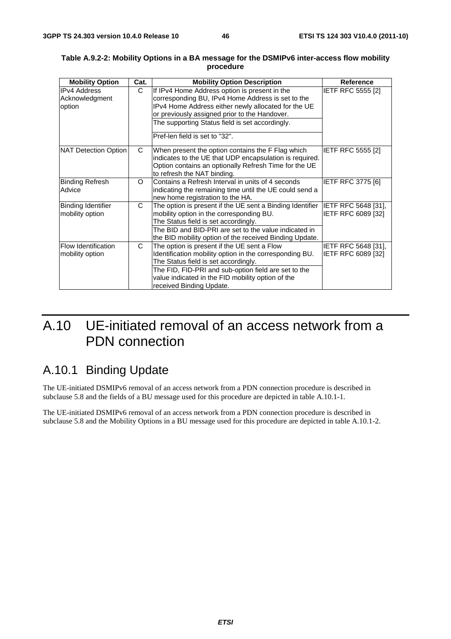| <b>Mobility Option</b>                        | Cat. | <b>Mobility Option Description</b>                                                                                                                                                                                         | <b>Reference</b>                          |
|-----------------------------------------------|------|----------------------------------------------------------------------------------------------------------------------------------------------------------------------------------------------------------------------------|-------------------------------------------|
| <b>IPv4 Address</b><br>Acknowledgment         | C.   | If IPv4 Home Address option is present in the<br>corresponding BU, IPv4 Home Address is set to the                                                                                                                         | <b>IETF RFC 5555 [2]</b>                  |
| option                                        |      | IPv4 Home Address either newly allocated for the UE<br>or previously assigned prior to the Handover.                                                                                                                       |                                           |
|                                               |      | The supporting Status field is set accordingly.                                                                                                                                                                            |                                           |
|                                               |      | Pref-len field is set to "32".                                                                                                                                                                                             |                                           |
| NAT Detection Option                          | C.   | When present the option contains the F Flag which<br>indicates to the UE that UDP encapsulation is required.<br>Option contains an optionally Refresh Time for the UE<br>to refresh the NAT binding.                       | <b>IETF RFC 5555 [2]</b>                  |
| <b>Binding Refresh</b><br>Advice              | O    | Contains a Refresh Interval in units of 4 seconds<br>indicating the remaining time until the UE could send a<br>new home registration to the HA.                                                                           | <b>IETF RFC 3775 [6]</b>                  |
| <b>Binding Identifier</b><br>mobility option  | C.   | The option is present if the UE sent a Binding Identifier IETF RFC 5648 [31],<br>mobility option in the corresponding BU.<br>The Status field is set accordingly.<br>The BID and BID-PRI are set to the value indicated in | IETF RFC 6089 [32]                        |
|                                               |      | the BID mobility option of the received Binding Update.                                                                                                                                                                    |                                           |
| <b>Flow Identification</b><br>mobility option | C    | The option is present if the UE sent a Flow<br>Identification mobility option in the corresponding BU.<br>The Status field is set accordingly.                                                                             | IETF RFC 5648 [31],<br>IETF RFC 6089 [32] |
|                                               |      | The FID, FID-PRI and sub-option field are set to the<br>value indicated in the FID mobility option of the<br>received Binding Update.                                                                                      |                                           |

#### **Table A.9.2-2: Mobility Options in a BA message for the DSMIPv6 inter-access flow mobility procedure**

## A.10 UE-initiated removal of an access network from a PDN connection

## A.10.1 Binding Update

The UE-initiated DSMIPv6 removal of an access network from a PDN connection procedure is described in subclause 5.8 and the fields of a BU message used for this procedure are depicted in table A.10.1-1.

The UE-initiated DSMIPv6 removal of an access network from a PDN connection procedure is described in subclause 5.8 and the Mobility Options in a BU message used for this procedure are depicted in table A.10.1-2.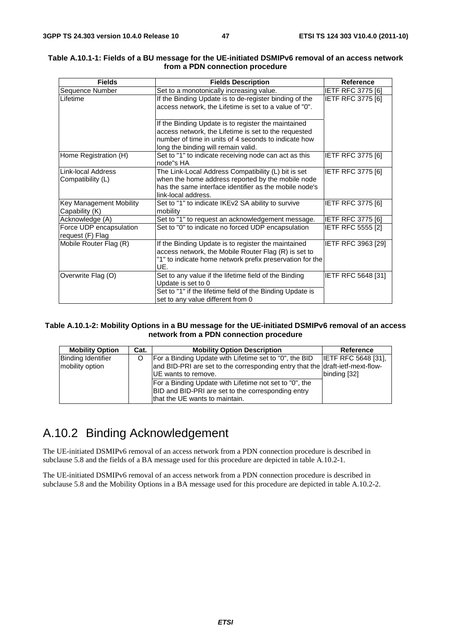| <b>Fields</b>                                    | <b>Fields Description</b>                                                                                                                                                                                  | <b>Reference</b>         |
|--------------------------------------------------|------------------------------------------------------------------------------------------------------------------------------------------------------------------------------------------------------------|--------------------------|
| Sequence Number                                  | Set to a monotonically increasing value.                                                                                                                                                                   | IETF RFC 3775 [6]        |
| Lifetime                                         | If the Binding Update is to de-register binding of the<br>access network, the Lifetime is set to a value of "0".                                                                                           | <b>IETF RFC 3775 [6]</b> |
|                                                  | If the Binding Update is to register the maintained<br>access network, the Lifetime is set to the requested<br>number of time in units of 4 seconds to indicate how<br>long the binding will remain valid. |                          |
| Home Registration (H)                            | Set to "1" to indicate receiving node can act as this<br>node"s HA                                                                                                                                         | <b>IETF RFC 3775 [6]</b> |
| Link-local Address<br>Compatibility (L)          | The Link-Local Address Compatibility (L) bit is set<br>when the home address reported by the mobile node<br>has the same interface identifier as the mobile node's<br>link-local address.                  | <b>IETF RFC 3775 [6]</b> |
| <b>Key Management Mobility</b><br>Capability (K) | Set to "1" to indicate IKEv2 SA ability to survive<br>mobility                                                                                                                                             | <b>IETF RFC 3775 [6]</b> |
| Acknowledge (A)                                  | Set to "1" to request an acknowledgement message.                                                                                                                                                          | <b>IETF RFC 3775 [6]</b> |
| Force UDP encapsulation<br>request (F) Flag      | Set to "0" to indicate no forced UDP encapsulation                                                                                                                                                         | IETF RFC 5555 [2]        |
| Mobile Router Flag (R)                           | If the Binding Update is to register the maintained<br>access network, the Mobile Router Flag (R) is set to<br>"1" to indicate home network prefix preservation for the<br>UE.                             | IETF RFC 3963 [29]       |
| Overwrite Flag (O)                               | Set to any value if the lifetime field of the Binding<br>Update is set to 0<br>Set to "1" if the lifetime field of the Binding Update is<br>set to any value different from 0                              | IETF RFC 5648 [31]       |

#### **Table A.10.1-1: Fields of a BU message for the UE-initiated DSMIPv6 removal of an access network from a PDN connection procedure**

#### **Table A.10.1-2: Mobility Options in a BU message for the UE-initiated DSMIPv6 removal of an access network from a PDN connection procedure**

| <b>Mobility Option</b>                       | Cat. | <b>Mobility Option Description</b>                                                                                                                                     | Reference                                  |
|----------------------------------------------|------|------------------------------------------------------------------------------------------------------------------------------------------------------------------------|--------------------------------------------|
| <b>Binding Identifier</b><br>mobility option |      | For a Binding Update with Lifetime set to "0", the BID<br>and BID-PRI are set to the corresponding entry that the draft-ietf-mext-flow-<br><b>IUE</b> wants to remove. | <b>IETF RFC 5648 [31].</b><br>binding [32] |
|                                              |      | For a Binding Update with Lifetime not set to "0", the<br>BID and BID-PRI are set to the corresponding entry<br>that the UE wants to maintain.                         |                                            |

## A.10.2 Binding Acknowledgement

The UE-initiated DSMIPv6 removal of an access network from a PDN connection procedure is described in subclause 5.8 and the fields of a BA message used for this procedure are depicted in table A.10.2-1.

The UE-initiated DSMIPv6 removal of an access network from a PDN connection procedure is described in subclause 5.8 and the Mobility Options in a BA message used for this procedure are depicted in table A.10.2-2.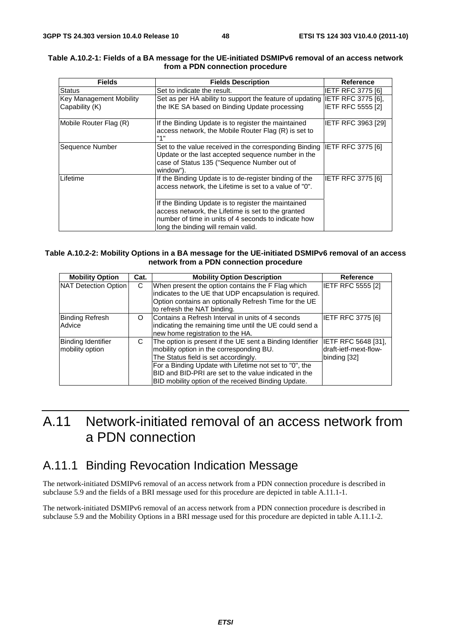| <b>Fields</b>                  | <b>Fields Description</b>                                                                                                                                                                                | Reference                |
|--------------------------------|----------------------------------------------------------------------------------------------------------------------------------------------------------------------------------------------------------|--------------------------|
| <b>Status</b>                  | Set to indicate the result.                                                                                                                                                                              | IETF RFC 3775 [6]        |
| <b>Key Management Mobility</b> | Set as per HA ability to support the feature of updating IETF RFC 3775 [6],                                                                                                                              |                          |
| Capability (K)                 | the IKE SA based on Binding Update processing                                                                                                                                                            | <b>IETF RFC 5555 [2]</b> |
| Mobile Router Flag (R)         | If the Binding Update is to register the maintained<br>access network, the Mobile Router Flag (R) is set to<br>"1"                                                                                       | IETF RFC 3963 [29]       |
| Sequence Number                | Set to the value received in the corresponding Binding IETF RFC 3775 [6]<br>Update or the last accepted sequence number in the<br>case of Status 135 ("Sequence Number out of<br>window").               |                          |
| Lifetime                       | If the Binding Update is to de-register binding of the<br>access network, the Lifetime is set to a value of "0".                                                                                         | IETF RFC 3775 [6]        |
|                                | If the Binding Update is to register the maintained<br>access network, the Lifetime is set to the granted<br>number of time in units of 4 seconds to indicate how<br>long the binding will remain valid. |                          |

#### **Table A.10.2-1: Fields of a BA message for the UE-initiated DSMIPv6 removal of an access network from a PDN connection procedure**

#### **Table A.10.2-2: Mobility Options in a BA message for the UE-initiated DSMIPv6 removal of an access network from a PDN connection procedure**

| <b>Mobility Option</b>                       | Cat. | <b>Mobility Option Description</b>                                                                                                                                                                                                                                                                                             | <b>Reference</b>                                             |
|----------------------------------------------|------|--------------------------------------------------------------------------------------------------------------------------------------------------------------------------------------------------------------------------------------------------------------------------------------------------------------------------------|--------------------------------------------------------------|
| NAT Detection Option                         | C    | When present the option contains the F Flag which<br>indicates to the UE that UDP encapsulation is required.<br>Option contains an optionally Refresh Time for the UE<br>to refresh the NAT binding.                                                                                                                           | <b>IETF RFC 5555 [2]</b>                                     |
| <b>Binding Refresh</b><br>Advice             | O    | Contains a Refresh Interval in units of 4 seconds<br>indicating the remaining time until the UE could send a<br>new home registration to the HA.                                                                                                                                                                               | <b>IETF RFC 3775 [6]</b>                                     |
| <b>Binding Identifier</b><br>mobility option | С    | The option is present if the UE sent a Binding Identifier<br>mobility option in the corresponding BU.<br>The Status field is set accordingly.<br>For a Binding Update with Lifetime not set to "0", the<br><b>BID and BID-PRI are set to the value indicated in the</b><br>BID mobility option of the received Binding Update. | IETF RFC 5648 [31],<br>draft-ietf-mext-flow-<br>binding [32] |

## A.11 Network-initiated removal of an access network from a PDN connection

### A.11.1 Binding Revocation Indication Message

The network-initiated DSMIPv6 removal of an access network from a PDN connection procedure is described in subclause 5.9 and the fields of a BRI message used for this procedure are depicted in table A.11.1-1.

The network-initiated DSMIPv6 removal of an access network from a PDN connection procedure is described in subclause 5.9 and the Mobility Options in a BRI message used for this procedure are depicted in table A.11.1-2.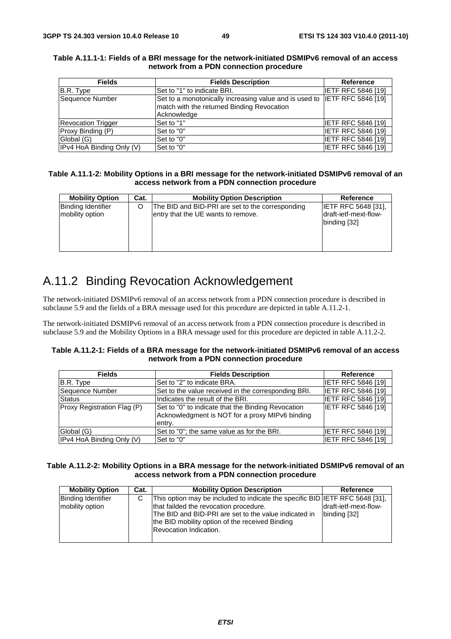| <b>Fields</b>             | <b>Fields Description</b>                                                 | Reference                 |
|---------------------------|---------------------------------------------------------------------------|---------------------------|
| B.R. Type                 | ISet to "1" to indicate BRI.                                              | <b>IETF RFC 5846 [19]</b> |
| Sequence Number           | Set to a monotonically increasing value and is used to IETF RFC 5846 [19] |                           |
|                           | match with the returned Binding Revocation                                |                           |
|                           | Acknowledge                                                               |                           |
| <b>Revocation Trigger</b> | Set to "1"                                                                | <b>IETF RFC 5846 [19]</b> |
| Proxy Binding (P)         | Set to "0"                                                                | <b>IETF RFC 5846 [19]</b> |
| Global (G)                | Set to "0"                                                                | IETF RFC 5846 [19]        |
| IPv4 HoA Binding Only (V) | Set to "0"                                                                | <b>IETF RFC 5846 [19]</b> |

#### **Table A.11.1-1: Fields of a BRI message for the network-initiated DSMIPv6 removal of an access network from a PDN connection procedure**

#### **Table A.11.1-2: Mobility Options in a BRI message for the network-initiated DSMIPv6 removal of an access network from a PDN connection procedure**

| <b>Mobility Option</b>                       | Cat. | <b>Mobility Option Description</b>                                                     | Reference                                                           |
|----------------------------------------------|------|----------------------------------------------------------------------------------------|---------------------------------------------------------------------|
| <b>Binding Identifier</b><br>mobility option | O    | The BID and BID-PRI are set to the corresponding<br>entry that the UE wants to remove. | <b>IETF RFC 5648 [31].</b><br>draft-ietf-mext-flow-<br>binding [32] |

### A.11.2 Binding Revocation Acknowledgement

The network-initiated DSMIPv6 removal of an access network from a PDN connection procedure is described in subclause 5.9 and the fields of a BRA message used for this procedure are depicted in table A.11.2-1.

The network-initiated DSMIPv6 removal of an access network from a PDN connection procedure is described in subclause 5.9 and the Mobility Options in a BRA message used for this procedure are depicted in table A.11.2-2.

#### **Table A.11.2-1: Fields of a BRA message for the network-initiated DSMIPv6 removal of an access network from a PDN connection procedure**

| <b>Fields</b>               | <b>Fields Description</b>                                                                                       | <b>Reference</b>          |
|-----------------------------|-----------------------------------------------------------------------------------------------------------------|---------------------------|
| B.R. Type                   | Set to "2" to indicate BRA.                                                                                     | <b>IETF RFC 5846 [19]</b> |
| Sequence Number             | Set to the value received in the corresponding BRI.                                                             | <b>IETF RFC 5846 [19]</b> |
| <b>Status</b>               | Indicates the result of the BRI.                                                                                | <b>IETF RFC 5846 [19]</b> |
| Proxy Registration Flag (P) | Set to "0" to indicate that the Binding Revocation<br>Acknowledgment is NOT for a proxy MIPv6 binding<br>entry. | <b>IETF RFC 5846 [19]</b> |
| Global (G)                  | Set to "0"; the same value as for the BRI.                                                                      | <b>IETF RFC 5846 [19]</b> |
| IPv4 HoA Binding Only (V)   | Set to "0"                                                                                                      | <b>IETF RFC 5846 [19]</b> |

#### **Table A.11.2-2: Mobility Options in a BRA message for the network-initiated DSMIPv6 removal of an access network from a PDN connection procedure**

| <b>Mobility Option</b>                       | Cat. | <b>Mobility Option Description</b>                                                                                                                                                                                                                           | <b>Reference</b>                       |
|----------------------------------------------|------|--------------------------------------------------------------------------------------------------------------------------------------------------------------------------------------------------------------------------------------------------------------|----------------------------------------|
| <b>Binding Identifier</b><br>mobility option | C    | This option may be included to indicate the specific BID IETF RFC 5648 [31],<br>that failded the revocation procedure.<br>The BID and BID-PRI are set to the value indicated in<br>the BID mobility option of the received Binding<br>Revocation Indication. | ldraft-ietf-mext-flow-<br>binding [32] |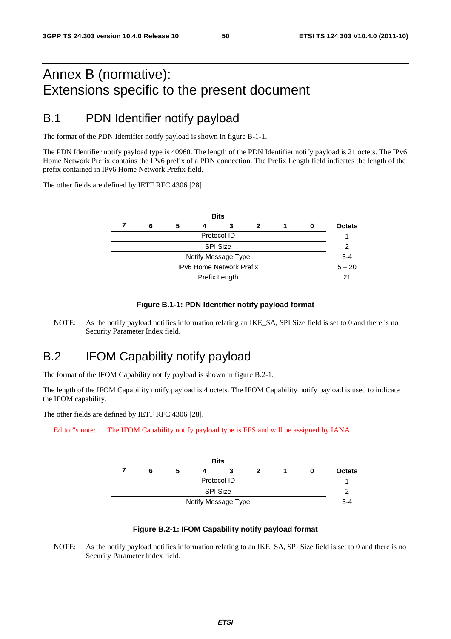## Annex B (normative): Extensions specific to the present document

### B.1 PDN Identifier notify payload

The format of the PDN Identifier notify payload is shown in figure B-1-1.

The PDN Identifier notify payload type is 40960. The length of the PDN Identifier notify payload is 21 octets. The IPv6 Home Network Prefix contains the IPv6 prefix of a PDN connection. The Prefix Length field indicates the length of the prefix contained in IPv6 Home Network Prefix field.

The other fields are defined by IETF RFC 4306 [28].

|                          |   |   |  | <b>Bits</b> |   |  |          |               |
|--------------------------|---|---|--|-------------|---|--|----------|---------------|
|                          | 6 | 5 |  | 3           | 2 |  |          | <b>Octets</b> |
| Protocol ID              |   |   |  |             |   |  |          |               |
| <b>SPI Size</b>          |   |   |  |             |   |  |          |               |
| Notify Message Type      |   |   |  |             |   |  |          | $3 - 4$       |
| IPv6 Home Network Prefix |   |   |  |             |   |  | $5 - 20$ |               |
| Prefix Length            |   |   |  |             |   |  |          |               |
|                          |   |   |  |             |   |  |          |               |

#### **Figure B.1-1: PDN Identifier notify payload format**

NOTE: As the notify payload notifies information relating an IKE\_SA, SPI Size field is set to 0 and there is no Security Parameter Index field.

### B.2 IFOM Capability notify payload

The format of the IFOM Capability notify payload is shown in figure B.2-1.

The length of the IFOM Capability notify payload is 4 octets. The IFOM Capability notify payload is used to indicate the IFOM capability.

The other fields are defined by IETF RFC 4306 [28].

Editor"s note: The IFOM Capability notify payload type is FFS and will be assigned by IANA



#### **Figure B.2-1: IFOM Capability notify payload format**

NOTE: As the notify payload notifies information relating to an IKE\_SA, SPI Size field is set to 0 and there is no Security Parameter Index field.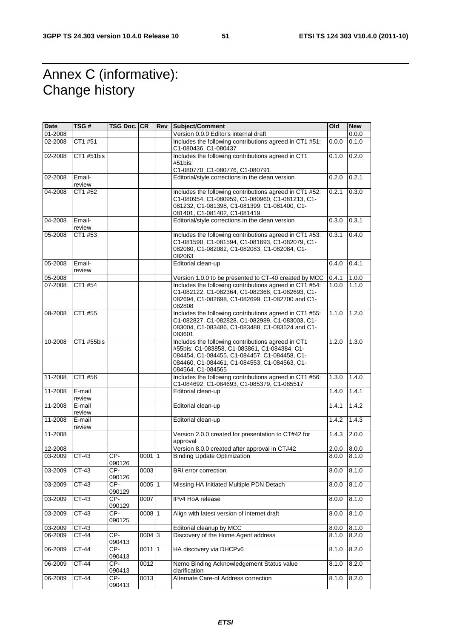## Annex C (informative): Change history

| <b>Date</b> | TSG #            | <b>TSG Doc. CR</b> |          | <b>Rev Subject/Comment</b>                                                                                                                                                                                              | Old                | <b>New</b> |
|-------------|------------------|--------------------|----------|-------------------------------------------------------------------------------------------------------------------------------------------------------------------------------------------------------------------------|--------------------|------------|
| 01-2008     |                  |                    |          | Version 0.0.0 Editor's internal draft                                                                                                                                                                                   |                    | 0.0.0      |
| 02-2008     | CT1 #51          |                    |          | Includes the following contributions agreed in CT1 #51:<br>C1-080436, C1-080437                                                                                                                                         | 0.0.0              | 0.1.0      |
| 02-2008     | CT1 #51bis       |                    |          | Includes the following contributions agreed in CT1<br>#51bis:                                                                                                                                                           | 0.1.0              | 0.2.0      |
|             |                  |                    |          | C1-080770, C1-080776, C1-080791.                                                                                                                                                                                        |                    |            |
| 02-2008     | Email-<br>review |                    |          | Editorial/style corrections in the clean version                                                                                                                                                                        | 0.2.0              | 0.2.1      |
| 04-2008     | CT1 #52          |                    |          | Includes the following contributions agreed in CT1 #52:<br>C1-080954, C1-080959, C1-080960, C1-081213, C1-<br>081232, C1-081398, C1-081399, C1-081400, C1-<br>081401, C1-081402, C1-081419                              | 0.2.1              | 0.3.0      |
| 04-2008     | Email-<br>review |                    |          | Editorial/style corrections in the clean version                                                                                                                                                                        | 0.3.0              | 0.3.1      |
| 05-2008     | CT1 #53          |                    |          | Includes the following contributions agreed in CT1 #53:<br>C1-081590, C1-081594, C1-081693, C1-082079, C1-<br>082080, C1-082082, C1-082083, C1-082084, C1-<br>082063                                                    | 0.3.1              | 0.4.0      |
| 05-2008     | Email-<br>review |                    |          | Editorial clean-up                                                                                                                                                                                                      | 0.4.0              | 0.4.1      |
| 05-2008     |                  |                    |          | Version 1.0.0 to be presented to CT-40 created by MCC                                                                                                                                                                   | 0.4.1              | 1.0.0      |
| 07-2008     | CT1 #54          |                    |          | Includes the following contributions agreed in CT1 #54:<br>C1-082122, C1-082364, C1-082368, C1-082693, C1-<br>082694, C1-082698, C1-082699, C1-082700 and C1-<br>082808                                                 | 1.0.0              | 1.1.0      |
| 08-2008     | CT1 #55          |                    |          | Includes the following contributions agreed in CT1 #55:<br>C1-082827, C1-082828, C1-082989, C1-083003, C1-<br>083004, C1-083486, C1-083488, C1-083524 and C1-<br>083601                                                 | 1.1.0              | 1.2.0      |
| 10-2008     | CT1 #55bis       |                    |          | Includes the following contributions agreed in CT1<br>#55bis: C1-083858, C1-083861, C1-084384, C1-<br>084454, C1-084455, C1-084457, C1-084458, C1-<br>084460, C1-084461, C1-084553, C1-084563, C1-<br>084564, C1-084565 | 1.2.0              | 1.3.0      |
| 11-2008     | CT1 #56          |                    |          | Includes the following contributions agreed in CT1 #56:<br>C1-084692, C1-084693, C1-085379, C1-085517                                                                                                                   | 1.3.0              | 1.4.0      |
| 11-2008     | E-mail<br>review |                    |          | Editorial clean-up                                                                                                                                                                                                      | 1.4.0              | 1.4.1      |
| 11-2008     | E-mail<br>review |                    |          | Editorial clean-up                                                                                                                                                                                                      | 1.4.1              | 1.4.2      |
| 11-2008     | E-mail<br>review |                    |          | Editorial clean-up                                                                                                                                                                                                      | 1.4.2              | 1.4.3      |
| 11-2008     |                  |                    |          | Version 2.0.0 created for presentation to CT#42 for<br>approval                                                                                                                                                         | 1.4.3              | 2.0.0      |
| 12-2008     |                  |                    |          | Version 8.0.0 created after approval in CT#42                                                                                                                                                                           | 2.0.0              | 8.0.0      |
| 03-2009     | CT-43            | CP-<br>090126      | 00011    | <b>Binding Update Optimization</b>                                                                                                                                                                                      | 0.0.8              | 8.1.0      |
| 03-2009     | CT-43            | CP-<br>090126      | 0003     | <b>BRI</b> error correction                                                                                                                                                                                             | 8.0.0              | 8.1.0      |
| 03-2009     | $CT-43$          | CP-<br>090129      | $0005$ 1 | Missing HA Initiated Multiple PDN Detach                                                                                                                                                                                | 8.0.0              | 8.1.0      |
| 03-2009     | $CT-43$          | CP-<br>090129      | 0007     | IPv4 HoA release                                                                                                                                                                                                        | $\overline{8.0.0}$ | 8.1.0      |
| 03-2009     | $CT-43$          | $CP-$<br>090125    | 0008 1   | Align with latest version of internet draft                                                                                                                                                                             | 8.0.0              | 8.1.0      |
| 03-2009     | CT-43            |                    |          | Editorial cleanup by MCC                                                                                                                                                                                                | 8.0.0              | 8.1.0      |
| 06-2009     | <b>CT-44</b>     | CP-<br>090413      | 0004 3   | Discovery of the Home Agent address                                                                                                                                                                                     | 8.1.0              | 8.2.0      |
| 06-2009     | $CT-44$          | $CP-$<br>090413    | 0011 1   | HA discovery via DHCPv6                                                                                                                                                                                                 | 8.1.0              | 8.2.0      |
| 06-2009     | $CT-44$          | $CP-$<br>090413    | 0012     | Nemo Binding Acknowledgement Status value<br>clarification                                                                                                                                                              | 8.1.0              | 8.2.0      |
| 06-2009     | $CT-44$          | CP-<br>090413      | 0013     | Alternate Care-of Address correction                                                                                                                                                                                    | 8.1.0              | 8.2.0      |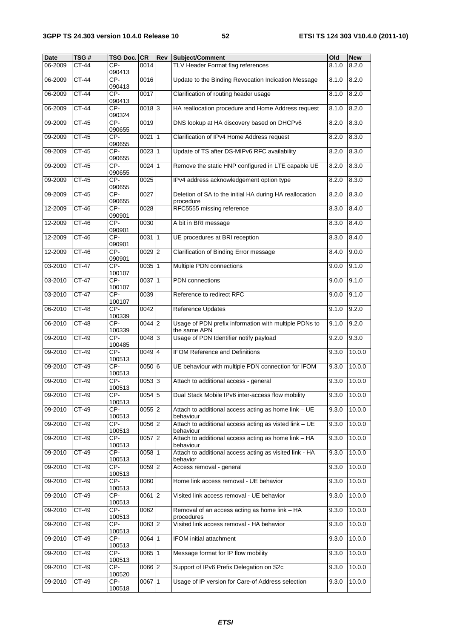| <b>Date</b> | TSG#    | <b>TSG Doc. CR</b>      |                     | Rev | Subject/Comment                                                       | Old   | <b>New</b> |
|-------------|---------|-------------------------|---------------------|-----|-----------------------------------------------------------------------|-------|------------|
| 06-2009     | CT-44   | CP-<br>090413           | 0014                |     | TLV Header Format flag references                                     | 8.1.0 | 8.2.0      |
| 06-2009     | CT-44   | CP-<br>090413           | 0016                |     | Update to the Binding Revocation Indication Message                   | 8.1.0 | 8.2.0      |
| 06-2009     | $CT-44$ | CP-<br>090413           | 0017                |     | Clarification of routing header usage                                 | 8.1.0 | 8.2.0      |
| 06-2009     | $CT-44$ | CP-<br>090324           | $0018$ <sub>3</sub> |     | HA reallocation procedure and Home Address request                    | 8.1.0 | 8.2.0      |
| 09-2009     | CT-45   | CP-<br>090655           | 0019                |     | DNS lookup at HA discovery based on DHCPv6                            | 8.2.0 | 8.3.0      |
| 09-2009     | $CT-45$ | CP-<br>090655           | $0021$  1           |     | Clarification of IPv4 Home Address request                            | 8.2.0 | 8.3.0      |
| 09-2009     | $CT-45$ | CP-<br>090655           | $0023$ 1            |     | Update of TS after DS-MIPv6 RFC availability                          | 8.2.0 | 8.3.0      |
| 09-2009     | $CT-45$ | CP-<br>090655           | 0024 1              |     | Remove the static HNP configured in LTE capable UE                    | 8.2.0 | 8.3.0      |
| 09-2009     | $CT-45$ | CP-<br>090655           | 0025                |     | IPv4 address acknowledgement option type                              | 8.2.0 | 8.3.0      |
| 09-2009     | $CT-45$ | CP-<br>090655           | 0027                |     | Deletion of SA to the initial HA during HA reallocation<br>procedure  | 8.2.0 | 8.3.0      |
| 12-2009     | $CT-46$ | CP-<br>090901           | 0028                |     | RFC5555 missing reference                                             | 8.3.0 | 8.4.0      |
| 12-2009     | $CT-46$ | CP-<br>090901           | 0030                |     | A bit in BRI message                                                  | 8.3.0 | 8.4.0      |
| 12-2009     | $CT-46$ | CP-<br>090901           | 003111              |     | UE procedures at BRI reception                                        | 8.3.0 | 8.4.0      |
| 12-2009     | CT-46   | $CP-$<br>090901         | $0029$ 2            |     | Clarification of Binding Error message                                | 8.4.0 | 9.0.0      |
| 03-2010     | CT-47   | CP-<br>100107           | 0035 1              |     | Multiple PDN connections                                              | 9.0.0 | 9.1.0      |
| 03-2010     | $CT-47$ | CP-<br>100107           | 0037 1              |     | <b>PDN</b> connections                                                | 9.0.0 | 9.1.0      |
| 03-2010     | CT-47   | CP-<br>100107           | 0039                |     | Reference to redirect RFC                                             | 9.0.0 | 9.1.0      |
| 06-2010     | $CT-48$ | CP-<br>100339           | 0042                |     | Reference Updates                                                     | 9.1.0 | 9.2.0      |
| 06-2010     | $CT-48$ | CP-<br>100339           | $0044$ 2            |     | Usage of PDN prefix information with multiple PDNs to<br>the same APN | 9.1.0 | 9.2.0      |
| 09-2010     | $CT-49$ | CP-<br>100485           | $0048$ 3            |     | Usage of PDN Identifier notify payload                                | 9.2.0 | 9.3.0      |
| 09-2010     | $CT-49$ | CP-<br>100513           | 0049 4              |     | <b>IFOM Reference and Definitions</b>                                 | 9.3.0 | 10.0.0     |
| 09-2010     | $CT-49$ | CP-<br>100513           | 0050 6              |     | UE behaviour with multiple PDN connection for IFOM                    | 9.3.0 | 10.0.0     |
| 09-2010     | $CT-49$ | CP-<br>100513           | $0053$ 3            |     | Attach to additional access - general                                 | 9.3.0 | 10.0.0     |
| 09-2010     | CT-49   | CP-<br>100513           | $0054$ 5            |     | Dual Stack Mobile IPv6 inter-access flow mobility                     | 9.3.0 | 10.0.0     |
| 09-2010     | CT-49   | CP-<br>100513           | $0055$ 2            |     | Attach to additional access acting as home link - UE<br>behaviour     | 9.3.0 | 10.0.0     |
| 09-2010     | $CT-49$ | CP-<br>100513           | 0056 2              |     | Attach to additional access acting as visted link - UE<br>behaviour   | 9.3.0 | 10.0.0     |
| 09-2010     | $CT-49$ | CP-<br>100513           | 0057 2              |     | Attach to additional access acting as home link - HA<br>behaviour     | 9.3.0 | 10.0.0     |
| 09-2010     | $CT-49$ | CP-<br>100513           | 0058 1              |     | Attach to additional access acting as visited link - HA<br>behavior   | 9.3.0 | 10.0.0     |
| 09-2010     | CT-49   | CP-<br>100513           | 0059 2              |     | Access removal - general                                              | 9.3.0 | 10.0.0     |
| 09-2010     | $CT-49$ | CP-<br>100513           | 0060                |     | Home link access removal - UE behavior                                | 9.3.0 | 10.0.0     |
| 09-2010     | CT-49   | CP-<br>100513           | 0061 2              |     | Visited link access removal - UE behavior                             | 9.3.0 | 10.0.0     |
| 09-2010     | $CT-49$ | CP-<br>100513           | 0062                |     | Removal of an access acting as home link - HA<br>procedures           | 9.3.0 | 10.0.0     |
| 09-2010     | $CT-49$ | CP-<br>100513           | $0063$  2           |     | Visited link access removal - HA behavior                             | 9.3.0 | 10.0.0     |
| 09-2010     | CT-49   | CP-                     | $0064$ 1            |     | IFOM initial attachment                                               | 9.3.0 | 10.0.0     |
| 09-2010     | CT-49   | 100513<br>CP-           | 0065 1              |     | Message format for IP flow mobility                                   | 9.3.0 | 10.0.0     |
| 09-2010     | CT-49   | 100513<br>CP-           | 0066 2              |     | Support of IPv6 Prefix Delegation on S2c                              | 9.3.0 | 10.0.0     |
| 09-2010     | $CT-49$ | 100520<br>CP-<br>100518 | 0067 1              |     | Usage of IP version for Care-of Address selection                     | 9.3.0 | 10.0.0     |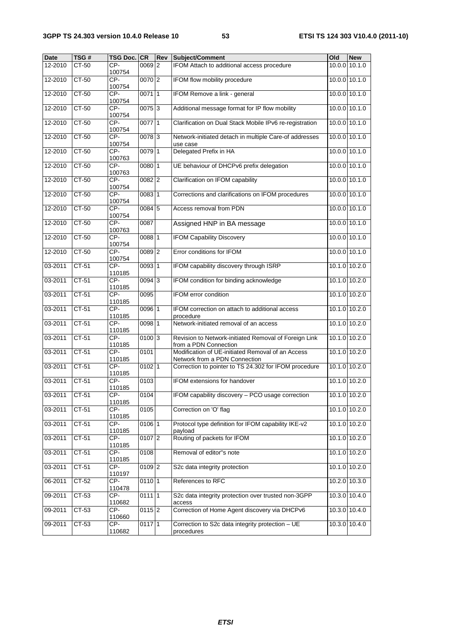| Date    | TSG#    | TSG Doc. CR             |                     | Rev | Subject/Comment                                                                    | Old | <b>New</b>        |
|---------|---------|-------------------------|---------------------|-----|------------------------------------------------------------------------------------|-----|-------------------|
| 12-2010 | CT-50   | CP-                     | 0069 2              |     | IFOM Attach to additional access procedure                                         |     | 10.0.0 10.1.0     |
|         |         | 100754                  |                     |     |                                                                                    |     |                   |
| 12-2010 | $CT-50$ | $CP-$<br>100754         | 0070 2              |     | IFOM flow mobility procedure                                                       |     | 10.0.0 10.1.0     |
| 12-2010 | $CT-50$ | CP-<br>100754           | 00711               |     | IFOM Remove a link - general                                                       |     | 10.0.0 10.1.0     |
| 12-2010 | $CT-50$ | CP-<br>100754           | 00753               |     | Additional message format for IP flow mobility                                     |     | 10.0.0 10.1.0     |
| 12-2010 | CT-50   | CP-<br>100754           | 00771               |     | Clarification on Dual Stack Mobile IPv6 re-registration                            |     | 10.0.0 10.1.0     |
| 12-2010 | $CT-50$ | CP-                     | $0078$ <sub>3</sub> |     | Network-initiated detach in multiple Care-of addresses                             |     | 10.0.0 10.1.0     |
| 12-2010 | $CT-50$ | 100754<br>CP-           | 0079 1              |     | use case<br>Delegated Prefix in HA                                                 |     | $10.0.0$ 10.1.0   |
| 12-2010 | CT-50   | 100763<br>CP-           | 0080 1              |     | UE behaviour of DHCPv6 prefix delegation                                           |     | 10.0.0 10.1.0     |
| 12-2010 | $CT-50$ | 100763<br>CP-           | 0082 2              |     | Clarification on IFOM capability                                                   |     | $10.0.0$ 10.1.0   |
| 12-2010 | $CT-50$ | 100754<br>CP-           | 0083 1              |     | Corrections and clarifications on IFOM procedures                                  |     | 10.0.0 10.1.0     |
| 12-2010 | $CT-50$ | 100754<br>$CP-$         | $0084$ 5            |     | Access removal from PDN                                                            |     | 10.0.0 10.1.0     |
| 12-2010 | $CT-50$ | 100754<br>CP-           | 0087                |     | Assigned HNP in BA message                                                         |     | 10.0.0 10.1.0     |
| 12-2010 | $CT-50$ | 100763<br>CP-           | 0088 1              |     | <b>IFOM Capability Discovery</b>                                                   |     | $10.0.0$ 10.1.0   |
| 12-2010 | CT-50   | 100754<br>CP-           | 0089 2              |     | Error conditions for IFOM                                                          |     | 10.0.0 10.1.0     |
| 03-2011 | $CT-51$ | 100754<br>CP-           | $0093$ 1            |     | IFOM capability discovery through ISRP                                             |     | 10.1.0 10.2.0     |
| 03-2011 | $CT-51$ | 110185<br>CP-           | $0094$ 3            |     | IFOM condition for binding acknowledge                                             |     | 10.1.0 10.2.0     |
| 03-2011 | CT-51   | 110185<br>CP-           | 0095                |     | <b>IFOM error condition</b>                                                        |     | 10.1.0 10.2.0     |
|         |         | 110185<br>CP-           |                     |     |                                                                                    |     |                   |
| 03-2011 | CT-51   | 110185                  | 0096 1              |     | IFOM correction on attach to additional access<br>procedure                        |     | 10.1.0 10.2.0     |
| 03-2011 | $CT-51$ | CP-<br>110185           | 0098 1              |     | Network-initiated removal of an access                                             |     | 10.1.0 10.2.0     |
| 03-2011 | $CT-51$ | CP-<br>110185           | 01003               |     | Revision to Network-initiated Removal of Foreign Link<br>from a PDN Connection     |     | 10.1.0 10.2.0     |
| 03-2011 | $CT-51$ | CP-<br>110185           | 0101                |     | Modification of UE-initiated Removal of an Access<br>Network from a PDN Connection |     | 10.1.0 10.2.0     |
| 03-2011 | $CT-51$ | $CP-$<br>110185         | $0102$  1           |     | Correction to pointer to TS 24.302 for IFOM procedure                              |     | 10.1.0 10.2.0     |
| 03-2011 | $CT-51$ | CP-<br>110185           | 0103                |     | IFOM extensions for handover                                                       |     | 10.1.0 10.2.0     |
| 03-2011 | CT-51   | CP-<br>110185           | 0104                |     | IFOM capability discovery - PCO usage correction                                   |     | 10.1.0 10.2.0     |
| 03-2011 | CT-51   | CP-<br>110185           | 0105                |     | Correction on 'O' flag                                                             |     | 10.1.0 10.2.0     |
| 03-2011 | $CT-51$ | CP-<br>110185           | 0106 1              |     | Protocol type definition for IFOM capability IKE-v2<br>payload                     |     | 10.1.0 10.2.0     |
| 03-2011 | $CT-51$ | CP-<br>110185           | 0107 2              |     | Routing of packets for IFOM                                                        |     | 10.1.0 10.2.0     |
| 03-2011 | CT-51   | CP-<br><u>110185</u>    | 0108                |     | Removal of editor"s note                                                           |     | 10.1.0 10.2.0     |
| 03-2011 | CT-51   | CP-                     | 0109 2              |     | S2c data integrity protection                                                      |     | 10.1.0 10.2.0     |
| 06-2011 | CT-52   | 110197<br>CP-<br>110478 | $0110$ 1            |     | References to RFC                                                                  |     | 10.2.0 10.3.0     |
| 09-2011 | $CT-53$ | CP-                     | $0111$  1           |     | S2c data integrity protection over trusted non-3GPP                                |     | 10.3.0 10.4.0     |
| 09-2011 | CT-53   | 110682<br>CP-           | $0115$ 2            |     | access<br>Correction of Home Agent discovery via DHCPv6                            |     | 10.3.0 10.4.0     |
| 09-2011 | CT-53   | 110660<br>CP-<br>110682 | 0117 1              |     | Correction to S2c data integrity protection - UE<br>procedures                     |     | $10.3.0$ $10.4.0$ |